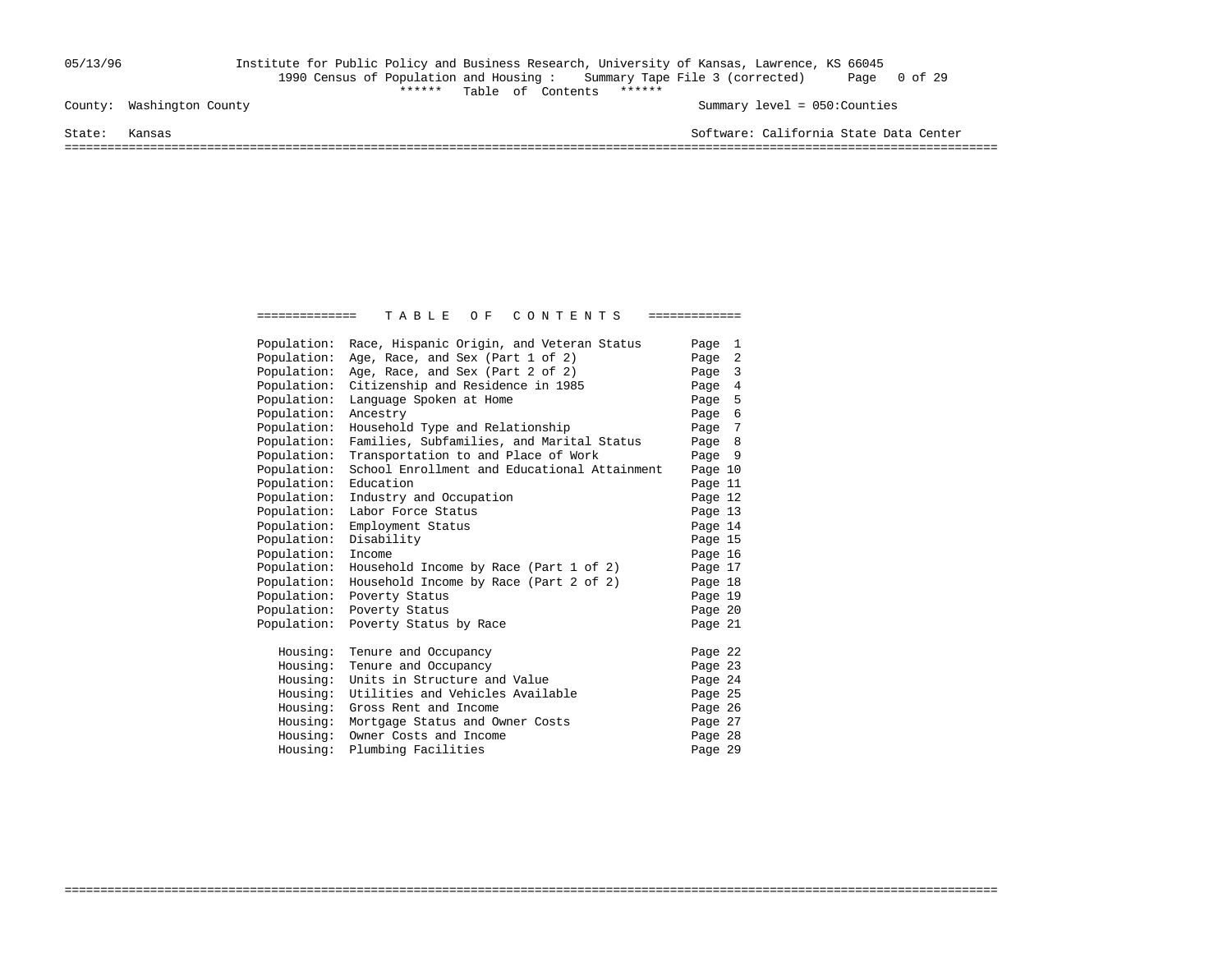### 05/13/96 Institute for Public Policy and Business Research, University of Kansas, Lawrence, KS 66045 1990 Census of Population and Housing : Summary Tape File 3 (corrected) Page 0 of 29 \*\*\*\*\*\* Table of Contents \*\*\*\*\*\* County: Washington County Summary level = 050:Counties

State: Kansas Software: California State Data Center

===================================================================================================================================

| Population: | Race, Hispanic Origin, and Veteran Status    | Page 1  |
|-------------|----------------------------------------------|---------|
| Population: | Age, Race, and Sex (Part 1 of 2)             | Page 2  |
| Population: | Age, Race, and Sex (Part 2 of 2)             | Page 3  |
| Population: | Citizenship and Residence in 1985            | Page 4  |
| Population: | Language Spoken at Home                      | Page 5  |
| Population: | Ancestry                                     | Page 6  |
| Population: | Household Type and Relationship              | Page 7  |
| Population: | Families, Subfamilies, and Marital Status    | Page 8  |
| Population: | Transportation to and Place of Work          | Page 9  |
| Population: | School Enrollment and Educational Attainment | Page 10 |
| Population: | Education                                    | Page 11 |
| Population: | Industry and Occupation                      | Page 12 |
| Population: | Labor Force Status                           | Page 13 |
| Population: | Employment Status                            | Page 14 |
| Population: | Disability                                   | Page 15 |
| Population: | Income                                       | Page 16 |
| Population: | Household Income by Race (Part 1 of 2)       | Page 17 |
| Population: | Household Income by Race (Part 2 of 2)       | Page 18 |
| Population: | Poverty Status                               | Page 19 |
| Population: | Poverty Status                               | Page 20 |
| Population: | Poverty Status by Race                       | Page 21 |
| Housing:    | Tenure and Occupancy                         | Page 22 |
| Housing:    | Tenure and Occupancy                         | Page 23 |
| Housing:    | Units in Structure and Value                 | Page 24 |
| Housing:    | Utilities and Vehicles Available             | Page 25 |
| Housing:    | Gross Rent and Income                        | Page 26 |
| Housing:    | Mortgage Status and Owner Costs              | Page 27 |
| Housing:    | Owner Costs and Income                       | Page 28 |
| Housing:    | Plumbing Facilities                          | Page 29 |
|             |                                              |         |

===================================================================================================================================

============== T A B L E O F C O N T E N T S =============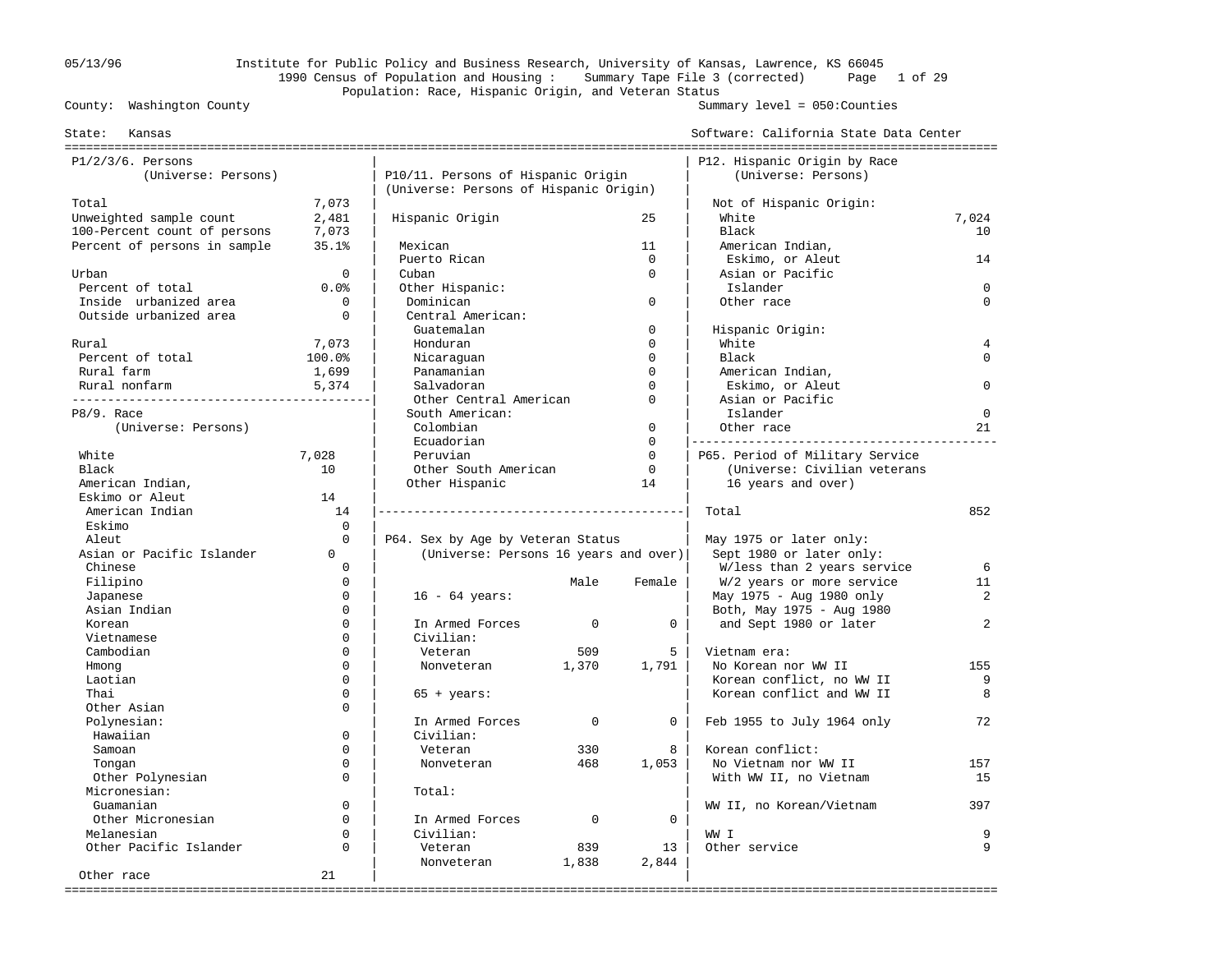# 05/13/96 Institute for Public Policy and Business Research, University of Kansas, Lawrence, KS 66045 1990 Census of Population and Housing : Summary Tape File 3 (corrected) Page 1 of 29 Population: Race, Hispanic Origin, and Veteran Status<br>County: Washington County

Summary level =  $050$ : Counties

| Kansas<br>State:                    |             |                                                                            |             |              | Software: California State Data Center              |                |
|-------------------------------------|-------------|----------------------------------------------------------------------------|-------------|--------------|-----------------------------------------------------|----------------|
| $P1/2/3/6$ . Persons                |             |                                                                            |             |              | P12. Hispanic Origin by Race                        |                |
| (Universe: Persons)                 |             | P10/11. Persons of Hispanic Origin                                         |             |              | (Universe: Persons)                                 |                |
|                                     |             | (Universe: Persons of Hispanic Origin)                                     |             |              |                                                     |                |
| Total                               | 7,073       |                                                                            |             |              | Not of Hispanic Origin:                             |                |
| Unweighted sample count             | 2,481       | Hispanic Origin                                                            |             | 25           | White                                               | 7,024          |
| 100-Percent count of persons        | 7,073       |                                                                            |             |              | Black                                               | 10             |
| Percent of persons in sample        | 35.1%       | Mexican                                                                    |             | 11           | American Indian,                                    |                |
|                                     |             | Puerto Rican                                                               |             | $\mathbf 0$  | Eskimo, or Aleut                                    | 14             |
| Urban                               | $\Omega$    | Cuban                                                                      |             | $\Omega$     | Asian or Pacific                                    |                |
| Percent of total                    | 0.0%        | Other Hispanic:                                                            |             |              | Islander                                            | $\Omega$       |
| Inside urbanized area               | $\mathbf 0$ | Dominican                                                                  |             | $\mathbf 0$  | Other race                                          | $\Omega$       |
| Outside urbanized area              | $\mathbf 0$ | Central American:                                                          |             |              |                                                     |                |
|                                     |             | Guatemalan                                                                 |             | $\mathbf 0$  | Hispanic Origin:                                    |                |
| Rural                               | 7,073       | Honduran                                                                   |             | $\Omega$     | White                                               | $\overline{4}$ |
| Percent of total                    | 100.0%      | Nicaraquan                                                                 |             | $\Omega$     | Black                                               | $\Omega$       |
| Rural farm                          | 1,699       | Panamanian                                                                 |             | $\Omega$     | American Indian,                                    |                |
| Rural nonfarm                       | 5,374       | Salvadoran                                                                 |             | $\Omega$     | Eskimo, or Aleut                                    | $\Omega$       |
|                                     |             | Other Central American                                                     |             | $\Omega$     | Asian or Pacific                                    |                |
| P8/9. Race                          |             | South American:                                                            |             |              | Islander                                            | $\mathbf 0$    |
| (Universe: Persons)                 |             | Colombian                                                                  |             | $\mathbf{0}$ | Other race                                          | 21             |
|                                     |             | Ecuadorian                                                                 |             | $\mathbf 0$  |                                                     |                |
| White                               | 7,028       | Peruvian                                                                   |             | $\Omega$     | P65. Period of Military Service                     |                |
| Black                               | 10          | Other South American                                                       |             | $\mathbf 0$  | (Universe: Civilian veterans                        |                |
|                                     |             | Other Hispanic                                                             |             | 14           | 16 years and over)                                  |                |
| American Indian,<br>Eskimo or Aleut | 14          |                                                                            |             |              |                                                     |                |
| American Indian                     | 14          |                                                                            |             |              | Total                                               | 852            |
| Eskimo                              | $\Omega$    |                                                                            |             |              |                                                     |                |
| Aleut                               | $\Omega$    |                                                                            |             |              |                                                     |                |
| Asian or Pacific Islander           | $\Omega$    | P64. Sex by Age by Veteran Status<br>(Universe: Persons 16 years and over) |             |              | May 1975 or later only:<br>Sept 1980 or later only: |                |
| Chinese                             | $\Omega$    |                                                                            |             |              | W/less than 2 years service                         | 6              |
| Filipino                            | $\mathbf 0$ |                                                                            | Male        | Female       | W/2 years or more service                           | 11             |
| Japanese                            | $\Omega$    | $16 - 64 \text{ years}$ :                                                  |             |              | May 1975 - Aug 1980 only                            | 2              |
| Asian Indian                        | $\Omega$    |                                                                            |             |              | Both, May 1975 - Aug 1980                           |                |
| Korean                              | $\Omega$    | In Armed Forces                                                            | $\mathbf 0$ | $\mathbf 0$  | and Sept 1980 or later                              | 2              |
| Vietnamese                          | $\Omega$    | Civilian:                                                                  |             |              |                                                     |                |
| Cambodian                           | $\Omega$    | Veteran                                                                    | 509         | 5            | Vietnam era:                                        |                |
| Hmong                               | $\Omega$    | Nonveteran                                                                 | 1,370       | 1,791        | No Korean nor WW II                                 | 155            |
| Laotian                             | $\Omega$    |                                                                            |             |              | Korean conflict, no WW II                           | 9              |
| Thai                                | $\Omega$    | $65 + years$ :                                                             |             |              | Korean conflict and WW II                           | 8              |
| Other Asian                         | $\Omega$    |                                                                            |             |              |                                                     |                |
| Polynesian:                         |             | In Armed Forces                                                            | $\Omega$    | $\Omega$     | Feb 1955 to July 1964 only                          | 72             |
| Hawaiian                            | $\Omega$    | Civilian:                                                                  |             |              |                                                     |                |
| Samoan                              | $\Omega$    | Veteran                                                                    | 330         | 8            | Korean conflict:                                    |                |
| Tongan                              | $\mathbf 0$ | Nonveteran                                                                 | 468         | 1,053        | No Vietnam nor WW II                                | 157            |
| Other Polynesian                    | $\Omega$    |                                                                            |             |              | With WW II, no Vietnam                              | 15             |
| Micronesian:                        |             | Total:                                                                     |             |              |                                                     |                |
| Guamanian                           | $\Omega$    |                                                                            |             |              | WW II, no Korean/Vietnam                            | 397            |
| Other Micronesian                   | $\Omega$    | In Armed Forces                                                            | $\mathbf 0$ | $\mathbf 0$  |                                                     |                |
| Melanesian                          | $\Omega$    | Civilian:                                                                  |             |              | WW I                                                | 9              |
| Other Pacific Islander              | $\Omega$    | Veteran                                                                    | 839         | 13           | Other service                                       | 9              |
|                                     |             | Nonveteran                                                                 | 1,838       | 2,844        |                                                     |                |
| Other race                          | 21          |                                                                            |             |              |                                                     |                |
|                                     |             |                                                                            |             |              |                                                     |                |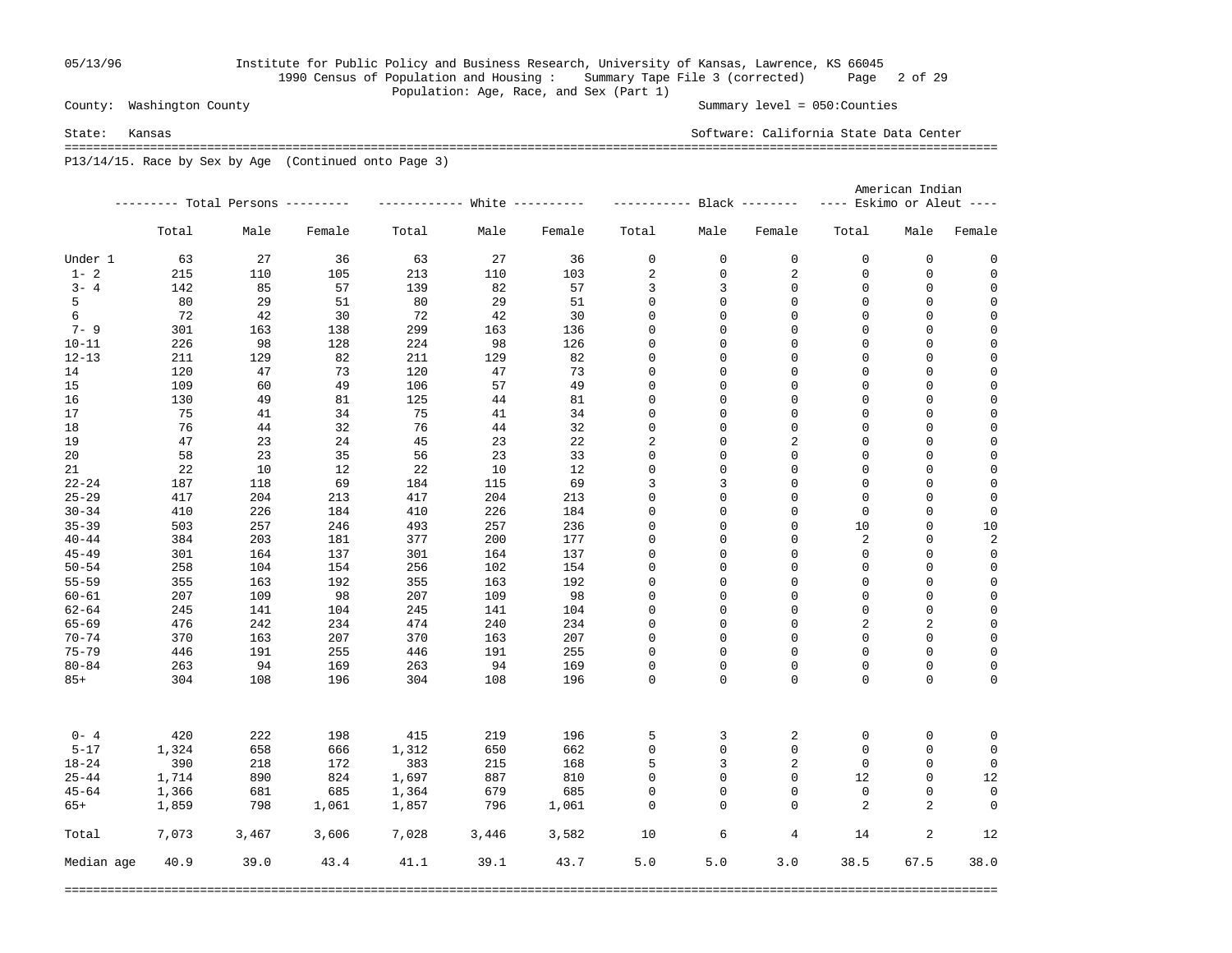### 05/13/96 Institute for Public Policy and Business Research, University of Kansas, Lawrence, KS 66045 1990 Census of Population and Housing : Summary Tape File 3 (corrected) Page 2 of 29 Population: Age, Race, and Sex (Part 1)

County: Washington County Summary level = 050:Counties

State: Kansas Software: California State Data Center ===================================================================================================================================

P13/14/15. Race by Sex by Age (Continued onto Page 3)

|            |       |                                   |        |       |       |        |             |             |                            | American Indian           |             |             |
|------------|-------|-----------------------------------|--------|-------|-------|--------|-------------|-------------|----------------------------|---------------------------|-------------|-------------|
|            |       | --------- Total Persons --------- |        |       |       |        |             |             | ----------- Black -------- | ---- Eskimo or Aleut ---- |             |             |
|            | Total | Male                              | Female | Total | Male  | Female | Total       | Male        | Female                     | Total                     | Male        | Female      |
| Under 1    | 63    | 27                                | 36     | 63    | 27    | 36     | 0           | $\mathbf 0$ | $\mathbf 0$                | $\mathbf 0$               | $\mathbf 0$ | 0           |
| $1 - 2$    | 215   | 110                               | 105    | 213   | 110   | 103    | 2           | 0           | 2                          | $\mathbf 0$               | 0           | 0           |
| $3 - 4$    | 142   | 85                                | 57     | 139   | 82    | 57     | 3           | 3           | 0                          | $\mathbf 0$               | 0           | $\mathbf 0$ |
| 5          | 80    | 29                                | 51     | 80    | 29    | 51     | 0           | 0           | 0                          | $\mathbf 0$               | 0           | 0           |
| 6          | -72   | 42                                | 30     | 72    | 42    | 30     | 0           | 0           | 0                          | 0                         | 0           | $\mathbf 0$ |
| $7 - 9$    | 301   | 163                               | 138    | 299   | 163   | 136    | $\mathsf 0$ | 0           | $\Omega$                   | $\Omega$                  | $\mathsf 0$ | $\mathbf 0$ |
| $10 - 11$  | 226   | 98                                | 128    | 224   | 98    | 126    | $\mathsf 0$ | 0           | $\Omega$                   | $\mathbf 0$               | $\mathsf 0$ | $\mathbf 0$ |
| $12 - 13$  | 211   | 129                               | 82     | 211   | 129   | 82     | 0           | 0           | $\mathbf 0$                | $\Omega$                  | $\mathsf 0$ | $\mathbf 0$ |
| 14         | 120   | 47                                | 73     | 120   | 47    | 73     | 0           | 0           | $\mathbf 0$                | $\mathbf 0$               | $\mathsf 0$ | $\mathbf 0$ |
| 15         | 109   | 60                                | 49     | 106   | 57    | 49     | 0           | 0           | 0                          | $\mathbf 0$               | 0           | $\mathbf 0$ |
| 16         | 130   | 49                                | 81     | 125   | 44    | 81     | $\mathbf 0$ | 0           | 0                          | $\mathbf 0$               | $\mathsf 0$ | $\mathbf 0$ |
| 17         | 75    | 41                                | 34     | 75    | 41    | 34     | 0           | 0           | $\mathbf 0$                | $\mathbf 0$               | 0           | $\mathsf 0$ |
| 18         | 76    | 44                                | 32     | 76    | 44    | 32     | 0           | 0           | 0                          | $\mathbf 0$               | 0           | $\mathbf 0$ |
| 19         | 47    | 23                                | 24     | 45    | 23    | 22     | 2           | 0           | 2                          | $\mathbf 0$               | 0           | 0           |
| 20         | 58    | 23                                | 35     | 56    | 23    | 33     | 0           | 0           | 0                          | $\mathbf 0$               | 0           | $\mathbf 0$ |
| 21         | 22    | 10                                | 12     | 22    | 10    | 12     | $\mathbf 0$ | $\mathsf 0$ | $\Omega$                   | $\Omega$                  | $\mathbf 0$ | $\mathbf 0$ |
| $22 - 24$  | 187   | 118                               | 69     | 184   | 115   | 69     | 3           | 3           | $\mathbf 0$                | $\Omega$                  | $\mathbf 0$ | $\mathbf 0$ |
| $25 - 29$  | 417   | 204                               | 213    | 417   | 204   | 213    | $\mathbf 0$ | 0           | $\Omega$                   | $\Omega$                  | $\mathbf 0$ | $\mathbf 0$ |
| $30 - 34$  | 410   | 226                               | 184    | 410   | 226   | 184    | $\mathbf 0$ | 0           | $\mathbf 0$                | $\mathbf 0$               | $\mathbf 0$ | $\mathbf 0$ |
| $35 - 39$  | 503   | 257                               | 246    | 493   | 257   | 236    | $\mathbf 0$ | 0           | $\mathbf 0$                | 10                        | $\mathbf 0$ | 10          |
| $40 - 44$  | 384   | 203                               | 181    | 377   | 200   | 177    | 0           | 0           | $\mathbf 0$                | $\sqrt{2}$                | 0           | 2           |
| $45 - 49$  | 301   | 164                               | 137    | 301   | 164   | 137    | 0           | 0           | $\mathbf 0$                | $\mathbf 0$               | $\mathsf 0$ | 0           |
| $50 - 54$  | 258   | 104                               | 154    | 256   | 102   | 154    | 0           | 0           | $\mathbf 0$                | $\mathbf 0$               | $\mathsf 0$ | 0           |
| $55 - 59$  | 355   | 163                               | 192    | 355   | 163   | 192    | 0           | 0           | $\mathbf 0$                | $\mathbf 0$               | $\mathsf 0$ | $\mathsf 0$ |
| $60 - 61$  | 207   | 109                               | 98     | 207   | 109   | 98     | 0           | 0           | 0                          | $\mathbf 0$               | 0           | $\mathbf 0$ |
| $62 - 64$  | 245   | 141                               | 104    | 245   | 141   | 104    | $\mathbf 0$ | $\mathbf 0$ | $\Omega$                   | $\Omega$                  | $\mathbf 0$ | $\mathbf 0$ |
| $65 - 69$  | 476   | 242                               | 234    | 474   | 240   | 234    | $\mathbf 0$ | 0           | $\Omega$                   | 2                         | 2           | $\mathbf 0$ |
| $70 - 74$  | 370   | 163                               | 207    | 370   | 163   | 207    | $\mathbf 0$ | $\mathbf 0$ | $\mathbf 0$                | $\Omega$                  | $\mathsf 0$ | $\mathbf 0$ |
| $75 - 79$  | 446   | 191                               | 255    | 446   | 191   | 255    | $\mathbf 0$ | 0           | $\Omega$                   | $\Omega$                  | 0           | $\mathbf 0$ |
| $80 - 84$  | 263   | 94                                | 169    | 263   | 94    | 169    | 0           | 0           | $\Omega$                   | $\Omega$                  | $\mathbf 0$ | $\mathbf 0$ |
| $85+$      | 304   | 108                               | 196    | 304   | 108   | 196    | $\Omega$    | $\Omega$    | $\Omega$                   | $\Omega$                  | $\Omega$    | $\mathbf 0$ |
|            |       |                                   |        |       |       |        |             |             |                            |                           |             |             |
| $0 - 4$    | 420   | 222                               | 198    | 415   | 219   | 196    | 5           | 3           | 2                          | 0                         | 0           | 0           |
| $5 - 17$   | 1,324 | 658                               | 666    | 1,312 | 650   | 662    | 0           | $\mathsf 0$ | $\mathbf 0$                | $\Omega$                  | $\mathbf 0$ | $\mathbf 0$ |
| $18 - 24$  | 390   | 218                               | 172    | 383   | 215   | 168    | 5           | 3           | 2                          | $\mathbf 0$               | 0           | $\mathbf 0$ |
| $25 - 44$  | 1,714 | 890                               | 824    | 1,697 | 887   | 810    | 0           | 0           | $\mathbf 0$                | 12                        | $\mathbf 0$ | 12          |
| $45 - 64$  | 1,366 | 681                               | 685    | 1,364 | 679   | 685    | $\mathbf 0$ | 0           | $\Omega$                   | $\mathbf 0$               | 0           | $\mathbf 0$ |
| $65+$      | 1,859 | 798                               | 1,061  | 1,857 | 796   | 1,061  | 0           | $\mathbf 0$ | $\Omega$                   | 2                         | 2           | $\mathbf 0$ |
| Total      | 7,073 | 3,467                             | 3,606  | 7,028 | 3,446 | 3,582  | 10          | 6           | $\overline{4}$             | 14                        | 2           | 12          |
| Median age | 40.9  | 39.0                              | 43.4   | 41.1  | 39.1  | 43.7   | 5.0         | 5.0         | 3.0                        | 38.5                      | 67.5        | 38.0        |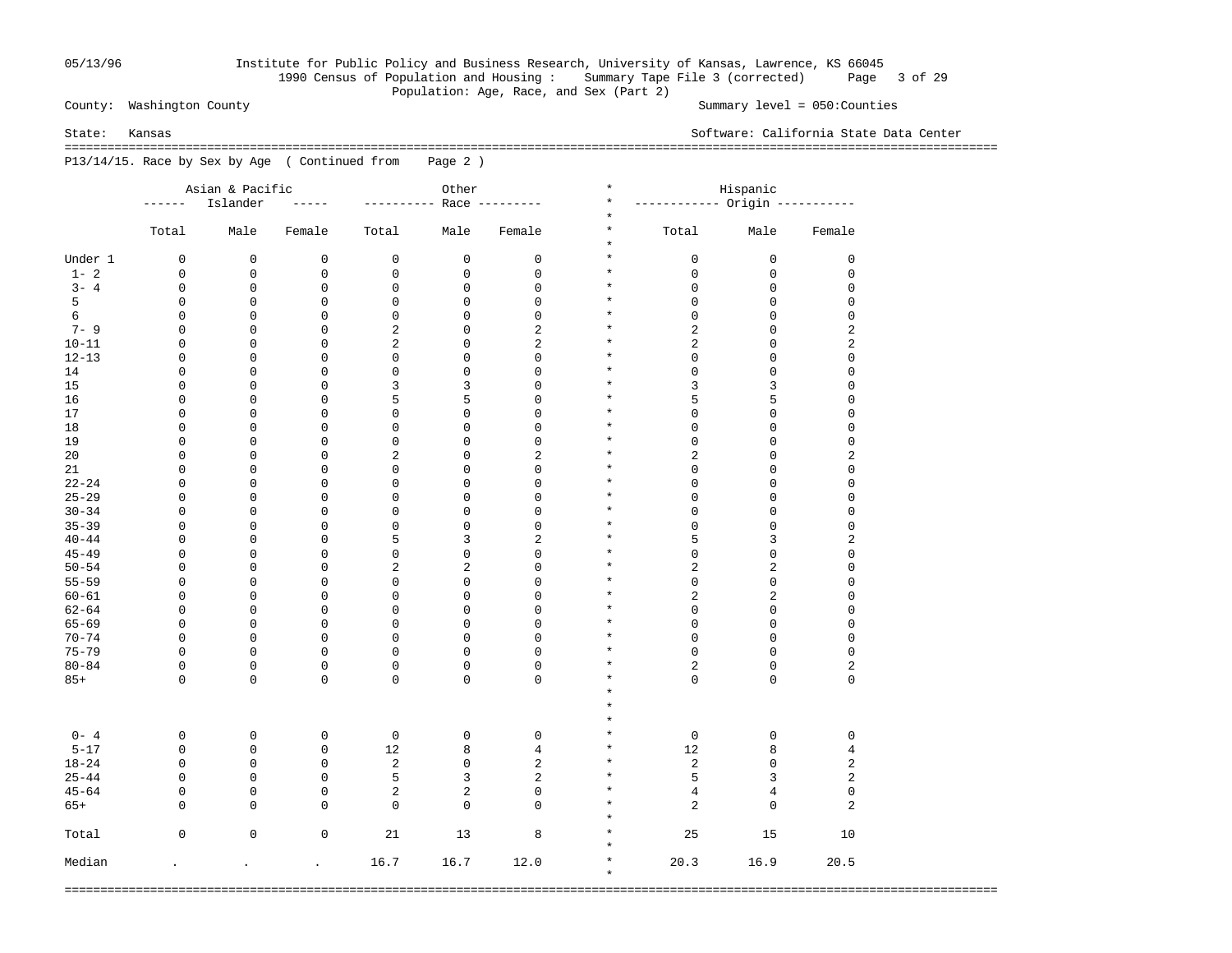### 05/13/96 Institute for Public Policy and Business Research, University of Kansas, Lawrence, KS 66045 1990 Census of Population and Housing : Summary Tape File 3 (corrected) Page 3 of 29 Population: Age, Race, and Sex (Part 2)

County: Washington County Summary level = 050:Counties

State: Kansas Software: California State Data Center

 =================================================================================================================================== P13/14/15. Race by Sex by Age ( Continued from Page 2 )

|           |                      | Asian & Pacific      |                            | Other                      |                |                | $\star$             | Hispanic                        |                     |                                        |  |  |
|-----------|----------------------|----------------------|----------------------------|----------------------------|----------------|----------------|---------------------|---------------------------------|---------------------|----------------------------------------|--|--|
|           | ------               | Islander             | -----                      | --------                   |                | Race --------- | $^\star$            | ------------ Origin ----------- |                     |                                        |  |  |
|           | Total                | Male                 | Female                     | Total                      | Male           | Female         | $\star$<br>$^\star$ | Total                           | Male                | Female                                 |  |  |
|           |                      |                      |                            |                            |                |                | $\star$             |                                 |                     |                                        |  |  |
| Under 1   | 0                    | $\mathbf 0$          | $\mathbf 0$                | $\mathbf 0$                | $\mathbf 0$    | $\mathsf 0$    | $\star$             | 0                               | $\mathsf 0$         | $\mathsf 0$                            |  |  |
| $1 - 2$   | $\mathbf 0$          | $\mathbf 0$          | $\mathsf 0$                | $\mathsf 0$                | $\mathsf 0$    | $\mathsf 0$    | $\star$             | 0                               | $\mathbf 0$         | $\mathsf 0$                            |  |  |
| $3 - 4$   | 0                    | $\mathbf 0$          | $\mathbf 0$                | $\mathbf 0$                | $\mathsf 0$    | $\mathsf 0$    | $\star$             | 0                               | $\mathbf 0$         | $\mathsf 0$                            |  |  |
| 5         | 0                    | 0                    | 0                          | $\mathsf 0$                | $\mathsf 0$    | $\mathbf 0$    | $\star$             | 0                               | $\mathsf 0$         | $\mathsf 0$                            |  |  |
| 6         | $\mathbf 0$          | $\mathbf 0$          | $\mathbf 0$                | $\mathsf 0$                | $\mathbf 0$    | $\mathsf 0$    | $\star$             | 0                               | $\mathsf 0$         | $\mathsf 0$                            |  |  |
| $7 - 9$   | $\mathbf 0$          | 0                    | $\overline{0}$             | $\sqrt{2}$                 | $\overline{0}$ | $\overline{2}$ | $\star$             | $\overline{c}$                  | $\mathsf 0$         | 2                                      |  |  |
| $10 - 11$ | $\mathbf 0$          | $\mathbf 0$          | 0                          | $\overline{2}$             | $\overline{0}$ | $\overline{2}$ | $\star$             | $\overline{c}$                  | $\mathsf 0$         | $\boldsymbol{2}$                       |  |  |
| $12 - 13$ | $\mathbf 0$          | $\mathsf 0$          | 0                          | $\mathsf 0$                | $\mathsf 0$    | $\mathbf 0$    | $\star$             | $\mathbf 0$                     | $\mathsf{O}\xspace$ | $\mathsf{O}\xspace$                    |  |  |
| 14        | 0                    | 0                    | 0                          | $\mathbf 0$                | 0              | $\mathsf 0$    | $\star$             | $\mathsf{O}\xspace$             | $\mathsf{O}\xspace$ | $\mathsf 0$                            |  |  |
| 15        | 0                    | 0                    | 0                          | 3                          | 3              | $\mathsf 0$    | $\star$             | 3                               | 3                   | $\mathsf 0$                            |  |  |
| 16        | $\mathbf 0$          | $\mathbf 0$          | $\mathbf 0$                | 5                          | 5              | $\mathbf 0$    | $\star$             | 5                               | 5                   | $\mathsf 0$                            |  |  |
| 17        | $\mathbf 0$          | 0                    | $\mathbf 0$                | $\mathbf 0$                | $\mathsf 0$    | $\mathbf 0$    | $\star$             | 0                               | $\mathsf 0$         | $\mathsf 0$                            |  |  |
| 18        | $\mathbf 0$          | $\mathbf 0$          | $\mathbf 0$                | $\mathbf 0$                | $\mathsf 0$    | $\mathsf 0$    | $\star$             | 0                               | $\mathsf 0$         | $\mathbf 0$                            |  |  |
| 19        | $\mathbf 0$          | $\mathsf 0$          | $\mathbf 0$                | $\mathbf 0$                | $\mathsf 0$    | $\mathsf 0$    | $\star$             | 0                               | $\mathsf 0$         | $\mathsf 0$                            |  |  |
| 20        | $\mathbf 0$          | $\mathbf 0$          | $\mathbf 0$                | $\sqrt{2}$                 | $\mathsf 0$    | $\sqrt{2}$     | $\star$             | 2                               | $\mathsf 0$         | $\sqrt{2}$                             |  |  |
| 21        | $\mathbf 0$          | $\mathsf 0$          | $\mathbf 0$                | $\mathsf 0$                | $\mathbf 0$    | $\mathbf 0$    | $\star$             | 0                               | $\mathsf 0$         | $\mathsf 0$                            |  |  |
| $22 - 24$ | $\mathbf 0$          | $\mathbf 0$          | $\mathbf 0$                | 0                          | $\mathbf 0$    | $\mathsf 0$    | $\star$             | 0                               | $\mathsf{O}\xspace$ | $\mathsf 0$                            |  |  |
| $25 - 29$ | $\mathbf 0$          | 0                    | $\mathbf{0}$               | 0                          | $\mathbf 0$    | $\mathbf 0$    | $\star$             | $\overline{0}$                  | $\mathbf 0$         | $\mathbf 0$                            |  |  |
| $30 - 34$ | $\mathbf 0$          | $\mathbf 0$          | $\mathbf 0$                | 0                          | $\mathbf 0$    | $\mathbf 0$    | $\star$             | $\overline{0}$                  | $\mathsf{O}\xspace$ | $\mathsf 0$                            |  |  |
| $35 - 39$ | $\mathbf 0$          | 0                    | $\mathbf{0}$               | 0                          | $\overline{0}$ | $\mathbf 0$    | $\star$             | $\overline{0}$                  | $\mathbf 0$         | $\mathbf 0$                            |  |  |
| $40 - 44$ | 0                    | 0                    | $\mathbf 0$                | 5                          | 3              | $\sqrt{2}$     | $\star$             | 5                               | 3                   | 2                                      |  |  |
| $45 - 49$ | 0                    | 0                    | $\mathbf 0$                | 0                          | 0              | $\mathsf 0$    | $\star$             | 0                               | 0                   | $\mathsf 0$                            |  |  |
| $50 - 54$ | 0                    | 0                    | $\mathbf 0$                | $\sqrt{2}$                 | 2              | $\mathsf 0$    | $\star$             | 2                               | $\sqrt{2}$          | $\mathsf 0$                            |  |  |
| $55 - 59$ | $\mathbf 0$          | 0                    | $\mathbf 0$                | 0                          | 0              | $\mathsf 0$    | $\star$             | 0                               | 0                   | $\mathsf 0$                            |  |  |
| $60 - 61$ | 0                    | $\mathbf 0$          | $\mathbf 0$                | 0                          | 0              | $\mathsf 0$    | $\star$             | 2                               | $\sqrt{2}$          | $\mathsf 0$                            |  |  |
| $62 - 64$ | $\mathbf 0$          | $\mathbf 0$          | $\mathbf 0$                | 0                          | $\mathbf 0$    | $\mathbf 0$    | $\star$             | 0                               | 0                   | $\mathsf 0$                            |  |  |
| $65 - 69$ | $\mathbf 0$          | $\mathbf 0$          | $\mathbf 0$                | $\mathbf 0$                | $\mathbf 0$    | $\mathsf 0$    | $\star$             | 0                               | $\mathsf 0$         | $\mathsf 0$                            |  |  |
| $70 - 74$ | $\mathbf 0$          | $\mathbf 0$          | $\mathbf 0$                | $\mathbf 0$                | $\mathbf{0}$   | $\mathbf 0$    | $\star$             | 0                               | $\mathbf 0$         | $\mathsf 0$                            |  |  |
| $75 - 79$ | $\mathbf 0$          | $\mathbf 0$          | $\mathsf 0$                | $\mathbf 0$                | $\mathbf{0}$   | $\mathbf{0}$   | $\star$             | 0                               | $\mathbf 0$         | $\mathsf 0$                            |  |  |
| $80 - 84$ | $\mathbf 0$          | $\mathbf 0$          |                            |                            | $\mathbf{0}$   | $\mathbf 0$    | $\star$             | $\overline{c}$                  | $\mathsf{O}\xspace$ |                                        |  |  |
|           | $\Omega$             | $\mathbf 0$          | $\mathsf 0$<br>$\mathbf 0$ | $\mathbf 0$<br>$\mathbf 0$ | $\mathbf 0$    | $\mathbf 0$    | $\star$             | 0                               | $\mathbf 0$         | $\overline{\mathbf{c}}$<br>$\mathbf 0$ |  |  |
| $85+$     |                      |                      |                            |                            |                |                | $\star$             |                                 |                     |                                        |  |  |
|           |                      |                      |                            |                            |                |                | $\star$             |                                 |                     |                                        |  |  |
|           |                      |                      |                            |                            |                |                | $\star$             |                                 |                     |                                        |  |  |
|           |                      |                      |                            |                            |                |                | $\star$             |                                 |                     |                                        |  |  |
| $0 - 4$   | 0                    | 0                    | $\mathbf 0$                | $\mathbf 0$                | $\mathsf 0$    | $\mathsf 0$    | $\star$             | $\mathsf 0$                     | $\mathbf 0$         | $\mathsf 0$                            |  |  |
| $5 - 17$  | 0                    | 0                    | $\mathsf 0$                | 12                         | 8              | $\overline{4}$ |                     | 12                              | 8                   | 4                                      |  |  |
| $18 - 24$ | $\mathbf 0$          | 0                    | $\mathsf 0$                | 2                          | $\mathsf 0$    | 2              | $\star$             | 2                               | $\mathsf 0$         | $\sqrt{2}$                             |  |  |
| $25 - 44$ | 0                    | $\mathbf 0$          | $\mathsf 0$                | 5                          | 3              | 2              | $\star$             | 5                               | 3                   | 2                                      |  |  |
| $45 - 64$ | 0                    | 0                    | $\mathsf 0$                | 2                          | 2              | $\mathsf 0$    | $^\star$            | 4                               | $\overline{4}$      | $\mathsf 0$                            |  |  |
| $65+$     | 0                    | $\mathbf 0$          | $\mathbf 0$                | $\mathbf 0$                | 0              | $\mathbf{0}$   | $^\star$            | 2                               | $\mathbf 0$         | 2                                      |  |  |
|           |                      |                      |                            |                            |                |                | $^\star$            |                                 |                     |                                        |  |  |
| Total     | $\mathbf 0$          | 0                    | $\mathbf 0$                | 21                         | 13             | 8              | $^\star$            | 25                              | 15                  | 10                                     |  |  |
|           |                      |                      |                            |                            |                |                | $^\star$            |                                 |                     |                                        |  |  |
| Median    | $\ddot{\phantom{a}}$ | $\ddot{\phantom{a}}$ | $\ddot{\phantom{0}}$       | 16.7                       | 16.7           | 12.0           | $^\star$            | 20.3                            | 16.9                | 20.5                                   |  |  |
|           |                      |                      |                            |                            |                |                | $\star$             |                                 |                     |                                        |  |  |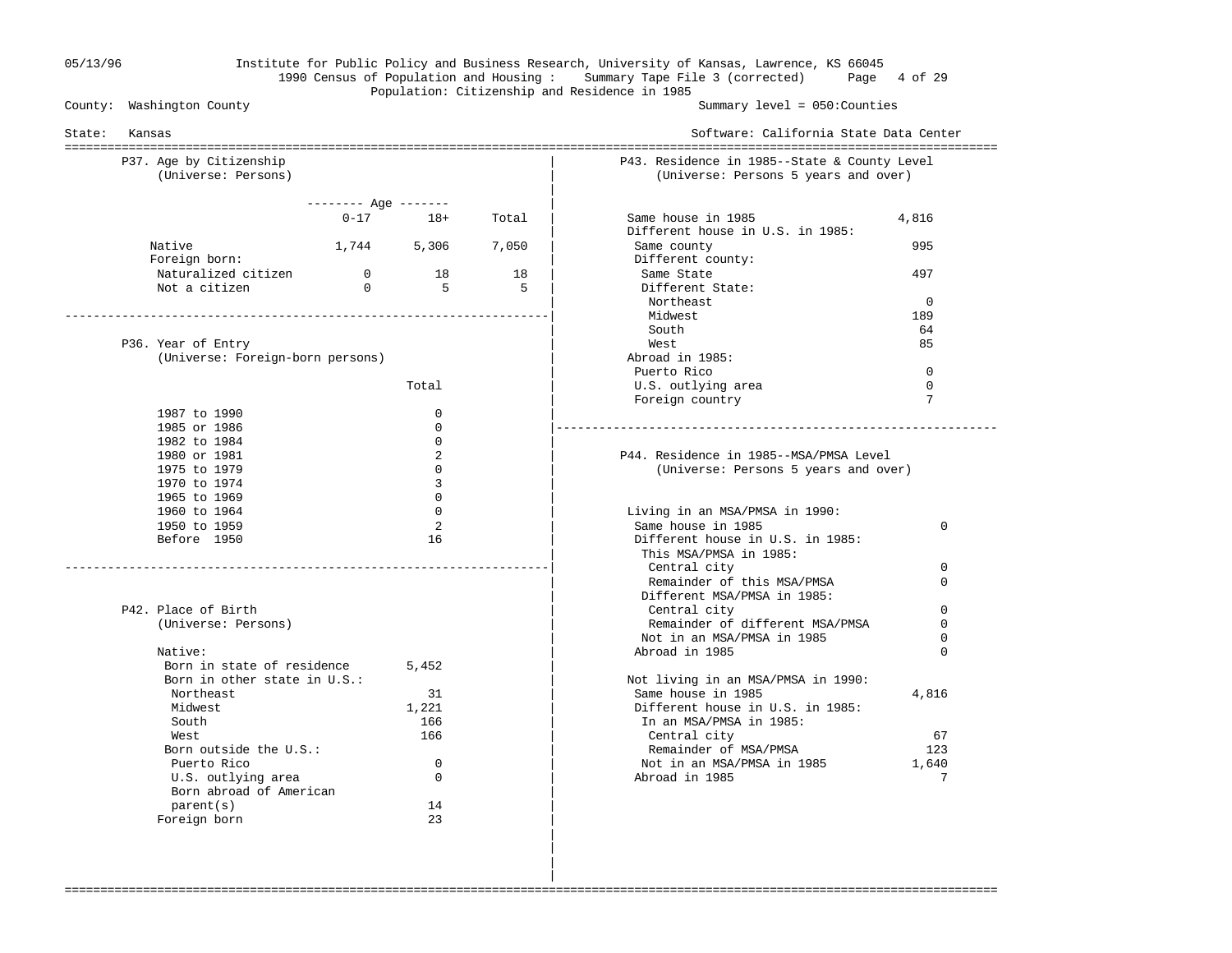# 05/13/96 Institute for Public Policy and Business Research, University of Kansas, Lawrence, KS 66045 1990 Census of Population and Housing : Summary Tape File 3 (corrected) Page 4 of 29 Population: Citizenship and Residence in 1985<br>County: Washington County

Summary level =  $050$ : Counties

| State:<br>Kansas                 |                       |              | Software: California State Data Center |                                                               |                      |  |  |
|----------------------------------|-----------------------|--------------|----------------------------------------|---------------------------------------------------------------|----------------------|--|--|
| P37. Age by Citizenship          |                       |              |                                        | P43. Residence in 1985--State & County Level                  |                      |  |  |
| (Universe: Persons)              |                       |              |                                        | (Universe: Persons 5 years and over)                          |                      |  |  |
|                                  | $------$ Age $------$ |              |                                        |                                                               |                      |  |  |
|                                  |                       | $0 - 17$ 18+ | Total                                  | Same house in 1985                                            | 4,816                |  |  |
|                                  |                       |              |                                        | Different house in U.S. in 1985:                              |                      |  |  |
| Native                           | 1,744 5,306           |              | 7,050                                  | Same county                                                   | 995                  |  |  |
| Foreign born:                    |                       |              |                                        | Different county:                                             |                      |  |  |
| Naturalized citizen              | $\overline{0}$        | 18           | 18                                     | Same State                                                    | 497                  |  |  |
| Not a citizen                    | $\Omega$              | -5           | .5                                     | Different State:                                              |                      |  |  |
|                                  |                       |              |                                        | Northeast                                                     | $\Omega$             |  |  |
|                                  |                       |              |                                        | Midwest                                                       | 189                  |  |  |
|                                  |                       |              |                                        | South                                                         | 64                   |  |  |
| P36. Year of Entry               |                       |              |                                        | West                                                          | 85                   |  |  |
| (Universe: Foreign-born persons) |                       |              |                                        | Abroad in 1985:                                               |                      |  |  |
|                                  |                       |              |                                        | Puerto Rico                                                   | $\Omega$<br>$\Omega$ |  |  |
|                                  |                       | Total        |                                        | U.S. outlying area                                            | 7                    |  |  |
| 1987 to 1990                     |                       | $\Omega$     |                                        | Foreign country                                               |                      |  |  |
| 1985 or 1986                     |                       | $\mathbf 0$  |                                        |                                                               |                      |  |  |
| 1982 to 1984                     |                       | $\Omega$     |                                        |                                                               |                      |  |  |
| 1980 or 1981                     |                       | 2            |                                        | P44. Residence in 1985--MSA/PMSA Level                        |                      |  |  |
| 1975 to 1979                     |                       | $\Omega$     |                                        | (Universe: Persons 5 years and over)                          |                      |  |  |
| 1970 to 1974                     |                       | 3            |                                        |                                                               |                      |  |  |
| 1965 to 1969                     |                       | $\Omega$     |                                        |                                                               |                      |  |  |
| 1960 to 1964                     |                       | $\Omega$     |                                        | Living in an MSA/PMSA in 1990:                                |                      |  |  |
| 1950 to 1959                     |                       | 2            |                                        | Same house in 1985                                            | 0                    |  |  |
| Before 1950                      |                       | 16           |                                        | Different house in U.S. in 1985:                              |                      |  |  |
|                                  |                       |              |                                        | This MSA/PMSA in 1985:                                        |                      |  |  |
|                                  |                       |              |                                        | Central city                                                  | $\Omega$             |  |  |
|                                  |                       |              |                                        | Remainder of this MSA/PMSA                                    | $\Omega$             |  |  |
|                                  |                       |              |                                        | Different MSA/PMSA in 1985:                                   |                      |  |  |
| P42. Place of Birth              |                       |              |                                        | Central city                                                  | $\Omega$             |  |  |
| (Universe: Persons)              |                       |              |                                        | Remainder of different MSA/PMSA<br>Not in an MSA/PMSA in 1985 | 0<br>$\Omega$        |  |  |
| Native:                          |                       |              |                                        | Abroad in 1985                                                | $\Omega$             |  |  |
| Born in state of residence       |                       | 5,452        |                                        |                                                               |                      |  |  |
| Born in other state in U.S.:     |                       |              |                                        | Not living in an MSA/PMSA in 1990:                            |                      |  |  |
| Northeast                        |                       | 31           |                                        | Same house in 1985                                            | 4,816                |  |  |
| Midwest                          |                       | 1,221        |                                        | Different house in U.S. in 1985:                              |                      |  |  |
| South                            |                       | 166          |                                        | In an MSA/PMSA in 1985:                                       |                      |  |  |
| West                             |                       | 166          |                                        | Central city                                                  | 67                   |  |  |
| Born outside the U.S.:           |                       |              |                                        | Remainder of MSA/PMSA                                         | 123                  |  |  |
| Puerto Rico                      |                       | $\mathbf 0$  |                                        | Not in an MSA/PMSA in 1985                                    | 1,640                |  |  |
| U.S. outlying area               |                       | $\mathbf 0$  |                                        | Abroad in 1985                                                | 7                    |  |  |
| Born abroad of American          |                       |              |                                        |                                                               |                      |  |  |
| parent(s)                        |                       | 14           |                                        |                                                               |                      |  |  |
| Foreign born                     |                       | 23           |                                        |                                                               |                      |  |  |

===================================================================================================================================

 | | |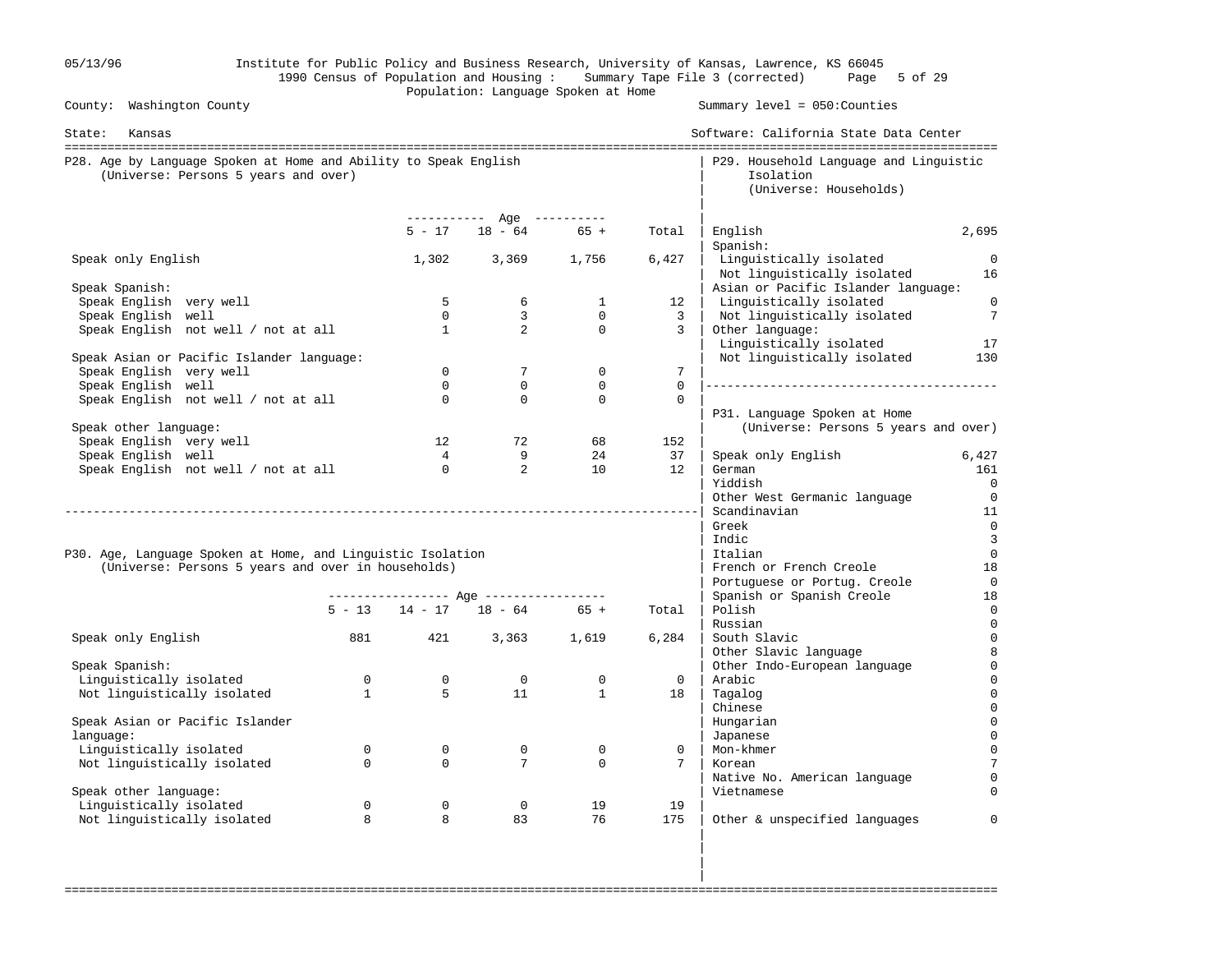|                                                                                                          |                |                                        | Population: Language Spoken at Home                 |                |                 | 1990 Census of Population and Housing: Summary Tape File 3 (corrected)<br>5 of 29<br>Page |                |  |  |  |
|----------------------------------------------------------------------------------------------------------|----------------|----------------------------------------|-----------------------------------------------------|----------------|-----------------|-------------------------------------------------------------------------------------------|----------------|--|--|--|
| County: Washington County                                                                                |                |                                        |                                                     |                |                 | Summary $level = 050$ : Counties                                                          |                |  |  |  |
| State: Kansas                                                                                            |                | Software: California State Data Center |                                                     |                |                 |                                                                                           |                |  |  |  |
| P28. Age by Language Spoken at Home and Ability to Speak English<br>(Universe: Persons 5 years and over) |                |                                        |                                                     |                |                 | P29. Household Language and Linguistic<br>Isolation<br>(Universe: Households)             |                |  |  |  |
|                                                                                                          |                |                                        | ----------- Age ----------<br>$5 - 17$ 18 - 64 65 + |                | Total           | English<br>Spanish:                                                                       | 2,695          |  |  |  |
| Speak only English                                                                                       |                | 1,302                                  | 3,369 1,756                                         |                | 6,427           | Linguistically isolated<br>Not linguistically isolated                                    | $\Omega$<br>16 |  |  |  |
| Speak Spanish:                                                                                           |                |                                        |                                                     |                |                 | Asian or Pacific Islander language:                                                       |                |  |  |  |
| Speak English very well                                                                                  |                | 5                                      | 6                                                   | $\mathbf{1}$   | 12              | Linguistically isolated                                                                   | $\overline{0}$ |  |  |  |
| Speak English well                                                                                       |                | $\Omega$                               | $\mathbf{3}$                                        | $\overline{0}$ | $\overline{3}$  | Not linguistically isolated                                                               | 7              |  |  |  |
| Speak English not well / not at all                                                                      |                | $\mathbf{1}$                           | $\overline{a}$                                      | $\circ$        | $\overline{3}$  | Other language:                                                                           |                |  |  |  |
| Speak Asian or Pacific Islander language:                                                                |                |                                        |                                                     |                |                 | Linguistically isolated<br>Not linguistically isolated                                    | 17<br>130      |  |  |  |
| Speak English very well                                                                                  |                | $\overline{0}$                         | $7^{\circ}$                                         | $\mathbf{0}$   | $7\overline{ }$ |                                                                                           |                |  |  |  |
| Speak English well                                                                                       |                | $\Omega$                               | $\mathbf{0}$                                        | $\mathbf{0}$   | $\Omega$        |                                                                                           |                |  |  |  |
| Speak English not well / not at all                                                                      |                | $\Omega$                               | $\mathbf 0$                                         | $\Omega$       | $\mathbf 0$     |                                                                                           |                |  |  |  |
| Speak other language:                                                                                    |                |                                        |                                                     |                |                 | P31. Language Spoken at Home<br>(Universe: Persons 5 years and over)                      |                |  |  |  |
| Speak English very well                                                                                  |                | 12                                     | 72                                                  | 68             | 152             |                                                                                           |                |  |  |  |
| Speak English well                                                                                       |                | 4                                      | 9                                                   | 24             | 37              | Speak only English                                                                        | 6,427          |  |  |  |
| Speak English not well / not at all                                                                      |                | $\Omega$                               | $\overline{2}$                                      | $10^{-}$       | 12 <sub>1</sub> | German                                                                                    | 161            |  |  |  |
|                                                                                                          |                |                                        |                                                     |                |                 | Yiddish                                                                                   | $\overline{0}$ |  |  |  |
|                                                                                                          |                |                                        |                                                     |                |                 | Other West Germanic language                                                              | $\overline{0}$ |  |  |  |
|                                                                                                          |                |                                        |                                                     |                |                 | Scandinavian                                                                              | 11             |  |  |  |
|                                                                                                          |                |                                        |                                                     |                |                 | Greek                                                                                     | $\overline{0}$ |  |  |  |
|                                                                                                          |                |                                        |                                                     |                |                 | Indic                                                                                     | $\overline{3}$ |  |  |  |
| P30. Age, Language Spoken at Home, and Linguistic Isolation                                              |                |                                        |                                                     |                |                 | Italian                                                                                   | $\overline{0}$ |  |  |  |
| (Universe: Persons 5 years and over in households)                                                       |                |                                        |                                                     |                |                 | French or French Creole                                                                   | 18             |  |  |  |
|                                                                                                          |                |                                        |                                                     |                |                 | Portuguese or Portug. Creole                                                              | $\overline{0}$ |  |  |  |
|                                                                                                          |                |                                        |                                                     |                |                 | Spanish or Spanish Creole                                                                 | 18             |  |  |  |
|                                                                                                          |                |                                        | $5 - 13$ $14 - 17$ $18 - 64$ $65 +$                 |                | Total           | Polish                                                                                    | 0              |  |  |  |
|                                                                                                          |                |                                        |                                                     |                |                 | Russian                                                                                   | $\mathbf 0$    |  |  |  |
| Speak only English                                                                                       | 881            | 421                                    |                                                     | 3,363 1,619    | 6,284           | South Slavic                                                                              | $\mathbf 0$    |  |  |  |
|                                                                                                          |                |                                        |                                                     |                |                 | Other Slavic language                                                                     | 8              |  |  |  |
| Speak Spanish:                                                                                           |                |                                        |                                                     |                |                 | Other Indo-European language                                                              | $\mathbf{0}$   |  |  |  |
| Linguistically isolated                                                                                  | $\overline{0}$ | $\overline{0}$                         | $\overline{0}$                                      | 0              | $\Omega$        | Arabic                                                                                    | 0              |  |  |  |
| Not linguistically isolated                                                                              | $\mathbf{1}$   | 5                                      | 11                                                  | $\mathbf{1}$   | 18              | Tagalog                                                                                   | $\Omega$       |  |  |  |
|                                                                                                          |                |                                        |                                                     |                |                 | Chinese                                                                                   | $\Omega$       |  |  |  |
| Speak Asian or Pacific Islander                                                                          |                |                                        |                                                     |                |                 | Hungarian                                                                                 |                |  |  |  |
| language:                                                                                                |                |                                        |                                                     |                |                 | Japanese                                                                                  |                |  |  |  |
| Linguistically isolated                                                                                  | $\Omega$       | $\mathbf 0$                            | $\mathbf 0$                                         | $\mathbf 0$    | $\mathbf 0$     | Mon-khmer                                                                                 |                |  |  |  |
| Not linguistically isolated                                                                              | $\mathbf 0$    | $\Omega$                               | $7\overline{ }$                                     | $\Omega$       | 7               | Korean                                                                                    |                |  |  |  |
|                                                                                                          |                |                                        |                                                     |                |                 | Native No. American language                                                              |                |  |  |  |
| Speak other language:                                                                                    |                |                                        |                                                     |                |                 | Vietnamese                                                                                |                |  |  |  |
| Linguistically isolated                                                                                  | $\mathbf 0$    | $\mathbf{0}$                           | $\overline{0}$                                      | 19             | 19              |                                                                                           |                |  |  |  |
| Not linguistically isolated                                                                              | 8              | 8                                      | 83                                                  | 76             | 175             | Other & unspecified languages                                                             | $\Omega$       |  |  |  |
|                                                                                                          |                |                                        |                                                     |                |                 |                                                                                           |                |  |  |  |

in the contract of the contract of the contract of the contract of the contract of the contract of the contract ===================================================================================================================================

in the contract of the contract of the contract of the contract of the contract of the contract of the contract

05/13/96 Institute for Public Policy and Business Research, University of Kansas, Lawrence, KS 66045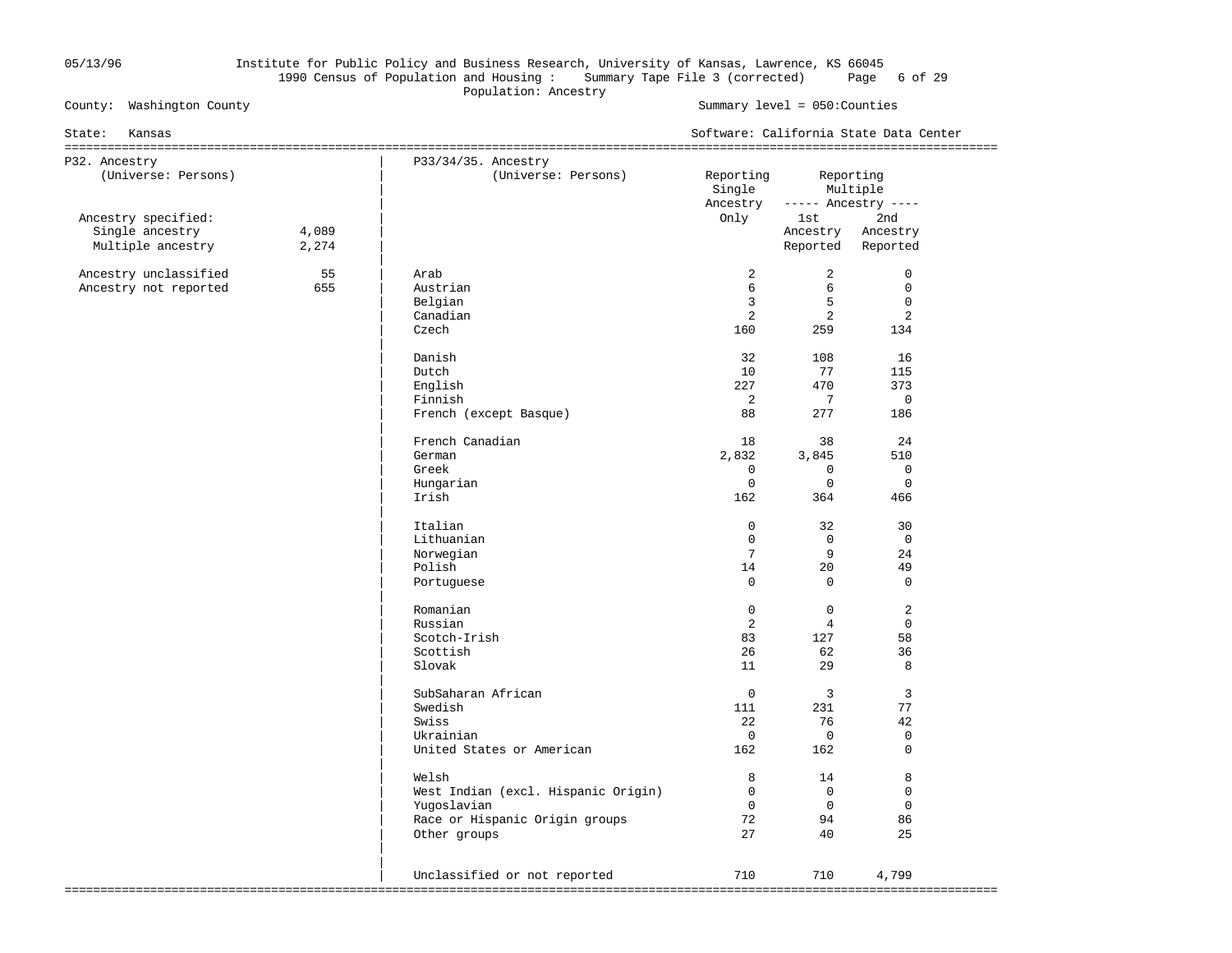# 05/13/96 Institute for Public Policy and Business Research, University of Kansas, Lawrence, KS 66045 1990 Census of Population and Housing : Summary Tape File 3 (corrected) Page 6 of 29 Population: Ancestry<br>
County: Washington County<br>
Population: Ancestry

Summary level =  $050$ : Counties

| State:<br>Kansas                                            |                |                                                                                                               | Software: California State Data Center           |                                                          |                                                           |  |  |
|-------------------------------------------------------------|----------------|---------------------------------------------------------------------------------------------------------------|--------------------------------------------------|----------------------------------------------------------|-----------------------------------------------------------|--|--|
| P32. Ancestry<br>(Universe: Persons)                        |                | P33/34/35. Ancestry<br>(Universe: Persons)                                                                    | Reporting<br>Single<br>Ancestry                  |                                                          | Reporting<br>Multiple<br>$---$ Ancestry $---$             |  |  |
| Ancestry specified:<br>Single ancestry<br>Multiple ancestry | 4,089<br>2,274 |                                                                                                               | Only                                             | 1st<br>Ancestry<br>Reported                              | 2nd<br>Ancestry<br>Reported                               |  |  |
| Ancestry unclassified<br>Ancestry not reported              | 55<br>655      | Arab<br>Austrian<br>Belgian<br>Canadian<br>Czech<br>Danish                                                    | 2<br>6<br>3<br>2<br>160<br>32                    | $\overline{a}$<br>6<br>5<br>$\overline{2}$<br>259<br>108 | $\mathbf 0$<br>$\Omega$<br>$\mathsf{O}$<br>2<br>134<br>16 |  |  |
|                                                             |                | Dutch<br>English<br>Finnish<br>French (except Basque)                                                         | 10<br>227<br>2<br>88                             | 77<br>470<br>7<br>277                                    | 115<br>373<br>$\mathbf 0$<br>186                          |  |  |
|                                                             |                | French Canadian<br>German<br>Greek<br>Hungarian<br>Irish                                                      | 18<br>2,832<br>$\mathbf{0}$<br>$\Omega$<br>162   | 38<br>3,845<br>$\mathbf 0$<br>$\Omega$<br>364            | 24<br>510<br>$\mathbf 0$<br>$\Omega$<br>466               |  |  |
|                                                             |                | Italian<br>Lithuanian<br>Norwegian<br>Polish<br>Portuguese                                                    | $\Omega$<br>$\mathbf 0$<br>7<br>14<br>$\Omega$   | 32<br>$\mathbf 0$<br>9<br>20<br>$\Omega$                 | 30<br>$\mathsf{O}$<br>24<br>49<br>$\Omega$                |  |  |
|                                                             |                | Romanian<br>Russian<br>Scotch-Irish<br>Scottish<br>Slovak                                                     | $\mathbf{0}$<br>$\overline{2}$<br>83<br>26<br>11 | $\mathbf{0}$<br>$\overline{4}$<br>127<br>62<br>29        | 2<br>$\Omega$<br>58<br>36<br>8                            |  |  |
|                                                             |                | SubSaharan African<br>Swedish<br>Swiss<br>Ukrainian<br>United States or American                              | $\Omega$<br>111<br>22<br>$\overline{0}$<br>162   | $\overline{3}$<br>231<br>76<br>$\mathbf 0$<br>162        | 3<br>77<br>42<br>$\mathsf{O}$<br>$\Omega$                 |  |  |
|                                                             |                | Welsh<br>West Indian (excl. Hispanic Origin)<br>Yuqoslavian<br>Race or Hispanic Origin groups<br>Other groups | 8<br>$\Omega$<br>$\Omega$<br>72<br>27            | 14<br>$\mathbf 0$<br>$\Omega$<br>94<br>40                | 8<br>$\mathbf 0$<br>$\mathbf 0$<br>86<br>25               |  |  |
|                                                             |                | Unclassified or not reported                                                                                  | 710                                              | 710                                                      | 4,799                                                     |  |  |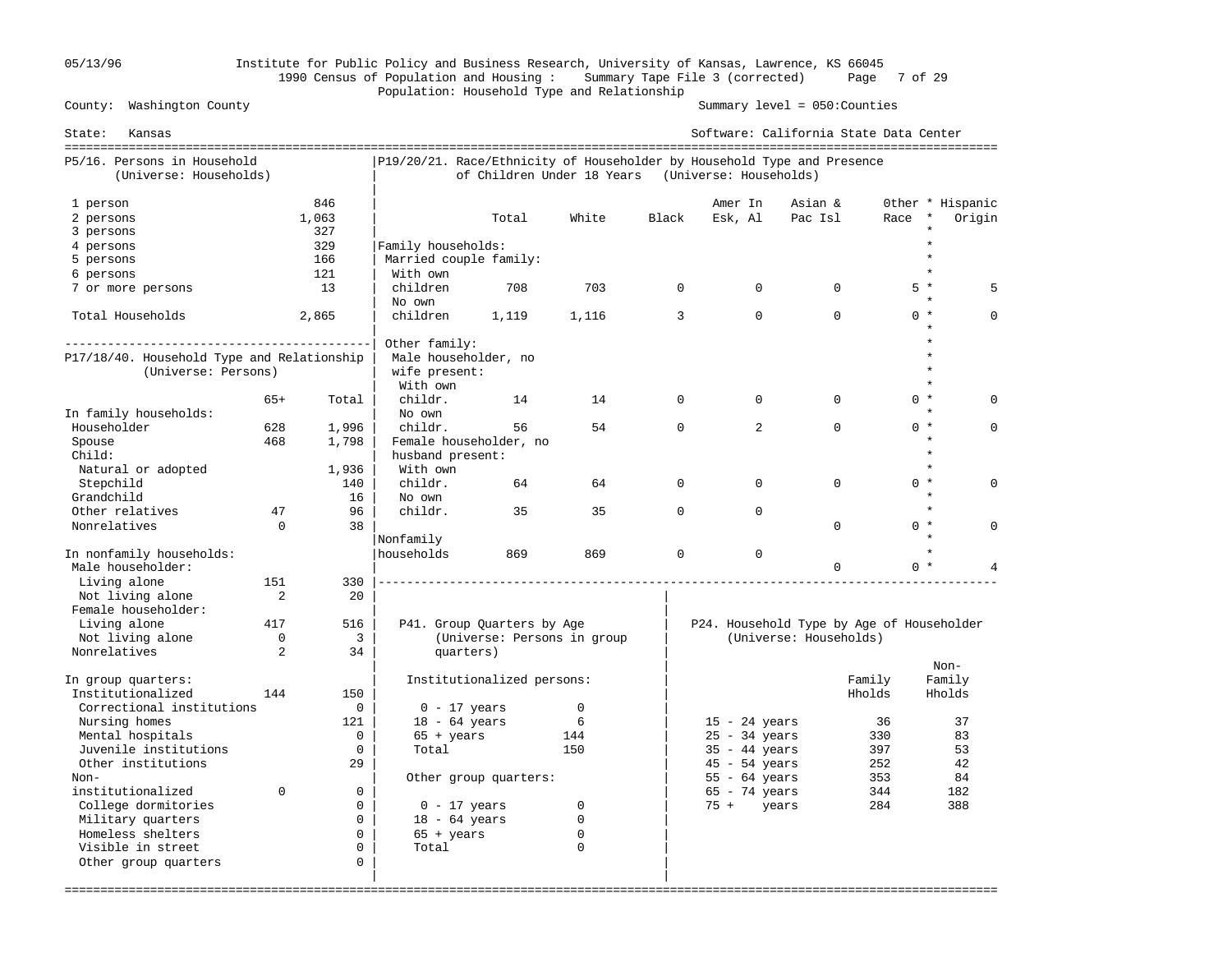# 05/13/96 Institute for Public Policy and Business Research, University of Kansas, Lawrence, KS 66045 1990 Census of Population and Housing : Summary Tape File 3 (corrected) Page 7 of 29 Population: Household Type and Relationship

Summary level =  $050$ : Counties

| State:<br>Kansas                                                  |                |                     |                                                                         |                             |             |              | Software: California State Data Center    |                        |          |         |                            |
|-------------------------------------------------------------------|----------------|---------------------|-------------------------------------------------------------------------|-----------------------------|-------------|--------------|-------------------------------------------|------------------------|----------|---------|----------------------------|
| P5/16. Persons in Household<br>(Universe: Households)             |                |                     | P19/20/21. Race/Ethnicity of Householder by Household Type and Presence | of Children Under 18 Years  |             |              | (Universe: Households)                    |                        |          |         |                            |
| 1 person<br>2 persons<br>3 persons                                |                | 846<br>1,063<br>327 |                                                                         | Total                       | White       | Black        | Amer In<br>Esk, Al                        | Asian &<br>Pac Isl     | Race     | $\star$ | Other * Hispanic<br>Origin |
| 4 persons                                                         |                | 329                 | Family households:                                                      |                             |             |              |                                           |                        |          |         |                            |
| 5 persons                                                         |                | 166                 | Married couple family:                                                  |                             |             |              |                                           |                        |          |         |                            |
| 6 persons                                                         |                | 121                 | With own                                                                |                             |             |              |                                           |                        |          |         |                            |
| 7 or more persons                                                 |                | 13                  | children<br>No own                                                      | 708                         | 703         | $\Omega$     | $\Omega$                                  | $\Omega$               |          | $5 *$   |                            |
| Total Households                                                  |                | 2,865               | children                                                                | 1,119                       | 1,116       | 3            | $\Omega$                                  | $\Omega$               |          | $0 *$   | n                          |
|                                                                   |                |                     | Other family:                                                           |                             |             |              |                                           |                        |          |         |                            |
| P17/18/40. Household Type and Relationship<br>(Universe: Persons) |                |                     | Male householder, no<br>wife present:<br>With own                       |                             |             |              |                                           |                        |          |         |                            |
|                                                                   | $65+$          | Total               | childr.                                                                 | 14                          | 14          | $\Omega$     | $\Omega$                                  | $\Omega$               |          | $0 *$   |                            |
| In family households:                                             |                |                     | No own                                                                  |                             |             |              |                                           |                        |          |         |                            |
| Householder                                                       | 628            | 1,996               | childr.                                                                 | 56                          | 54          | $\Omega$     | 2                                         | $\Omega$               |          | $0 *$   | $\Omega$                   |
| Spouse                                                            | 468            | 1,798               |                                                                         | Female householder, no      |             |              |                                           |                        |          |         |                            |
| Child:                                                            |                |                     | husband present:                                                        |                             |             |              |                                           |                        |          |         |                            |
| Natural or adopted                                                |                | 1,936               | With own                                                                |                             |             |              |                                           |                        |          | $\star$ |                            |
| Stepchild                                                         |                | 140                 | childr.                                                                 | 64                          | 64          | $\mathbf{0}$ | $\Omega$                                  | $\Omega$               | $\Omega$ | $\star$ |                            |
| Grandchild                                                        |                | 16                  | No own                                                                  |                             |             |              |                                           |                        |          | $\star$ |                            |
| Other relatives                                                   | 47             | 96                  | childr.                                                                 | 35                          | 35          | $\Omega$     | $\Omega$                                  |                        |          |         |                            |
| Nonrelatives                                                      | $\Omega$       | 38                  |                                                                         |                             |             |              |                                           | $\Omega$               |          | $0 *$   | $\cap$                     |
|                                                                   |                |                     | Nonfamily                                                               |                             |             |              |                                           |                        |          |         |                            |
| In nonfamily households:<br>Male householder:                     |                |                     | households                                                              | 869                         | 869         | $\mathbf 0$  | $\mathbf 0$                               | $\Omega$               |          | $0 *$   |                            |
| Living alone                                                      | 151            | 330                 |                                                                         |                             |             |              |                                           |                        |          |         |                            |
| Not living alone                                                  | $\overline{2}$ | $20^{\circ}$        |                                                                         |                             |             |              |                                           |                        |          |         |                            |
| Female householder:                                               |                |                     |                                                                         |                             |             |              |                                           |                        |          |         |                            |
| Living alone                                                      | 417            | 516                 |                                                                         | P41. Group Quarters by Age  |             |              | P24. Household Type by Age of Householder |                        |          |         |                            |
| Not living alone                                                  | $\Omega$       | $\overline{3}$      |                                                                         | (Universe: Persons in group |             |              |                                           | (Universe: Households) |          |         |                            |
| Nonrelatives                                                      | 2              | 34                  | quarters)                                                               |                             |             |              |                                           |                        |          | $Non-$  |                            |
| In group quarters:                                                |                |                     |                                                                         | Institutionalized persons:  |             |              |                                           |                        | Family   | Family  |                            |
| Institutionalized                                                 | 144            | 150                 |                                                                         |                             |             |              |                                           |                        | Hholds   | Hholds  |                            |
| Correctional institutions                                         |                | $\mathbf 0$         | $0 - 17$ years                                                          |                             | $\mathbf 0$ |              |                                           |                        |          |         |                            |
| Nursing homes                                                     |                | 121                 | $18 - 64$ years                                                         |                             | 6           |              | $15 - 24$ years                           |                        | 36       |         | 37                         |
| Mental hospitals                                                  |                | $\Omega$            | $65 + \text{years}$                                                     |                             | 144         |              | $25 - 34$ years                           |                        | 330      |         | 83                         |
| Juvenile institutions                                             |                | $\mathbf 0$         | Total                                                                   |                             | 150         |              | $35 - 44$ years                           |                        | 397      |         | 53                         |
| Other institutions                                                |                | 29                  |                                                                         |                             |             |              | $45 - 54$ years                           |                        | 252      |         | 42                         |
| Non-                                                              |                |                     |                                                                         | Other group quarters:       |             |              | $55 - 64$ years                           |                        | 353      |         | 84                         |
| institutionalized                                                 | $\Omega$       | $\Omega$            |                                                                         |                             |             |              | $65 - 74$ years                           |                        | 344      |         | 182                        |
| College dormitories                                               |                | $\mathbf 0$         | $0 - 17$ years                                                          |                             | $\mathbf 0$ |              | $75 +$<br>years                           |                        | 284      |         | 388                        |
| Military quarters                                                 |                | $\Omega$            | $18 - 64$ years                                                         |                             | 0           |              |                                           |                        |          |         |                            |
| Homeless shelters                                                 |                | $\Omega$            | $65 + \text{years}$                                                     |                             | 0           |              |                                           |                        |          |         |                            |
| Visible in street                                                 |                | $\Omega$            | Total                                                                   |                             | $\Omega$    |              |                                           |                        |          |         |                            |
| Other group quarters                                              |                | $\mathbf 0$         |                                                                         |                             |             |              |                                           |                        |          |         |                            |
|                                                                   |                |                     |                                                                         |                             |             |              |                                           |                        |          |         |                            |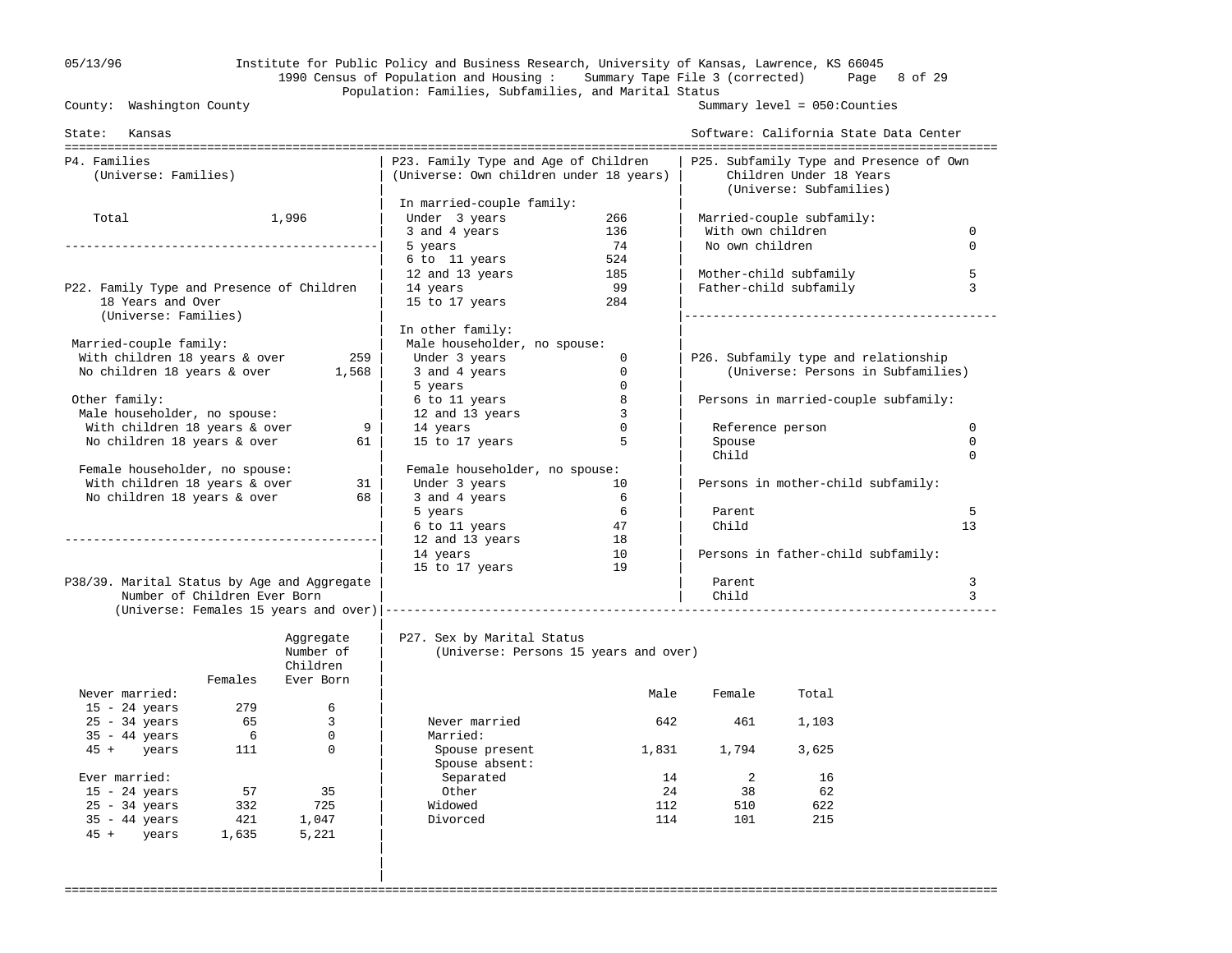# 05/13/96 Institute for Public Policy and Business Research, University of Kansas, Lawrence, KS 66045 1990 Census of Population and Housing : Summary Tape File 3 (corrected) Page 8 of 29 Population: Families, Subfamilies, and Marital Status<br>County: Washington County

Summary level =  $050$ : Counties

| State: Kansas                               |                              |                             |                                                                                 |              |                            | Software: California State Data Center                                                        |          |
|---------------------------------------------|------------------------------|-----------------------------|---------------------------------------------------------------------------------|--------------|----------------------------|-----------------------------------------------------------------------------------------------|----------|
| P4. Families<br>(Universe: Families)        |                              |                             | P23. Family Type and Age of Children<br>(Universe: Own children under 18 years) |              |                            | P25. Subfamily Type and Presence of Own<br>Children Under 18 Years<br>(Universe: Subfamilies) |          |
|                                             |                              |                             | In married-couple family:                                                       |              |                            |                                                                                               |          |
| Total                                       |                              | 1,996                       | Under 3 years<br>266                                                            |              |                            | Married-couple subfamily:                                                                     |          |
|                                             |                              |                             | 3 and 4 years                                                                   | 136          | With own children          |                                                                                               | $\Omega$ |
|                                             |                              |                             | 5 years                                                                         | 74           | No own children            |                                                                                               | $\Omega$ |
|                                             |                              |                             | 6 to 11 years                                                                   | 524          |                            |                                                                                               |          |
|                                             |                              |                             | 12 and 13 years                                                                 | 185          |                            | Mother-child subfamily                                                                        | 5        |
| P22. Family Type and Presence of Children   |                              |                             | 14 years                                                                        | 99           |                            | Father-child subfamily                                                                        | 3        |
| 18 Years and Over<br>(Universe: Families)   |                              |                             | 15 to 17 years                                                                  | 284          |                            |                                                                                               |          |
|                                             |                              |                             | In other family:                                                                |              |                            |                                                                                               |          |
| Married-couple family:                      |                              |                             | Male householder, no spouse:                                                    |              |                            |                                                                                               |          |
| With children 18 years & over               |                              | 259                         | Under 3 years                                                                   | $\mathbf{0}$ |                            | P26. Subfamily type and relationship                                                          |          |
| No children 18 years & over                 |                              | 1,568                       | 3 and 4 years                                                                   | $\Omega$     |                            | (Universe: Persons in Subfamilies)                                                            |          |
|                                             |                              |                             | 5 years                                                                         | $\mathbf{0}$ |                            |                                                                                               |          |
| Other family:                               |                              |                             | 6 to 11 years                                                                   | 8            |                            | Persons in married-couple subfamily:                                                          |          |
| Male householder, no spouse:                |                              |                             | 12 and 13 years                                                                 | 3            |                            |                                                                                               |          |
| With children 18 years & over               |                              | 9                           | 14 years                                                                        | $\Omega$     |                            | Reference person                                                                              | $\Omega$ |
| No children 18 years & over                 |                              | 61 I                        | 15 to 17 years                                                                  | 5            | Spouse                     |                                                                                               | $\Omega$ |
|                                             |                              |                             |                                                                                 |              | Child                      |                                                                                               | $\Omega$ |
| Female householder, no spouse:              |                              |                             | Female householder, no spouse:                                                  |              |                            |                                                                                               |          |
| With children 18 years & over               |                              | 31                          | Under 3 years                                                                   | 10           |                            | Persons in mother-child subfamily:                                                            |          |
| No children 18 years & over                 |                              | 68                          | 3 and 4 years                                                                   | 6            |                            |                                                                                               |          |
|                                             |                              |                             | 5 years                                                                         | 6            | Parent                     |                                                                                               | 5        |
|                                             |                              |                             | 6 to 11 years                                                                   | - 47         | Child                      |                                                                                               | 13       |
|                                             |                              |                             | 12 and 13 years                                                                 | 18           |                            |                                                                                               |          |
|                                             |                              |                             | 14 years                                                                        | 10           |                            | Persons in father-child subfamily:                                                            |          |
|                                             |                              |                             | 15 to 17 years                                                                  | 19           |                            |                                                                                               |          |
| P38/39. Marital Status by Age and Aggregate |                              |                             |                                                                                 |              | Parent                     |                                                                                               | 3        |
|                                             | Number of Children Ever Born |                             |                                                                                 |              | Child                      |                                                                                               | 3        |
|                                             |                              |                             |                                                                                 |              |                            |                                                                                               |          |
|                                             |                              | Aggregate                   | P27. Sex by Marital Status                                                      |              |                            |                                                                                               |          |
|                                             |                              | Number of                   | (Universe: Persons 15 years and over)                                           |              |                            |                                                                                               |          |
|                                             |                              | Children                    |                                                                                 |              |                            |                                                                                               |          |
|                                             | Females                      | Ever Born                   |                                                                                 |              |                            |                                                                                               |          |
| Never married:                              |                              |                             |                                                                                 | Male         | Female                     | Total                                                                                         |          |
| $15 - 24$ years<br>$25 - 34$ years          | 279                          | 6                           |                                                                                 |              |                            |                                                                                               |          |
|                                             | 65                           | 3                           | Never married                                                                   | 642          | 461                        | 1,103                                                                                         |          |
| $35 - 44$ years                             | $6\overline{6}$<br>111       | $\mathbf 0$<br>$\mathbf{0}$ | Married:                                                                        |              |                            |                                                                                               |          |
| 45 + years                                  |                              |                             | Spouse present                                                                  |              | 1,831 1,794                | 3,625                                                                                         |          |
| Ever married:                               |                              |                             | Spouse absent:                                                                  | 14           | $\overline{\phantom{a}}^2$ | 16                                                                                            |          |
| $15 - 24$ years                             | 57                           | 35                          | Separated<br>Other                                                              | 24           | 38                         | 62                                                                                            |          |
| $25 - 34$ years                             | 332                          | 725                         | Widowed                                                                         | 112          | 510                        | 622                                                                                           |          |
| $35 - 44$ years                             | 421                          | 1,047                       | Divorced                                                                        | 114          | 101                        | 215                                                                                           |          |
| 45 + years                                  | 1,635                        | 5,221                       |                                                                                 |              |                            |                                                                                               |          |
|                                             |                              |                             |                                                                                 |              |                            |                                                                                               |          |
|                                             |                              |                             |                                                                                 |              |                            |                                                                                               |          |
|                                             |                              |                             |                                                                                 |              |                            |                                                                                               |          |
|                                             |                              |                             |                                                                                 |              |                            |                                                                                               |          |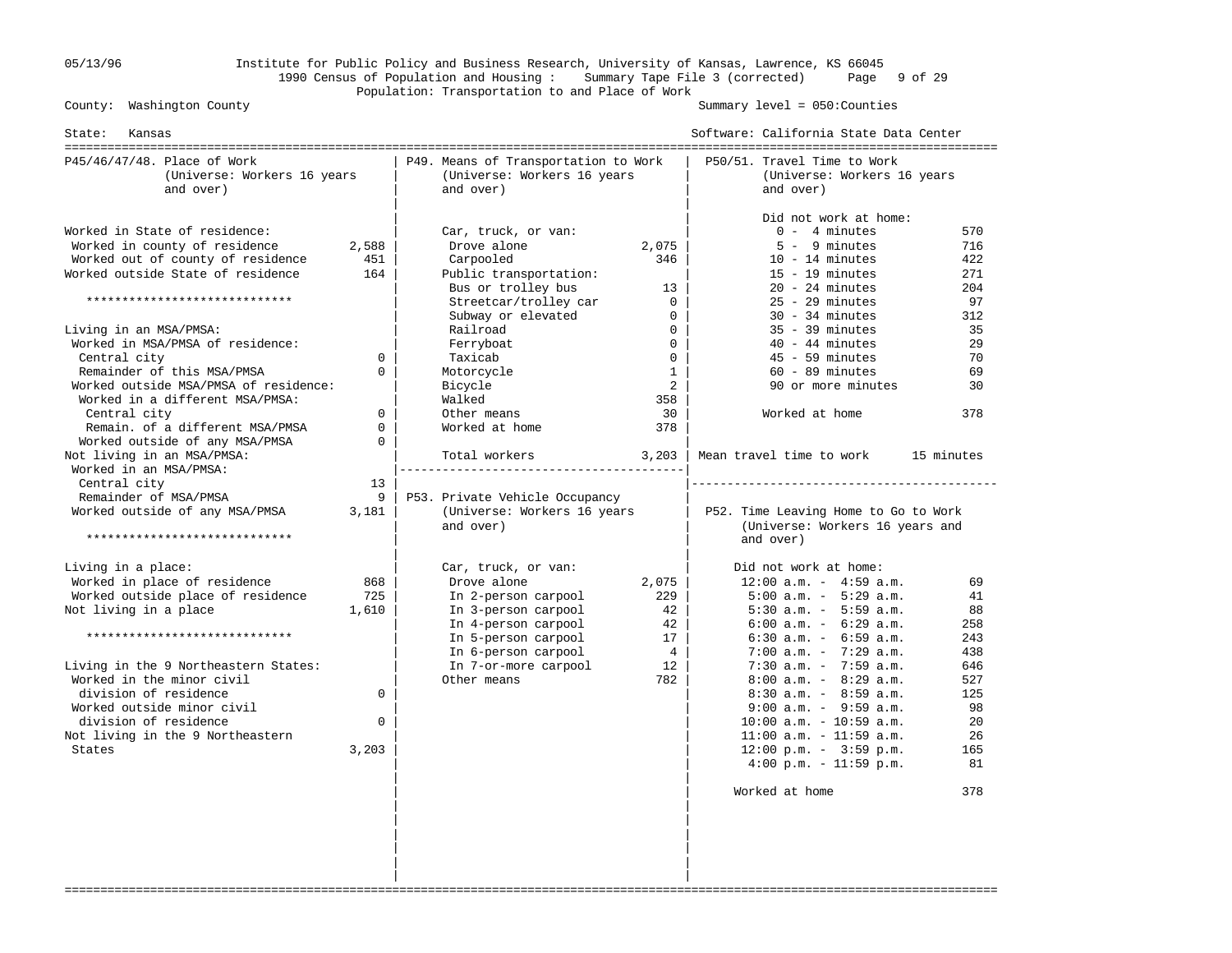# 05/13/96 Institute for Public Policy and Business Research, University of Kansas, Lawrence, KS 66045 1990 Census of Population and Housing : Summary Tape File 3 (corrected) Page 9 of 29 Population: Transportation to and Place of Work

Summary level =  $050$ : Counties

| P45/46/47/48. Place of Work<br>P49. Means of Transportation to Work<br>(Universe: Workers 16 years<br>(Universe: Workers 16 years<br>and over)<br>and over)<br>Worked in State of residence:<br>Car, truck, or van:<br>Worked in county of residence<br>2,588<br>Drove alone<br>2,075<br>Worked out of county of residence<br>451<br>Carpooled<br>346<br>Worked outside State of residence<br>164<br>Public transportation:<br>Bus or trolley bus<br>13<br>*****************************<br>Streetcar/trolley car<br>$\mathbf{0}$<br>Subway or elevated<br>0<br>$\Omega$<br>Living in an MSA/PMSA:<br>Railroad<br>Worked in MSA/PMSA of residence:<br>Ferryboat<br>$\Omega$<br>Central city<br>Taxicab<br>$\Omega$<br>$\Omega$<br>Remainder of this MSA/PMSA<br>$\Omega$<br>Motorcycle<br>$\mathbf{1}$<br>Worked outside MSA/PMSA of residence:<br>2<br>Bicycle<br>Worked in a different MSA/PMSA:<br>Walked<br>358<br>Central city<br>$\Omega$<br>Other means<br>30<br>Remain. of a different MSA/PMSA<br>$\mathbf 0$<br>Worked at home<br>378<br>Worked outside of any MSA/PMSA<br>$\Omega$<br>Not living in an MSA/PMSA:<br>Total workers<br>3,203<br>Worked in an MSA/PMSA: | P50/51. Travel Time to Work<br>(Universe: Workers 16 years<br>and over)<br>Did not work at home:<br>$0 - 4$ minutes<br>$5 - 9$ minutes<br>$10 - 14$ minutes<br>$15 - 19$ minutes<br>$20 - 24$ minutes<br>$25 - 29$ minutes<br>$30 - 34$ minutes<br>$35 - 39$ minutes<br>$40 - 44$ minutes<br>$45 - 59$ minutes<br>$60 - 89$ minutes<br>90 or more minutes                                                                                                                                       | 570<br>716<br>422<br>271<br>204<br>97<br>312<br>35<br>29                                       |
|---------------------------------------------------------------------------------------------------------------------------------------------------------------------------------------------------------------------------------------------------------------------------------------------------------------------------------------------------------------------------------------------------------------------------------------------------------------------------------------------------------------------------------------------------------------------------------------------------------------------------------------------------------------------------------------------------------------------------------------------------------------------------------------------------------------------------------------------------------------------------------------------------------------------------------------------------------------------------------------------------------------------------------------------------------------------------------------------------------------------------------------------------------------------------------|-------------------------------------------------------------------------------------------------------------------------------------------------------------------------------------------------------------------------------------------------------------------------------------------------------------------------------------------------------------------------------------------------------------------------------------------------------------------------------------------------|------------------------------------------------------------------------------------------------|
|                                                                                                                                                                                                                                                                                                                                                                                                                                                                                                                                                                                                                                                                                                                                                                                                                                                                                                                                                                                                                                                                                                                                                                                 |                                                                                                                                                                                                                                                                                                                                                                                                                                                                                                 |                                                                                                |
|                                                                                                                                                                                                                                                                                                                                                                                                                                                                                                                                                                                                                                                                                                                                                                                                                                                                                                                                                                                                                                                                                                                                                                                 |                                                                                                                                                                                                                                                                                                                                                                                                                                                                                                 |                                                                                                |
|                                                                                                                                                                                                                                                                                                                                                                                                                                                                                                                                                                                                                                                                                                                                                                                                                                                                                                                                                                                                                                                                                                                                                                                 | Worked at home                                                                                                                                                                                                                                                                                                                                                                                                                                                                                  | 70<br>69<br>30<br>378                                                                          |
| Central city<br>13<br>Remainder of MSA/PMSA<br>9<br>P53. Private Vehicle Occupancy<br>Worked outside of any MSA/PMSA<br>(Universe: Workers 16 years<br>3,181<br>and over)<br>*****************************                                                                                                                                                                                                                                                                                                                                                                                                                                                                                                                                                                                                                                                                                                                                                                                                                                                                                                                                                                      | Mean travel time to work<br>P52. Time Leaving Home to Go to Work<br>(Universe: Workers 16 years and<br>and over)                                                                                                                                                                                                                                                                                                                                                                                | 15 minutes                                                                                     |
| Living in a place:<br>Car, truck, or van:<br>Worked in place of residence<br>868<br>Drove alone<br>2,075<br>Worked outside place of residence<br>725<br>In 2-person carpool<br>229<br>1,610<br>42<br>Not living in a place<br>In 3-person carpool<br>42<br>In 4-person carpool<br>*****************************<br>In 5-person carpool<br>17<br>In 6-person carpool<br>4<br>Living in the 9 Northeastern States:<br>In 7-or-more carpool<br>12<br>Worked in the minor civil<br>782<br>Other means<br>division of residence<br>0<br>Worked outside minor civil<br>division of residence<br>$\Omega$<br>Not living in the 9 Northeastern<br>3,203<br>States                                                                                                                                                                                                                                                                                                                                                                                                                                                                                                                       | Did not work at home:<br>$12:00$ a.m. - $4:59$ a.m.<br>$5:00$ a.m. - $5:29$ a.m.<br>$5:30$ a.m. - $5:59$ a.m.<br>$6:00$ a.m. - $6:29$ a.m.<br>$6:30$ a.m. - $6:59$ a.m.<br>$7:00$ a.m. $-7:29$ a.m.<br>$7:30$ a.m. - $7:59$ a.m.<br>$8:00$ a.m. - $8:29$ a.m.<br>$8:30$ a.m. - $8:59$ a.m.<br>$9:00$ a.m. - $9:59$ a.m.<br>$10:00$ a.m. - $10:59$ a.m.<br>$11:00$ a.m. - $11:59$ a.m.<br>$12:00 \text{ p.m.} - 3:59 \text{ p.m.}$<br>$4:00 \text{ p.m.} - 11:59 \text{ p.m.}$<br>Worked at home | 69<br>41<br>88<br>258<br>243<br>438<br>646<br>527<br>125<br>98<br>20<br>26<br>165<br>81<br>378 |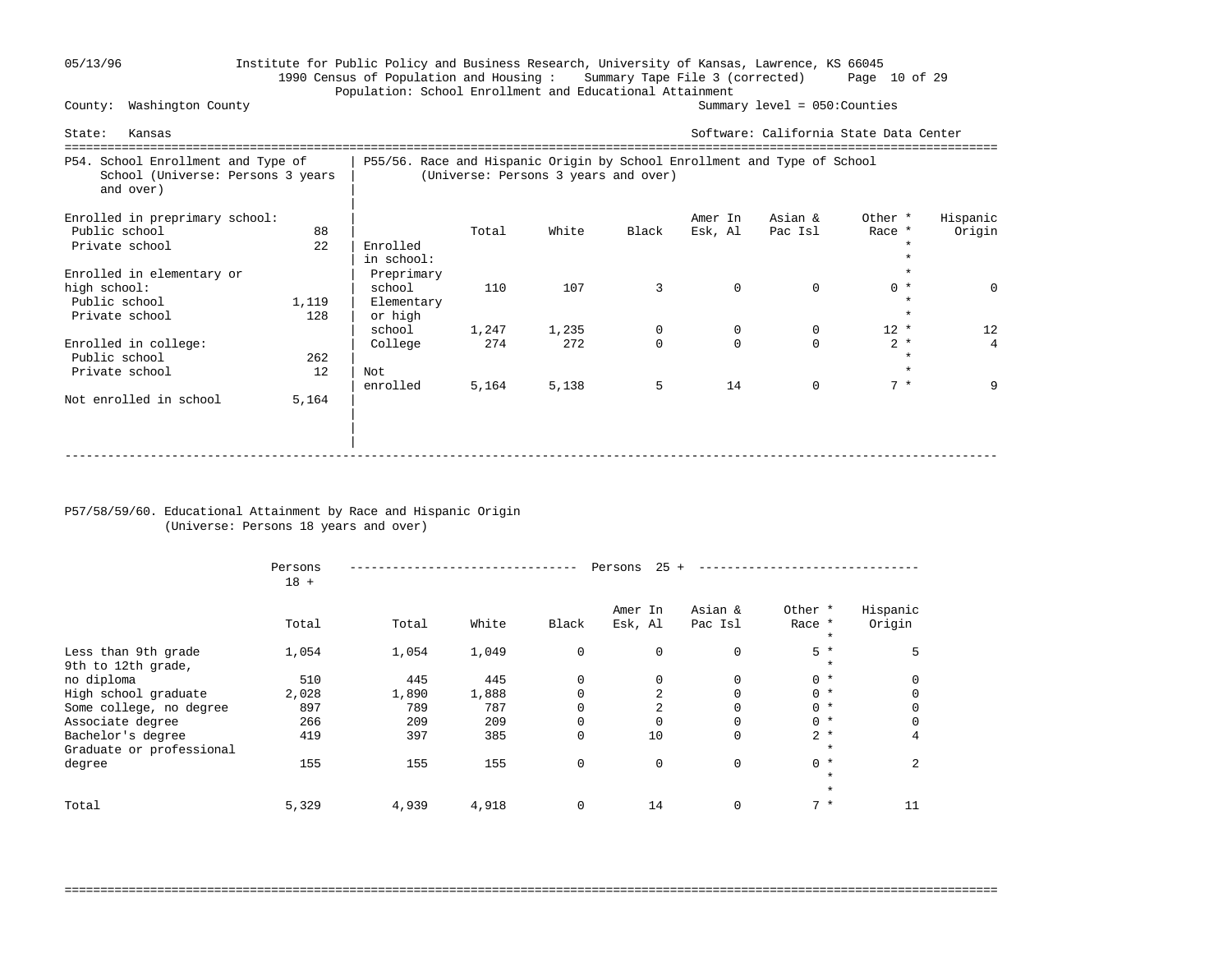# 05/13/96 Institute for Public Policy and Business Research, University of Kansas, Lawrence, KS 66045 1990 Census of Population and Housing : Summary Tape File 3 (corrected) Page 10 of 29 Population: School Enrollment and Educational Attainment<br>Summary level = 050:Counties

County: Washington County

| Kansas<br>State:                                                                     |                                                                          |                                                         |                                      |              |               |                    | Software: California State Data Center |                   |                     |
|--------------------------------------------------------------------------------------|--------------------------------------------------------------------------|---------------------------------------------------------|--------------------------------------|--------------|---------------|--------------------|----------------------------------------|-------------------|---------------------|
| P54. School Enrollment and Type of<br>School (Universe: Persons 3 years<br>and over) | P55/56. Race and Hispanic Origin by School Enrollment and Type of School |                                                         | (Universe: Persons 3 years and over) |              |               |                    |                                        |                   |                     |
| Enrolled in preprimary school:<br>Public school<br>Private school                    | 88<br>22                                                                 | Enrolled<br>in school:                                  | Total                                | White        | Black         | Amer In<br>Esk, Al | Asian &<br>Pac Isl                     | Other *<br>Race * | Hispanic<br>Origin  |
| Enrolled in elementary or<br>high school:<br>Public school<br>Private school         | 1,119<br>128                                                             | Preprimary<br>school<br>Elementary<br>or high<br>school | 110<br>1,247                         | 107<br>1,235 | 3<br>0        | $\mathbf 0$<br>0   | $\Omega$<br>0                          | $0 *$<br>$12 *$   | $\Omega$<br>12      |
| Enrolled in college:<br>Public school<br>Private school                              | 262<br>12                                                                | College<br>Not<br>enrolled                              | 274<br>5,164                         | 272<br>5,138 | $\Omega$<br>5 | $\Omega$<br>14     | $\Omega$<br>$\Omega$                   | $2 *$<br>$7 *$    | $\overline{4}$<br>9 |
| Not enrolled in school                                                               | 5,164                                                                    |                                                         |                                      |              |               |                    |                                        |                   |                     |

### P57/58/59/60. Educational Attainment by Race and Hispanic Origin (Universe: Persons 18 years and over)

|                                               | Persons<br>$18 +$ |       |       |             | 25<br>Persons      |                    |                              |                    |  |  |
|-----------------------------------------------|-------------------|-------|-------|-------------|--------------------|--------------------|------------------------------|--------------------|--|--|
|                                               | Total             | Total | White | Black       | Amer In<br>Esk, Al | Asian &<br>Pac Isl | Other *<br>Race *<br>$\star$ | Hispanic<br>Origin |  |  |
| Less than 9th grade<br>9th to 12th grade,     | 1,054             | 1,054 | 1,049 | $\mathbf 0$ | $\Omega$           | 0                  | $5*$<br>$\ast$               |                    |  |  |
| no diploma                                    | 510               | 445   | 445   | $\mathbf 0$ | 0                  | 0                  | $0 *$                        | <sup>0</sup>       |  |  |
| High school graduate                          | 2,028             | 1,890 | 1,888 | $\Omega$    |                    | $\Omega$           | $0 *$                        |                    |  |  |
| Some college, no degree                       | 897               | 789   | 787   | $\Omega$    |                    |                    | $0 *$                        |                    |  |  |
| Associate degree                              | 266               | 209   | 209   | $\mathbf 0$ |                    | 0                  | $0 *$                        |                    |  |  |
| Bachelor's degree<br>Graduate or professional | 419               | 397   | 385   | $\mathbf 0$ | 10                 | 0                  | $2 *$<br>$\star$             | 4                  |  |  |
| degree                                        | 155               | 155   | 155   | $\mathbf 0$ | $\mathbf 0$        | $\mathbf 0$        | $0 *$<br>$\star$             | 2                  |  |  |
|                                               |                   |       |       |             |                    |                    | $\star$                      |                    |  |  |
| Total                                         | 5,329             | 4,939 | 4,918 | $\mathbf 0$ | 14                 | 0                  | $7 *$                        |                    |  |  |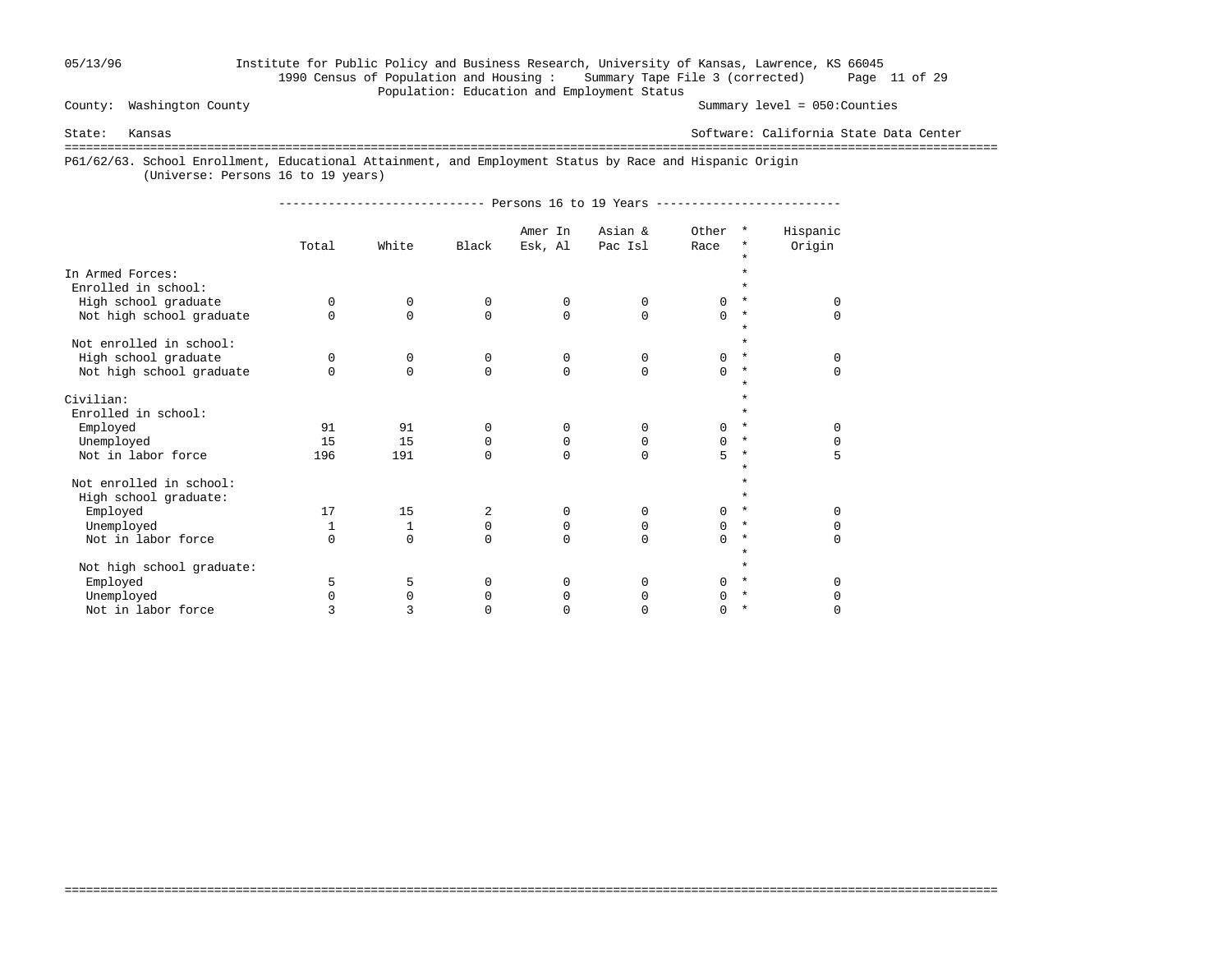### 05/13/96 Institute for Public Policy and Business Research, University of Kansas, Lawrence, KS 66045 1990 Census of Population and Housing : Summary Tape File 3 (corrected) Page 11 of 29 Population: Education and Employment Status

County: Washington County Summary level = 050:Counties

State: Kansas Software: California State Data Center

===================================================================================================================================

===================================================================================================================================

P61/62/63. School Enrollment, Educational Attainment, and Employment Status by Race and Hispanic Origin

(Universe: Persons 16 to 19 years)

|                                         | Total    | White    | Black       | Amer In<br>Esk, Al | Asian &<br>Pac Isl | Other<br>Race | $\star$<br>*<br>$\star$ | Hispanic<br>Origin |
|-----------------------------------------|----------|----------|-------------|--------------------|--------------------|---------------|-------------------------|--------------------|
| In Armed Forces:<br>Enrolled in school: |          |          |             |                    |                    |               |                         |                    |
| High school graduate                    | $\Omega$ | $\Omega$ | $\Omega$    | $\Omega$           | $\Omega$           | $\cap$        | $\star$                 | U                  |
| Not high school graduate                | $\Omega$ | $\Omega$ | $\Omega$    | $\Omega$           | $\Omega$           | $\Omega$      | $\star$<br>$\star$      | $\Omega$           |
| Not enrolled in school:                 |          |          |             |                    |                    |               |                         |                    |
| High school graduate                    | $\Omega$ | 0        | $\mathbf 0$ | 0                  | $\Omega$           | $\Omega$      | $\star$                 | $\Omega$           |
| Not high school graduate                | $\Omega$ | $\Omega$ | $\Omega$    | $\Omega$           | $\Omega$           | $\cap$        | $^\ast$<br>$\star$      | $\Omega$           |
| Civilian:                               |          |          |             |                    |                    |               |                         |                    |
| Enrolled in school:                     |          |          |             |                    |                    |               |                         |                    |
| Employed                                | 91       | 91       | $\Omega$    | 0                  | 0                  | <sup>n</sup>  | $\star$                 | U                  |
| Unemployed                              | 15       | 15       | $\Omega$    | 0                  | 0                  | $\Omega$      | $\star$                 | 0                  |
| Not in labor force                      | 196      | 191      | $\Omega$    | $\Omega$           | $\Omega$           | 5             | $^\star$                | 5                  |
| Not enrolled in school:                 |          |          |             |                    |                    |               |                         |                    |
| High school graduate:                   |          |          |             |                    |                    |               | $\star$                 |                    |
| Employed                                | 17       | 15       | 2           | 0                  | 0                  | <sup>0</sup>  | $^\ast$                 | U                  |
| Unemployed                              | 1        | 1        | 0           | 0                  | $\Omega$           | $\Omega$      | $\star$                 | <sup>0</sup>       |
| Not in labor force                      | $\Omega$ | $\Omega$ | $\Omega$    | $\Omega$           | $\Omega$           | $\cap$        | $^\star$                | $\Omega$           |
| Not high school graduate:               |          |          |             |                    |                    |               | $\star$                 |                    |
| Employed                                | 5        | 5        | $\Omega$    | $\Omega$           | 0                  | <sup>n</sup>  | $\star$                 | ∩                  |
| Unemployed                              | $\Omega$ | $\Omega$ | 0           | 0                  | 0                  |               | $^\star$                | <sup>0</sup>       |
| Not in labor force                      | 3        | 3        | O           | 0                  |                    | <sup>0</sup>  | $^\star$                | 0                  |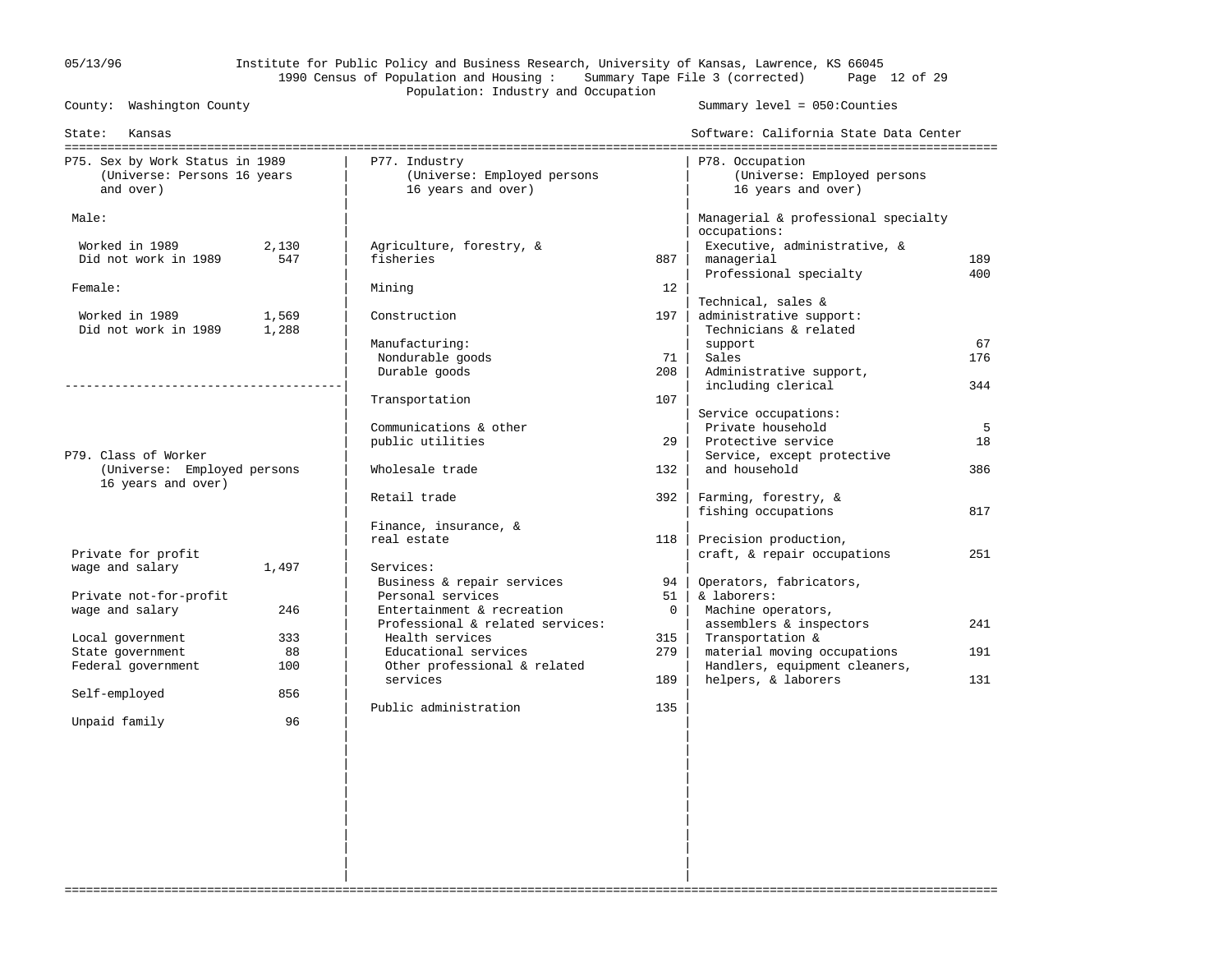# 05/13/96 Institute for Public Policy and Business Research, University of Kansas, Lawrence, KS 66045 1990 Census of Population and Housing : Summary Tape File 3 (corrected) Page 12 of 29 Population: Industry and Occupation<br>County: Washington County

Summary level =  $050$ : Counties

| State:<br>Kansas                |       |                                      |             | Software: California State Data Center              |     |
|---------------------------------|-------|--------------------------------------|-------------|-----------------------------------------------------|-----|
| P75. Sex by Work Status in 1989 |       | P77. Industry                        |             | P78. Occupation                                     |     |
| (Universe: Persons 16 years     |       | (Universe: Employed persons          |             | (Universe: Employed persons                         |     |
| and over)                       |       | 16 years and over)                   |             | 16 years and over)                                  |     |
| Male:                           |       |                                      |             | Managerial & professional specialty<br>occupations: |     |
| Worked in 1989                  | 2,130 | Agriculture, forestry, &             |             | Executive, administrative, &                        |     |
| Did not work in 1989            | 547   | fisheries                            | 887         | managerial                                          | 189 |
|                                 |       |                                      |             | Professional specialty                              | 400 |
| Female:                         |       | Mining                               | 12          |                                                     |     |
|                                 |       |                                      |             | Technical, sales &                                  |     |
| Worked in 1989                  | 1,569 | Construction                         | 197         | administrative support:                             |     |
| Did not work in 1989            | 1,288 |                                      |             | Technicians & related                               |     |
|                                 |       | Manufacturing:                       |             | support                                             | 67  |
|                                 |       | Nondurable goods                     | 71          | Sales                                               | 176 |
|                                 |       | Durable goods                        | 208         | Administrative support,                             |     |
|                                 |       |                                      |             | including clerical                                  | 344 |
|                                 |       | Transportation                       | 107         |                                                     |     |
|                                 |       |                                      |             | Service occupations:                                |     |
|                                 |       | Communications & other               |             | Private household                                   | 5   |
|                                 |       | public utilities                     | 29          | Protective service                                  | 18  |
| P79. Class of Worker            |       |                                      |             | Service, except protective                          |     |
| (Universe: Employed persons     |       | Wholesale trade                      | 132         | and household                                       | 386 |
| 16 years and over)              |       |                                      |             |                                                     |     |
|                                 |       | Retail trade                         | 392         | Farming, forestry, &                                |     |
|                                 |       |                                      |             | fishing occupations                                 | 817 |
|                                 |       | Finance, insurance, &<br>real estate | 118         | Precision production,                               |     |
| Private for profit              |       |                                      |             | craft, & repair occupations                         | 251 |
| wage and salary                 | 1,497 | Services:                            |             |                                                     |     |
|                                 |       | Business & repair services           | 94          | Operators, fabricators,                             |     |
| Private not-for-profit          |       | Personal services                    | 51          | & laborers:                                         |     |
| wage and salary                 | 246   | Entertainment & recreation           | $\mathbf 0$ | Machine operators,                                  |     |
|                                 |       | Professional & related services:     |             | assemblers & inspectors                             | 241 |
| Local government                | 333   | Health services                      | 315         | Transportation &                                    |     |
| State government                | 88    | Educational services                 | 279         | material moving occupations                         | 191 |
| Federal government              | 100   | Other professional & related         |             | Handlers, equipment cleaners,                       |     |
|                                 |       | services                             | 189         | helpers, & laborers                                 | 131 |
| Self-employed                   | 856   |                                      |             |                                                     |     |
|                                 |       | Public administration                | 135         |                                                     |     |
| Unpaid family                   | 96    |                                      |             |                                                     |     |
|                                 |       |                                      |             |                                                     |     |
|                                 |       |                                      |             |                                                     |     |
|                                 |       |                                      |             |                                                     |     |
|                                 |       |                                      |             |                                                     |     |
|                                 |       |                                      |             |                                                     |     |
|                                 |       |                                      |             |                                                     |     |
|                                 |       |                                      |             |                                                     |     |

===================================================================================================================================

 | | | | | | | |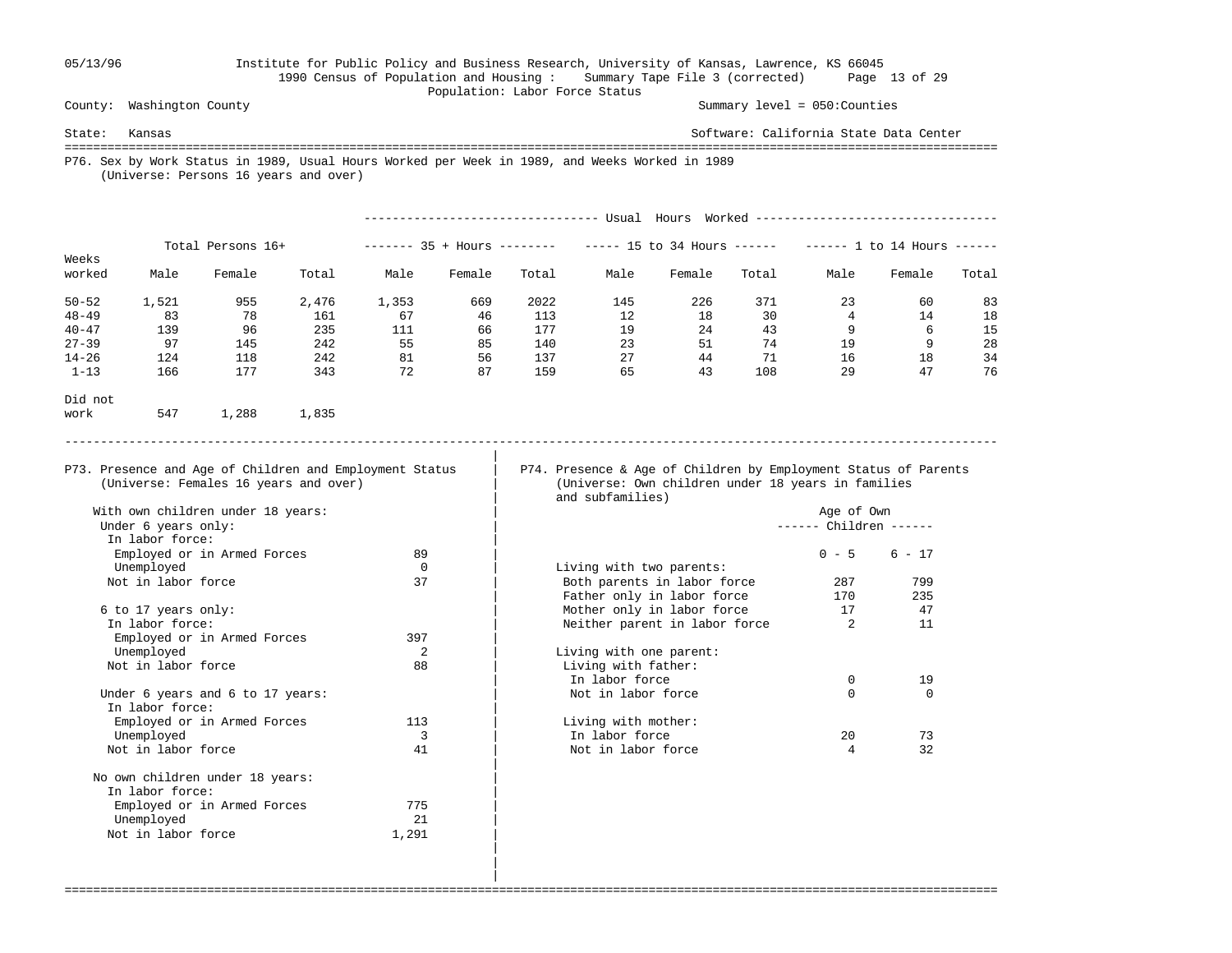### 05/13/96 Institute for Public Policy and Business Research, University of Kansas, Lawrence, KS 66045 1990 Census of Population and Housing : Summary Tape File 3 (corrected) Page 13 of 29 Population: Labor Force Status

In labor force:

In labor force:

Not in labor force

Not in labor force

No own children under 18 years:

Employed or in Armed Forces 775 Unemployed 21<br>
Vot in labor force 1.291

 | | |

County: Washington County Summary level = 050:Counties

State: Kansas Software: California State Data Center =================================================================================================================================== P76. Sex by Work Status in 1989, Usual Hours Worked per Week in 1989, and Weeks Worked in 1989 (Universe: Persons 16 years and over) --------------------------------- Usual Hours Worked ---------------------------------- Total Persons 16+ ------- 35 + Hours ------- ----- 15 to 34 Hours ------ ----- 1 to 14 Hours -----Weeks<br>worked Male Female Total Male Female Total Male Female Total Male Female Total 50-52 1,521 955 2,476 1,353 669 2022 145 226 371 23 60 83 48-49 83 78 161 67 46 113 12 18 30 4 14 18 40-47 139 96 235 111 66 177 19 24 43 9 6 15 27-39 97 145 242 55 85 140 23 51 74 19 9 28 14-26 124 118 242 81 56 137 27 44 71 16 18 34 1-13 166 177 343 72 87 159 65 43 108 29 47 76 Did not work 547 1,288 1,835 ----------------------------------------------------------------------------------------------------------------------------------- | P73. Presence and Age of Children and Employment Status | P74. Presence & Age of Children by Employment Status of Parents (Universe: Females 16 years and over) | (Universe: Own children under 18 years in families and subfamilies) With own children under 18 years: | Age of Own ------ Children ------In labor force:<br>Emploved or in Armed Forces 39 Employed or in Armed Forces 89  $\vert$  0 - 5 6 - 17 Unemployed 0 0 | Living with two parents:<br>Not in labor force 37 | Roth parents in labor for Noth parents in labor force 287 799<br>Father only in labor force 287 235 Father only in labor force 170<br>Mother only in labor force 17 6 to 17 years only: | Mother only in labor force 17 47 In Islam In labor force<br>  $\begin{array}{ccc} 397 & & \end{array}$ Employed or in Armed Forces Unemployed 2 | Living with one parent:<br>Not in labor force 1989 | Living with father: Notice is the same set of the set of the set of the set of the set of the set of the set of the set of the set o<br>  $\begin{array}{c|c}\n\text{I} & \text{I} & \text{I} & \text{I} \\
\text{I} & \text{I} & \text{I} & \text{I} & \text{I}\n\end{array}$ example in the contract of the contract of the contract of the contract of the contract of  $\sim$  19

===================================================================================================================================

Under 6 years and 6 to 17 years:  $\qquad \qquad$  Not in labor force 0 0 0 Employed or in Armed Forces 113 | Living with mother: Unemployed 20 73<br>
Vot in labor force 20 73<br>
Vot in labor force 4 32 |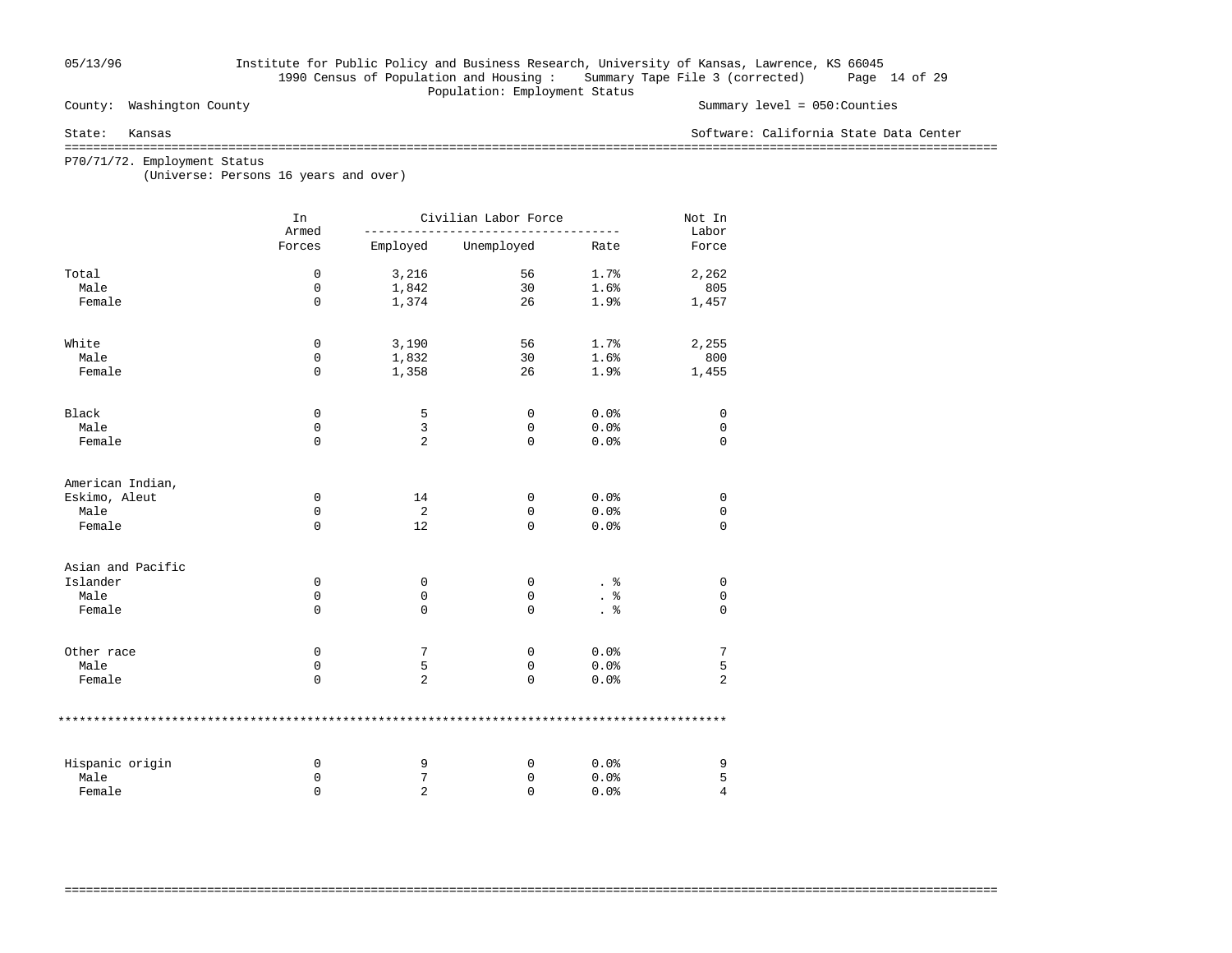### 05/13/96 Institute for Public Policy and Business Research, University of Kansas, Lawrence, KS 66045 1990 Census of Population and Housing : Summary Tape File 3 (corrected) Page 14 of 29 Population: Employment Status

County: Washington County Summary level = 050:Counties

State: Kansas Software: California State Data Center

===================================================================================================================================

===================================================================================================================================

P70/71/72. Employment Status

(Universe: Persons 16 years and over)

|                   | In<br>Armed |                | Civilian Labor Force |      |                |  |  |  |
|-------------------|-------------|----------------|----------------------|------|----------------|--|--|--|
|                   | Forces      | Employed       | Unemployed           | Rate | Labor<br>Force |  |  |  |
| Total             | 0           | 3,216          | 56                   | 1.7% | 2,262          |  |  |  |
| Male              | 0           | 1,842          | 30                   | 1.6% | 805            |  |  |  |
| Female            | $\mathbf 0$ | 1,374          | 26                   | 1.9% | 1,457          |  |  |  |
| White             | 0           | 3,190          | 56                   | 1.7% | 2,255          |  |  |  |
| Male              | 0           | 1,832          | 30                   | 1.6% | 800            |  |  |  |
| Female            | $\mathbf 0$ | 1,358          | 26                   | 1.9% | 1,455          |  |  |  |
| Black             | 0           | 5              | 0                    | 0.0% | 0              |  |  |  |
| Male              | 0           | 3              | 0                    | 0.0% | $\mathbf 0$    |  |  |  |
| Female            | $\mathbf 0$ | 2              | 0                    | 0.0% | $\mathbf 0$    |  |  |  |
| American Indian,  |             |                |                      |      |                |  |  |  |
| Eskimo, Aleut     | 0           | 14             | 0                    | 0.0% | 0              |  |  |  |
| Male              | 0           | 2              | 0                    | 0.0% | 0              |  |  |  |
| Female            | $\Omega$    | 12             | $\Omega$             | 0.0% | $\mathbf 0$    |  |  |  |
| Asian and Pacific |             |                |                      |      |                |  |  |  |
| Islander          | 0           | 0              | 0                    | . 응  | 0              |  |  |  |
| Male              | 0           | 0              | 0                    | နွ   | $\mathsf 0$    |  |  |  |
| Female            | $\mathbf 0$ | 0              | 0                    |      | $\Omega$       |  |  |  |
| Other race        | 0           | 7              | 0                    | 0.0% | 7              |  |  |  |
| Male              | 0           | 5              | 0                    | 0.0% | 5              |  |  |  |
| Female            | $\mathbf 0$ | 2              | 0                    | 0.0% | $\overline{2}$ |  |  |  |
|                   |             |                |                      |      |                |  |  |  |
| Hispanic origin   | 0           | 9              | 0                    | 0.0% | 9              |  |  |  |
| Male              | 0           | 7              | 0                    | 0.0% | 5              |  |  |  |
| Female            | $\Omega$    | $\overline{2}$ | $\Omega$             | 0.0% | $\overline{4}$ |  |  |  |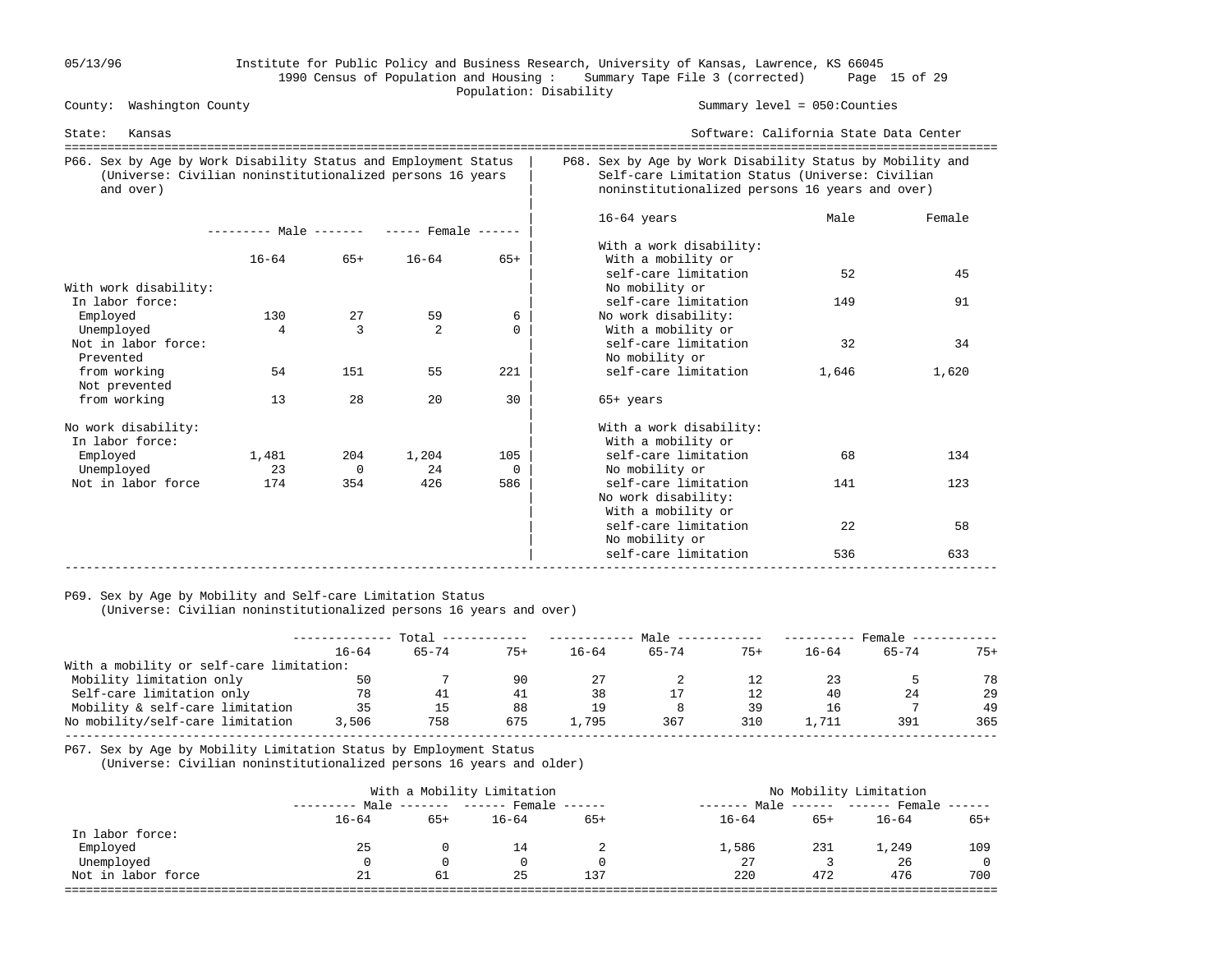### 05/13/96 Institute for Public Policy and Business Research, University of Kansas, Lawrence, KS 66045 1990 Census of Population and Housing : Summary Tape File 3 (corrected) Page 15 of 29 Population: Disability

County: Washington County Summary level = 050:Counties

| Kansas<br>State:                                                                                                                          |                                     |                |           |          |                                                                                                                                                                 | Software: California State Data Center<br>-------------------------------- |        |  |  |
|-------------------------------------------------------------------------------------------------------------------------------------------|-------------------------------------|----------------|-----------|----------|-----------------------------------------------------------------------------------------------------------------------------------------------------------------|----------------------------------------------------------------------------|--------|--|--|
| P66. Sex by Age by Work Disability Status and Employment Status<br>(Universe: Civilian noninstitutionalized persons 16 years<br>and over) |                                     |                |           |          | P68. Sex by Age by Work Disability Status by Mobility and<br>Self-care Limitation Status (Universe: Civilian<br>noninstitutionalized persons 16 years and over) |                                                                            |        |  |  |
|                                                                                                                                           | $------$ Male $-- ---$ Female $---$ |                |           |          | $16-64$ years<br>With a work disability:                                                                                                                        | Male                                                                       | Female |  |  |
|                                                                                                                                           | $16 - 64$                           | $65+$          | $16 - 64$ | $65+$    | With a mobility or                                                                                                                                              |                                                                            |        |  |  |
| With work disability:                                                                                                                     |                                     |                |           |          | self-care limitation<br>No mobility or                                                                                                                          | 52                                                                         | 45     |  |  |
| In labor force:                                                                                                                           |                                     |                |           |          | self-care limitation                                                                                                                                            | 149                                                                        | 91     |  |  |
| Employed                                                                                                                                  | 130                                 | 27             | 59        | 6        | No work disability:                                                                                                                                             |                                                                            |        |  |  |
| Unemployed                                                                                                                                | 4                                   | 3              | 2         | $\Omega$ | With a mobility or                                                                                                                                              |                                                                            |        |  |  |
| Not in labor force:<br>Prevented                                                                                                          |                                     |                |           |          | self-care limitation<br>No mobility or                                                                                                                          | 32                                                                         | 34     |  |  |
| from working<br>Not prevented                                                                                                             | 54                                  | 151            | 55        | 221      | self-care limitation                                                                                                                                            | 1,646                                                                      | 1,620  |  |  |
| from working                                                                                                                              | 13                                  | 28             | 20        | 30       | $65+$ years                                                                                                                                                     |                                                                            |        |  |  |
| No work disability:<br>In labor force:                                                                                                    |                                     |                |           |          | With a work disability:<br>With a mobility or                                                                                                                   |                                                                            |        |  |  |
| Employed                                                                                                                                  | 1,481                               | 204            | 1,204     | 105      | self-care limitation                                                                                                                                            | 68                                                                         | 134    |  |  |
| Unemployed                                                                                                                                | 23                                  | $\overline{0}$ | 24        | $\Omega$ | No mobility or                                                                                                                                                  |                                                                            |        |  |  |
| Not in labor force                                                                                                                        | 174                                 | 354            | 426       | 586      | self-care limitation<br>No work disability:<br>With a mobility or                                                                                               | 141                                                                        | 123    |  |  |
|                                                                                                                                           |                                     |                |           |          | self-care limitation<br>No mobility or                                                                                                                          | 22                                                                         | 58     |  |  |
|                                                                                                                                           |                                     |                |           |          | self-care limitation                                                                                                                                            | 536                                                                        | 633    |  |  |

## P69. Sex by Age by Mobility and Self-care Limitation Status

(Universe: Civilian noninstitutionalized persons 16 years and over)

|                                          | Total     |           |       | Male      |           |       | Female    |       |       |
|------------------------------------------|-----------|-----------|-------|-----------|-----------|-------|-----------|-------|-------|
|                                          | $16 - 64$ | $65 - 74$ | $75+$ | $16 - 64$ | $65 - 74$ | $75+$ | $16 - 64$ | 65-74 | $75+$ |
| With a mobility or self-care limitation: |           |           |       |           |           |       |           |       |       |
| Mobility limitation only                 | 50        |           | 90    |           |           | 12    | 23        |       | 78    |
| Self-care limitation only                | 78        | 41        | -41   | 38        |           | 12    | 40        | 24    | 29    |
| Mobility & self-care limitation          | 35        | 15        | 88    | 19        |           | 39    | 16        |       | 49    |
| No mobility/self-care limitation         | 3,506     | 758       | 675   | 1,795     | 367       | 310   | . . 711   | 391   | 365   |
|                                          |           |           |       |           |           |       |           |       |       |

P67. Sex by Age by Mobility Limitation Status by Employment Status

(Universe: Civilian noninstitutionalized persons 16 years and older)

|                    |           |       | With a Mobility Limitation        | No Mobility Limitation |              |       |           |              |
|--------------------|-----------|-------|-----------------------------------|------------------------|--------------|-------|-----------|--------------|
|                    |           |       | Male ------- ------ Female ------ |                        | ------- Male |       |           |              |
|                    | $16 - 64$ | $65+$ | $16 - 64$                         | $65+$                  | $16 - 64$    | $65+$ | $16 - 64$ | $65+$        |
| In labor force:    |           |       |                                   |                        |              |       |           |              |
| Employed           | 25        |       | 14                                |                        | 1,586        | 231   | 1,249     | 109          |
| Unemployed         |           |       |                                   |                        | 27           |       | 26        | $\mathbf{0}$ |
| Not in labor force | 21        | 61    | 25                                | 137                    | 220          | 472   | 476       | 700          |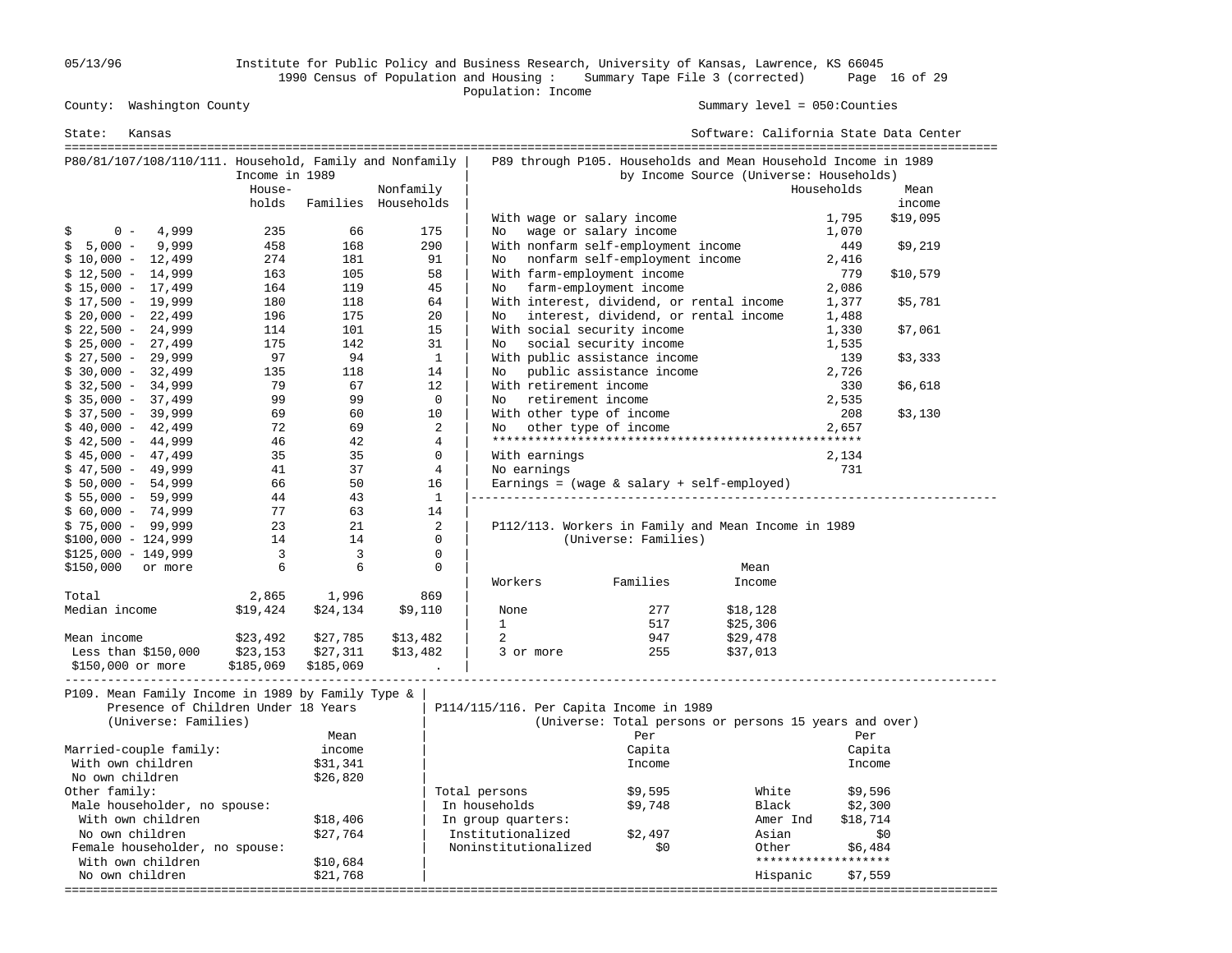05/13/96 Institute for Public Policy and Business Research, University of Kansas, Lawrence, KS 66045 1990 Census of Population and Housing : Summary Tape File 3 (corrected) Page 16 of 29

Population: Income

Summary level =  $050$ : Counties

| State:<br>Kansas                                                                                                 |                |           |                          |                                         |                                              | Software: California State Data Center                                                                    |                     |          |
|------------------------------------------------------------------------------------------------------------------|----------------|-----------|--------------------------|-----------------------------------------|----------------------------------------------|-----------------------------------------------------------------------------------------------------------|---------------------|----------|
| P80/81/107/108/110/111. Household, Family and Nonfamily                                                          | Income in 1989 |           |                          |                                         |                                              | P89 through P105. Households and Mean Household Income in 1989<br>by Income Source (Universe: Households) |                     |          |
|                                                                                                                  | House-         |           | Nonfamily                |                                         |                                              |                                                                                                           | Households          | Mean     |
|                                                                                                                  | holds          |           | Families Households      |                                         |                                              |                                                                                                           |                     | income   |
|                                                                                                                  |                |           |                          | With wage or salary income              |                                              |                                                                                                           | 1,795               | \$19,095 |
| 4,999<br>$0 -$<br>S                                                                                              | 235            | 66        | 175                      | No                                      | wage or salary income                        |                                                                                                           | 1,070               |          |
| $5,000 -$<br>9,999<br>Ŝ.                                                                                         | 458            | 168       | 290                      |                                         | With nonfarm self-employment income          |                                                                                                           | 449                 | \$9,219  |
| $$10,000 - 12,499$                                                                                               | 274            | 181       | 91                       |                                         | No nonfarm self-employment income            |                                                                                                           | 2,416               |          |
| $$12,500 - 14,999$                                                                                               | 163            | 105       | 58                       | With farm-employment income             |                                              |                                                                                                           | 779                 | \$10,579 |
| $$15,000 - 17,499$                                                                                               | 164            | 119       | 45                       | No farm-employment income               |                                              |                                                                                                           | 2,086               |          |
| $$17,500 - 19,999$                                                                                               | 180            | 118       | 64                       |                                         | With interest, dividend, or rental income    |                                                                                                           | 1,377               | \$5,781  |
| $$20,000 - 22,499$                                                                                               | 196            | 175       | 20                       | No                                      | interest, dividend, or rental income         |                                                                                                           | 1,488               |          |
| $$22,500 - 24,999$                                                                                               | 114            | 101       | 15                       | With social security income             |                                              |                                                                                                           | 1,330               | \$7,061  |
| $$25,000 - 27,499$                                                                                               | 175            | 142       | 31                       | No                                      | social security income                       |                                                                                                           | 1,535               |          |
| $$27,500 - 29,999$                                                                                               | 97             | 94        | $\mathbf{1}$             |                                         | With public assistance income                |                                                                                                           | 139                 | \$3,333  |
| $$30,000 - 32,499$                                                                                               | 135            | 118       | 14                       | No                                      | public assistance income                     |                                                                                                           | 2,726               |          |
| $$32,500 - 34,999$                                                                                               | 79             | 67        | 12                       | With retirement income                  |                                              |                                                                                                           | 330                 | \$6,618  |
| $$35,000 - 37,499$                                                                                               | 99             | 99        | $\overline{0}$           | retirement income<br>No                 |                                              |                                                                                                           | 2,535               |          |
| $$37,500 - 39,999$                                                                                               | 69             | 60        | 10                       | With other type of income               |                                              |                                                                                                           | 208                 | \$3,130  |
| $$40,000 - 42,499$                                                                                               | 72             | 69        | 2                        | No                                      | other type of income                         |                                                                                                           | 2,657               |          |
| $$42,500 - 44,999$                                                                                               | 46             | 42        | 4                        |                                         |                                              |                                                                                                           |                     |          |
| $$45,000 - 47,499$                                                                                               | 35             | 35        | $\mathbf 0$              | With earnings                           |                                              |                                                                                                           | 2,134               |          |
| $$47,500 - 49,999$                                                                                               | 41             | 37        | $\overline{4}$           | No earnings                             |                                              |                                                                                                           | 731                 |          |
| $$50,000 - 54,999$                                                                                               | 66             | 50        | 16                       |                                         | Earnings = $(wage & salary + self-employed)$ |                                                                                                           |                     |          |
| $$55,000 - 59,999$                                                                                               | 44             | 43        | <sup>1</sup>             |                                         |                                              |                                                                                                           |                     |          |
| $$60,000 - 74,999$                                                                                               | 77             | 63        | 14                       |                                         |                                              |                                                                                                           |                     |          |
| $$75,000 - 99,999$                                                                                               | 23             | 21        | 2                        |                                         |                                              | P112/113. Workers in Family and Mean Income in 1989                                                       |                     |          |
| $$100,000 - 124,999$                                                                                             | 14             | 14        | $\mathbf{0}$             |                                         | (Universe: Families)                         |                                                                                                           |                     |          |
| $$125,000 - 149,999$                                                                                             | $\overline{3}$ | 3         | $\mathbf{0}$<br>$\Omega$ |                                         |                                              |                                                                                                           |                     |          |
| \$150,000 or more                                                                                                | 6              | 6         |                          |                                         |                                              | Mean                                                                                                      |                     |          |
|                                                                                                                  |                |           |                          | Workers                                 | Families                                     | Income                                                                                                    |                     |          |
| Total<br>Median income                                                                                           | 2,865          | 1,996     | 869                      |                                         | 277                                          |                                                                                                           |                     |          |
|                                                                                                                  | \$19,424       | \$24,134  | \$9,110                  | None<br>$\mathbf{1}$                    | 517                                          | \$18,128<br>\$25,306                                                                                      |                     |          |
| Mean income                                                                                                      | \$23,492       | \$27,785  | \$13,482                 | 2                                       | 947                                          | \$29,478                                                                                                  |                     |          |
| Less than $$150,000$                                                                                             | \$23,153       | \$27,311  | \$13,482                 | 3 or more                               | 255                                          | \$37,013                                                                                                  |                     |          |
| \$150,000 or more                                                                                                | \$185,069      | \$185,069 |                          |                                         |                                              |                                                                                                           |                     |          |
| P109. Mean Family Income in 1989 by Family Type &<br>Presence of Children Under 18 Years<br>(Universe: Families) |                | Mean      |                          | P114/115/116. Per Capita Income in 1989 | Per                                          | (Universe: Total persons or persons 15 years and over)                                                    | Per                 |          |
| Married-couple family:                                                                                           |                | income    |                          |                                         | Capita                                       |                                                                                                           | Capita              |          |
| With own children                                                                                                |                | \$31,341  |                          |                                         | Income                                       |                                                                                                           | Income              |          |
| No own children                                                                                                  |                | \$26,820  |                          |                                         |                                              |                                                                                                           |                     |          |
| Other family:                                                                                                    |                |           |                          | Total persons                           | \$9,595                                      | White                                                                                                     | \$9,596             |          |
| Male householder, no spouse:                                                                                     |                |           |                          | In households                           | \$9,748                                      | Black                                                                                                     | \$2,300             |          |
| With own children                                                                                                |                | \$18,406  |                          | In group quarters:                      |                                              | Amer Ind                                                                                                  | \$18,714            |          |
| No own children                                                                                                  |                | \$27,764  |                          | Institutionalized                       | \$2,497                                      | Asian                                                                                                     |                     | \$0      |
| Female householder, no spouse:                                                                                   |                |           |                          | Noninstitutionalized                    | \$0                                          | Other                                                                                                     | \$6,484             |          |
| With own children                                                                                                |                | \$10,684  |                          |                                         |                                              |                                                                                                           | ******************* |          |
| No own children                                                                                                  |                | \$21,768  |                          |                                         |                                              | Hispanic                                                                                                  | \$7,559             |          |
|                                                                                                                  |                |           |                          |                                         |                                              |                                                                                                           |                     |          |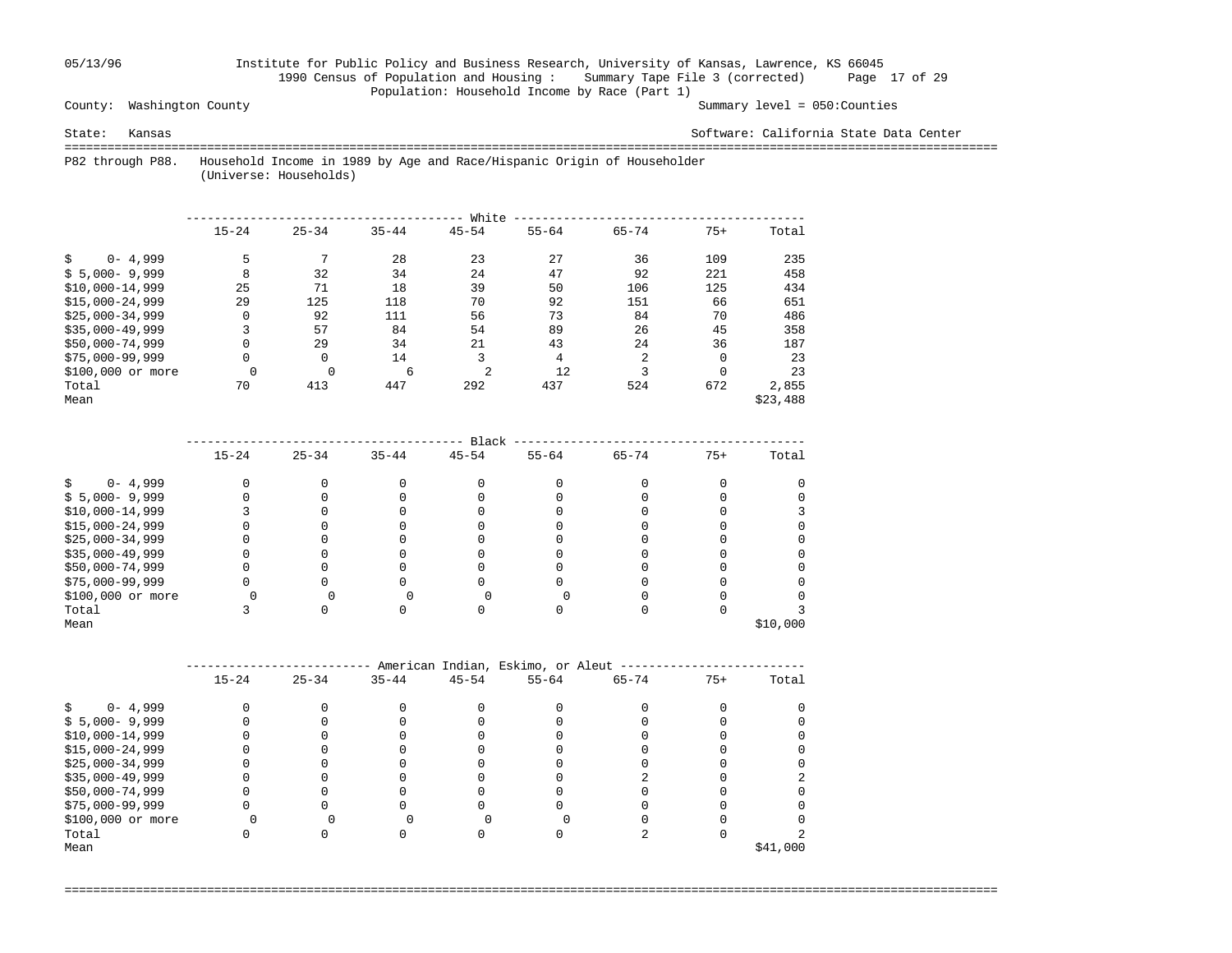### 05/13/96 Institute for Public Policy and Business Research, University of Kansas, Lawrence, KS 66045 1990 Census of Population and Housing : Summary Tape File 3 (corrected) Page 17 of 29 Population: Household Income by Race (Part 1)

County: Washington County Summary level = 050:Counties

State: Kansas Software: California State Data Center

 =================================================================================================================================== P82 through P88. Household Income in 1989 by Age and Race/Hispanic Origin of Householder

(Universe: Households)

|                    |           |           |           | White     |           |           |          |          |
|--------------------|-----------|-----------|-----------|-----------|-----------|-----------|----------|----------|
|                    | $15 - 24$ | $25 - 34$ | $35 - 44$ | $45 - 54$ | $55 - 64$ | $65 - 74$ | $75+$    | Total    |
| $0 - 4,999$<br>Ŝ.  | 5         |           | 28        | 23        | 27        | 36        | 109      | 235      |
| $$5,000-9,999$     | 8         | 32        | 34        | 24        | 47        | 92        | 221      | 458      |
| $$10,000-14,999$   | 25        | 71        | 18        | 39        | 50        | 106       | 125      | 434      |
| $$15.000 - 24.999$ | 29        | 125       | 118       | 70        | 92        | 151       | 66       | 651      |
| $$25.000 - 34.999$ | 0         | 92        | 111       | 56        | 73        | 84        | 70       | 486      |
| $$35,000-49,999$   | 3         | 57        | 84        | 54        | 89        | 26        | 45       | 358      |
| $$50,000-74,999$   | 0         | 29        | 34        | 21        | 43        | 24        | 36       | 187      |
| $$75,000-99,999$   | 0         | 0         | 14        | 3         | 4         | 2         | 0        | 23       |
| \$100,000 or more  | $\Omega$  | $\Omega$  | 6         | 2         | 12        | 3         | $\Omega$ | 23       |
| Total              | 70        | 413       | 447       | 292       | 437       | 524       | 672      | 2,855    |
| Mean               |           |           |           |           |           |           |          | \$23,488 |

|                   |           |           |           | Black     |           |           |       |          |
|-------------------|-----------|-----------|-----------|-----------|-----------|-----------|-------|----------|
|                   | $15 - 24$ | $25 - 34$ | $35 - 44$ | $45 - 54$ | $55 - 64$ | $65 - 74$ | $75+$ | Total    |
| $0 - 4,999$       |           |           |           |           |           |           |       |          |
| $$5,000-9,999$    |           |           |           |           |           |           |       |          |
| $$10,000-14,999$  |           |           |           |           |           |           |       |          |
| $$15,000-24,999$  |           |           |           |           |           |           |       |          |
| $$25,000-34,999$  |           |           |           |           |           |           |       |          |
| $$35,000-49,999$  |           |           |           |           |           |           |       |          |
| \$50,000-74,999   |           |           |           |           |           |           |       |          |
| $$75,000-99,999$  |           |           |           |           |           |           |       |          |
| \$100,000 or more |           |           |           |           |           |           |       |          |
| Total             |           |           |           |           |           |           |       |          |
| Mean              |           |           |           |           |           |           |       | \$10,000 |

|                   | American Indian, Eskimo, or Aleut |           |           |           |           |           |       |          |  |  |
|-------------------|-----------------------------------|-----------|-----------|-----------|-----------|-----------|-------|----------|--|--|
|                   | $15 - 24$                         | $25 - 34$ | $35 - 44$ | $45 - 54$ | $55 - 64$ | $65 - 74$ | $75+$ | Total    |  |  |
| $0 - 4,999$       |                                   |           |           |           |           |           |       |          |  |  |
| $$5,000-9,999$    |                                   |           |           |           |           |           |       |          |  |  |
| $$10,000-14,999$  |                                   |           |           |           |           |           |       |          |  |  |
| $$15,000-24,999$  |                                   |           |           |           |           |           |       |          |  |  |
| $$25,000-34,999$  |                                   |           |           |           |           |           |       |          |  |  |
| $$35,000-49,999$  |                                   |           |           |           |           |           |       |          |  |  |
| \$50,000-74,999   |                                   |           |           |           |           |           |       |          |  |  |
| $$75,000-99,999$  |                                   |           |           |           |           |           |       |          |  |  |
| \$100,000 or more |                                   |           |           |           |           |           |       |          |  |  |
| Total             |                                   |           |           |           |           |           |       |          |  |  |
| Mean              |                                   |           |           |           |           |           |       | \$41,000 |  |  |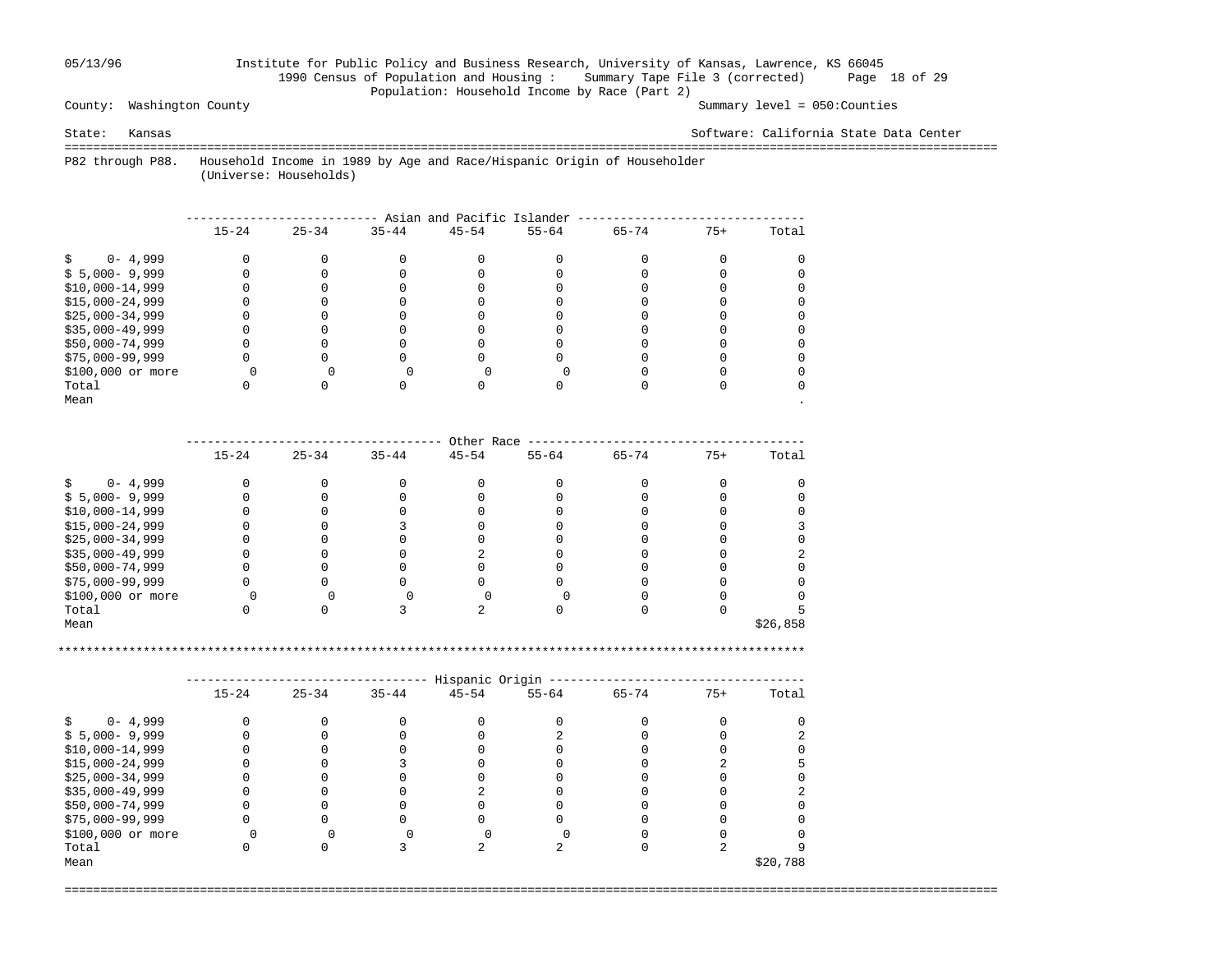### 05/13/96 Institute for Public Policy and Business Research, University of Kansas, Lawrence, KS 66045 1990 Census of Population and Housing : Summary Tape File 3 (corrected) Page 18 of 29 Population: Household Income by Race (Part 2)

County: Washington County Summary level = 050:Counties

State: Kansas Software: California State Data Center

 =================================================================================================================================== P82 through P88. Household Income in 1989 by Age and Race/Hispanic Origin of Householder

(Universe: Households)

|                   | Asian and Pacific Islander |           |           |           |           |           |       |       |  |  |
|-------------------|----------------------------|-----------|-----------|-----------|-----------|-----------|-------|-------|--|--|
|                   | $15 - 24$                  | $25 - 34$ | $35 - 44$ | $45 - 54$ | $55 - 64$ | $65 - 74$ | $75+$ | Total |  |  |
| $0 - 4,999$       |                            |           |           |           |           |           |       |       |  |  |
| $$5,000-9,999$    |                            |           |           |           |           |           |       |       |  |  |
| $$10,000-14,999$  |                            |           |           |           |           |           |       |       |  |  |
| $$15,000-24,999$  |                            |           |           |           |           |           |       |       |  |  |
| $$25,000-34,999$  |                            |           |           |           |           |           |       |       |  |  |
| $$35,000-49,999$  |                            |           |           |           |           |           |       |       |  |  |
| \$50,000-74,999   |                            |           |           |           |           |           |       |       |  |  |
| $$75,000-99,999$  |                            |           |           |           |           |           |       |       |  |  |
| \$100,000 or more |                            |           |           |           |           |           |       |       |  |  |
| Total             |                            |           |           |           |           |           |       |       |  |  |
| Mean              |                            |           |           |           |           |           |       |       |  |  |

|                   |           |           |           | Other Race |           |           |       |          |
|-------------------|-----------|-----------|-----------|------------|-----------|-----------|-------|----------|
|                   | $15 - 24$ | $25 - 34$ | $35 - 44$ | $45 - 54$  | $55 - 64$ | $65 - 74$ | $75+$ | Total    |
| $0 - 4,999$       |           |           |           |            |           |           |       |          |
| $$5,000-9,999$    |           |           |           |            |           |           |       |          |
| $$10,000-14,999$  |           |           |           |            |           |           |       |          |
| $$15,000-24,999$  |           |           |           |            |           |           |       |          |
| $$25,000-34,999$  |           |           |           |            |           |           |       |          |
| $$35,000-49,999$  |           |           |           |            |           |           |       |          |
| \$50,000-74,999   |           |           |           |            |           |           |       |          |
| \$75,000-99,999   |           |           |           |            |           |           |       |          |
| \$100,000 or more |           |           |           |            |           |           |       |          |
| Total             |           |           |           |            |           |           |       |          |
| Mean              |           |           |           |            |           |           |       | \$26,858 |

\*\*\*\*\*\*\*\*\*\*\*\*\*\*\*\*\*\*\*\*\*\*\*\*\*\*\*\*\*\*\*\*\*\*\*\*\*\*\*\*\*\*\*\*\*\*\*\*\*\*\*\*\*\*\*\*\*\*\*\*\*\*\*\*\*\*\*\*\*\*\*\*\*\*\*\*\*\*\*\*\*\*\*\*\*\*\*\*\*\*\*\*\*\*\*\*\*\*\*\*\*\*\*\*\*

|                   |           |           |           | Hispanic Origin |           |           |       |          |
|-------------------|-----------|-----------|-----------|-----------------|-----------|-----------|-------|----------|
|                   | $15 - 24$ | $25 - 34$ | $35 - 44$ | $45 - 54$       | $55 - 64$ | $65 - 74$ | $75+$ | Total    |
| $0 - 4,999$       |           |           |           |                 |           |           |       |          |
| $$5,000-9,999$    |           |           |           |                 |           |           |       |          |
| $$10,000-14,999$  |           |           |           |                 |           |           |       |          |
| $$15,000-24,999$  |           |           |           |                 |           |           |       |          |
| $$25,000-34,999$  |           |           |           |                 |           |           |       |          |
| $$35,000-49,999$  |           |           |           |                 |           |           |       |          |
| \$50,000-74,999   |           |           |           |                 |           |           |       |          |
| $$75,000-99,999$  |           |           |           |                 |           |           |       |          |
| \$100,000 or more |           |           |           |                 |           |           |       |          |
| Total             |           |           |           |                 |           |           |       |          |
| Mean              |           |           |           |                 |           |           |       | \$20,788 |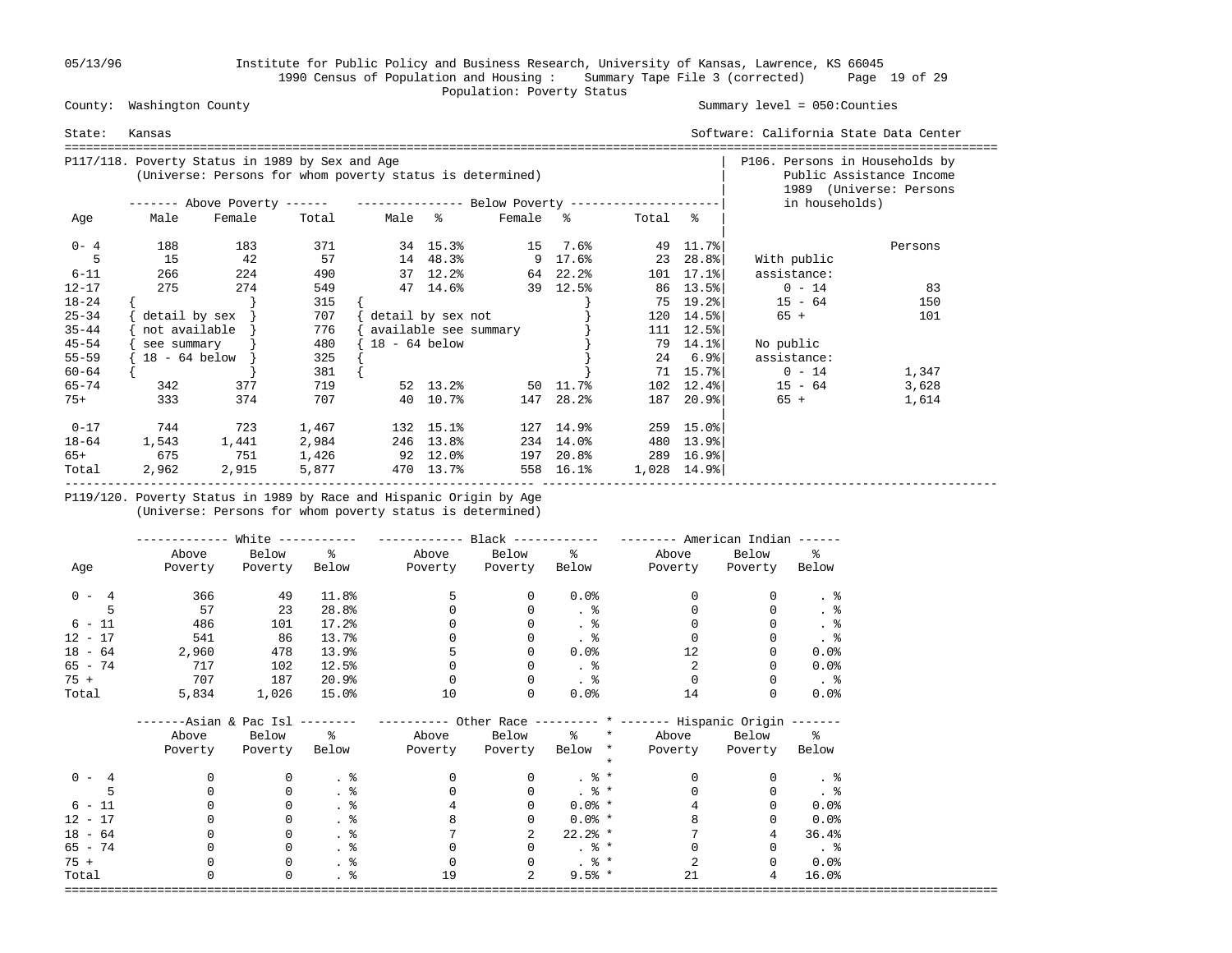05/13/96 Institute for Public Policy and Business Research, University of Kansas, Lawrence, KS 66045 1990 Census of Population and Housing : Summary Tape File 3 (corrected) Page 19 of 29 Population: Poverty Status

### County: Washington County Summary level = 050:Counties

| State:    | Kansas                         |                                                                                                              |       |                   |                       |                   |           |         |                             | Software: California State Data Center |                                                     |
|-----------|--------------------------------|--------------------------------------------------------------------------------------------------------------|-------|-------------------|-----------------------|-------------------|-----------|---------|-----------------------------|----------------------------------------|-----------------------------------------------------|
|           |                                | P117/118. Poverty Status in 1989 by Sex and Age<br>(Universe: Persons for whom poverty status is determined) |       |                   |                       |                   |           |         |                             | P106. Persons in Households by         | Public Assistance Income<br>1989 (Universe: Persons |
|           |                                | ------- Above Poverty ------    ---------------    Below Poverty -------------------                         |       |                   |                       |                   |           |         |                             | in households)                         |                                                     |
| Age       | Male                           | Female                                                                                                       | Total |                   | Male %                | Female %          |           | Total % |                             |                                        |                                                     |
| $0 - 4$   | 188                            | 183                                                                                                          | 371   |                   | 34 15.3%              | 15                | 7.6%      |         | 49 11.7%                    |                                        | Persons                                             |
|           | 15                             | 42                                                                                                           | 57    |                   | 14 48.3%              |                   | 9 17.6%   |         | 23 28.8%                    | With public                            |                                                     |
| $6 - 11$  | 266                            | 224                                                                                                          | 490   |                   | 37 12.2%              |                   | 64 22.2%  |         | $101 \quad 17.1$ %          | assistance:                            |                                                     |
| $12 - 17$ | 275                            | 274                                                                                                          | 549   |                   | 47 14.6%              |                   | 39 12.5%  |         | 86 13.5%                    | $0 - 14$                               | 83                                                  |
| $18 - 24$ |                                |                                                                                                              | 315   |                   |                       |                   |           | 75      | 19.2%                       | $15 - 64$                              | 150                                                 |
| $25 - 34$ | $\delta$ detail by sex $\vert$ |                                                                                                              | 707   |                   | detail by sex not     |                   |           |         | $120 \quad 14.5\%$          | $65 +$                                 | 101                                                 |
| $35 - 44$ | not available                  |                                                                                                              | 776   |                   | available see summary |                   |           |         | 111 12.5%                   |                                        |                                                     |
| $45 - 54$ | see summary                    |                                                                                                              | 480   | $18 - 64$ below   |                       |                   |           |         | 79 14.1%                    | No public                              |                                                     |
| $55 - 59$ | $18 - 64$ below                |                                                                                                              | 325   |                   |                       |                   |           |         | $24$ 6.9%                   | assistance:                            |                                                     |
| $60 - 64$ |                                |                                                                                                              | 381   |                   |                       |                   |           |         | 71 15.7%                    | $0 - 14$                               | 1,347                                               |
| $65 - 74$ | 342                            | 377                                                                                                          | 719   |                   |                       | 52 13.2% 50 11.7% |           | 102     | $12.4$ $8$                  | $15 - 64$                              | 3,628                                               |
| $75+$     | 333                            | 374                                                                                                          | 707   |                   | 40 10.7%              |                   | 147 28.2% |         | 187 20.9%                   | 65 +                                   | 1,614                                               |
| $0 - 17$  | 744                            | 723                                                                                                          | 1,467 |                   | 132 15.1%             |                   | 127 14.9% |         | $259$ 15.0%                 |                                        |                                                     |
| 18-64     | 1,543                          | 1,441                                                                                                        | 2,984 |                   | 246 13.8%             |                   | 234 14.0% |         | 480 13.9%                   |                                        |                                                     |
| 65+       | 675                            | 751                                                                                                          | 1,426 | $92 \quad 12.0$ % |                       |                   | 197 20.8% |         | 289 16.9%                   |                                        |                                                     |
| Total     | 2,962                          | 2,915                                                                                                        | 5,877 |                   | 470 13.7%             |                   | 558 16.1% |         | $1,028$ $14.9$ <sup>*</sup> |                                        |                                                     |

 P119/120. Poverty Status in 1989 by Race and Hispanic Origin by Age (Universe: Persons for whom poverty status is determined)

|           |         | White $-----$                |                       | ------------          | $Black$ ------------ |                   | $------$ American Indian $---$                                  |               |                         |
|-----------|---------|------------------------------|-----------------------|-----------------------|----------------------|-------------------|-----------------------------------------------------------------|---------------|-------------------------|
|           | Above   | Below                        | $\frac{1}{6}$         |                       | Above Below %        |                   | Above                                                           | Below         | ႜၟ                      |
| Age       | Poverty | Poverty                      | Below                 | Poverty Poverty Below |                      |                   | Poverty                                                         | Poverty Below |                         |
| $0 - 4$   | 366     | 49                           | 11.8%                 | 5                     | 0                    | $0.0$ %           | $\Omega$                                                        | $\Omega$      | . 응                     |
| 5         | 57      | 23                           | 28.8%                 |                       | 0                    |                   |                                                                 |               | . $\frac{6}{6}$         |
| $6 - 11$  | 486     | 101                          | 17.2%                 |                       |                      |                   |                                                                 |               | . 응                     |
| $12 - 17$ | 541     | 86                           | 13.7%                 |                       |                      | $\frac{8}{100}$   |                                                                 |               | . 응                     |
| $18 - 64$ | 2,960   | 478                          | 13.9%                 |                       |                      | 0.0%              | 12                                                              |               | 0.0%                    |
| $65 - 74$ | 717     | 102                          | 12.5%                 |                       |                      | $\ddotsc$         | $\mathfrak{D}$                                                  |               | 0.0%                    |
| 75 +      | 707     | 187                          | 20.9%                 |                       | $\Omega$             | . 응               | $\Omega$                                                        |               | $\ddot{\phantom{1}}$    |
| Total     | 5,834   | 1,026                        | $15.0\%$              | 10                    | $\Omega$             | 0.0%              | 14                                                              |               | 0.0%                    |
|           |         | ----Asian & Pac Isl -------- |                       |                       |                      |                   | --------- Other Race -------- * ------- Hispanic Origin ------- |               |                         |
|           | Above   | Below %                      |                       |                       | Above Below          |                   | % * Above Below %                                               |               |                         |
|           | Poverty | Poverty                      | Below                 | Poverty               | Poverty Below *      |                   | Poverty                                                         | Poverty Below |                         |
| $0 - 4$   |         | 0                            | $\cdot$ %             | $\Omega$              | $\overline{0}$       | . $\frac{6}{6}$ * | $\Omega$                                                        |               |                         |
|           |         | $\mathbf 0$                  | . 응                   | $\Omega$              | $\Omega$             | $. \circ$ *       | $\Omega$                                                        | $\Omega$      |                         |
| $6 - 11$  |         | 0                            | $\cdot$ $\frac{8}{6}$ |                       | $\Omega$             | $0.0% *$          |                                                                 |               | 0.0%                    |
| $12 - 17$ |         | 0                            | $\cdot$ %             |                       |                      | $0.0%$ *          |                                                                 |               | 0.0%                    |
| $18 - 64$ |         | 0                            | $\cdot$ %             |                       |                      | $22.2%$ *         |                                                                 | 4             | 36.4%                   |
| 65 - 74   |         | 0                            |                       | $\Omega$              | $\Omega$             | $. \circ$ *       | $\Omega$                                                        | $\Omega$      | $\cdot$ $\cdot$ $\cdot$ |
| $75 +$    |         | 0                            | . 응                   |                       | $\Omega$             | $. \circ$ *       |                                                                 |               | $0.0$ %                 |
| Total     | U       | 0                            |                       | 19                    |                      | $9.5%$ *          | 21                                                              | 4             | 16.0%                   |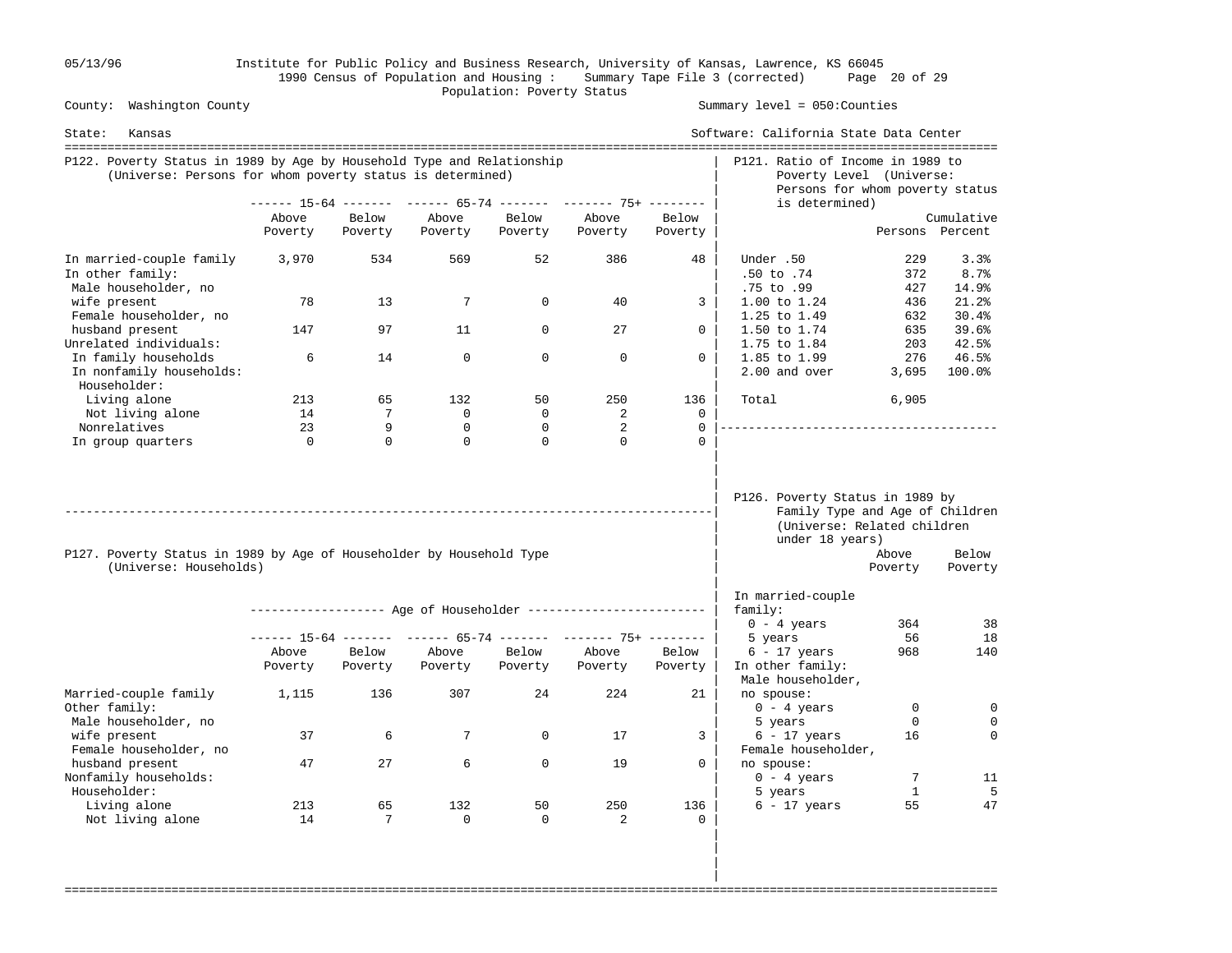05/13/96 Institute for Public Policy and Business Research, University of Kansas, Lawrence, KS 66045 1990 Census of Population and Housing : Summary Tape File 3 (corrected) Page 20 of 29 County: Washington County **Example 2018** Population: Poverty Status County:

Summary level =  $050$ : Counties

| State:<br>Kansas                                                                                                                    |          |          |             |             |                                                                |          | Software: California State Data Center                                                                               |                   |                       |
|-------------------------------------------------------------------------------------------------------------------------------------|----------|----------|-------------|-------------|----------------------------------------------------------------|----------|----------------------------------------------------------------------------------------------------------------------|-------------------|-----------------------|
| P122. Poverty Status in 1989 by Age by Household Type and Relationship<br>(Universe: Persons for whom poverty status is determined) |          |          |             |             |                                                                |          | P121. Ratio of Income in 1989 to<br>Poverty Level (Universe:<br>Persons for whom poverty status                      |                   |                       |
|                                                                                                                                     |          |          |             |             | ------ 15-64 ------- ------ 65-74 ------- ------- 75+ -------  |          | is determined)                                                                                                       |                   |                       |
|                                                                                                                                     | Above    | Below    | Above       | Below       | Above                                                          | Below    |                                                                                                                      |                   | Cumulative            |
|                                                                                                                                     | Poverty  | Poverty  | Poverty     | Poverty     | Poverty                                                        | Poverty  |                                                                                                                      |                   | Persons Percent       |
| In married-couple family<br>In other family:<br>Male householder, no                                                                | 3,970    | 534      | 569         | 52          | 386                                                            | 48       | Under .50<br>.50 to .74<br>.75 to .99                                                                                | 229<br>372<br>427 | 3.3%<br>8.7%<br>14.9% |
| wife present<br>Female householder, no                                                                                              | 78       | 13       | 7           | $\Omega$    | 40                                                             | 3        | 1.00 to 1.24<br>1.25 to 1.49                                                                                         | 436<br>632        | 21.2%<br>30.4%        |
| husband present<br>Unrelated individuals:                                                                                           | 147      | 97       | 11          | $\Omega$    | 27                                                             | $\Omega$ | 1.50 to 1.74<br>1.75 to 1.84                                                                                         | 635<br>203        | 39.6%<br>42.5%        |
| In family households<br>In nonfamily households:<br>Householder:                                                                    | 6        | 14       | $\mathbf 0$ | $\Omega$    | $\Omega$                                                       | $\Omega$ | 1.85 to 1.99<br>2.00 and over                                                                                        | 276<br>3,695      | 46.5%<br>100.0%       |
| Living alone                                                                                                                        | 213      | 65       | 132         | 50          | 250                                                            | 136      | Total                                                                                                                | 6,905             |                       |
| Not living alone                                                                                                                    | 14       | 7        | 0           | $\mathbf 0$ | 2                                                              | 0        |                                                                                                                      |                   |                       |
| Nonrelatives                                                                                                                        | 23       | 9        | $\Omega$    | $\Omega$    | 2                                                              | $\Omega$ |                                                                                                                      |                   |                       |
| In group quarters                                                                                                                   | $\Omega$ | $\Omega$ | $\Omega$    | $\Omega$    | $\Omega$                                                       | $\Omega$ |                                                                                                                      |                   |                       |
| P127. Poverty Status in 1989 by Age of Householder by Household Type<br>(Universe: Households)                                      |          |          |             |             |                                                                |          | P126. Poverty Status in 1989 by<br>Family Type and Age of Children<br>(Universe: Related children<br>under 18 years) | Above<br>Poverty  | Below<br>Poverty      |
|                                                                                                                                     |          |          |             |             |                                                                |          | In married-couple                                                                                                    |                   |                       |
|                                                                                                                                     |          |          |             |             |                                                                |          | family:                                                                                                              | 364               |                       |
|                                                                                                                                     |          |          |             |             | ------ 15-64 ------- ------ 65-74 ------- ------- 75+ -------- |          | $0 - 4$ years<br>5 years                                                                                             | 56                | 38<br>18              |
|                                                                                                                                     | Above    | Below    | Above       | Below       | Above                                                          | Below    | $6 - 17$ years                                                                                                       | 968               | 140                   |
|                                                                                                                                     | Poverty  | Poverty  | Poverty     | Poverty     | Poverty                                                        | Poverty  | In other family:<br>Male householder,                                                                                |                   |                       |
| Married-couple family<br>Other family:                                                                                              | 1,115    | 136      | 307         | 24          | 224                                                            | 21       | no spouse:<br>$0 - 4$ years                                                                                          | $\mathbf 0$       | $\mathbf 0$           |
| Male householder, no<br>wife present<br>Female householder, no                                                                      | 37       | 6        | 7           | $\mathbf 0$ | 17                                                             | 3        | 5 years<br>$6 - 17$ years<br>Female householder,                                                                     | $\Omega$<br>16    | 0<br>$\Omega$         |
| husband present<br>Nonfamily households:<br>Householder:                                                                            | 47       | 27       | 6           | $\mathbf 0$ | 19                                                             | $\Omega$ | no spouse:<br>$0 - 4 \text{ years}$<br>5 years                                                                       | 7<br>$\mathbf{1}$ | 11<br>5               |
| Living alone                                                                                                                        | 213      | 65       | 132         | 50          | 250                                                            | 136      | $6 - 17$ years                                                                                                       | 55                | 47                    |
| Not living alone                                                                                                                    | 14       | 7        | 0           | 0           | 2                                                              | 0        |                                                                                                                      |                   |                       |

===================================================================================================================================

 | | |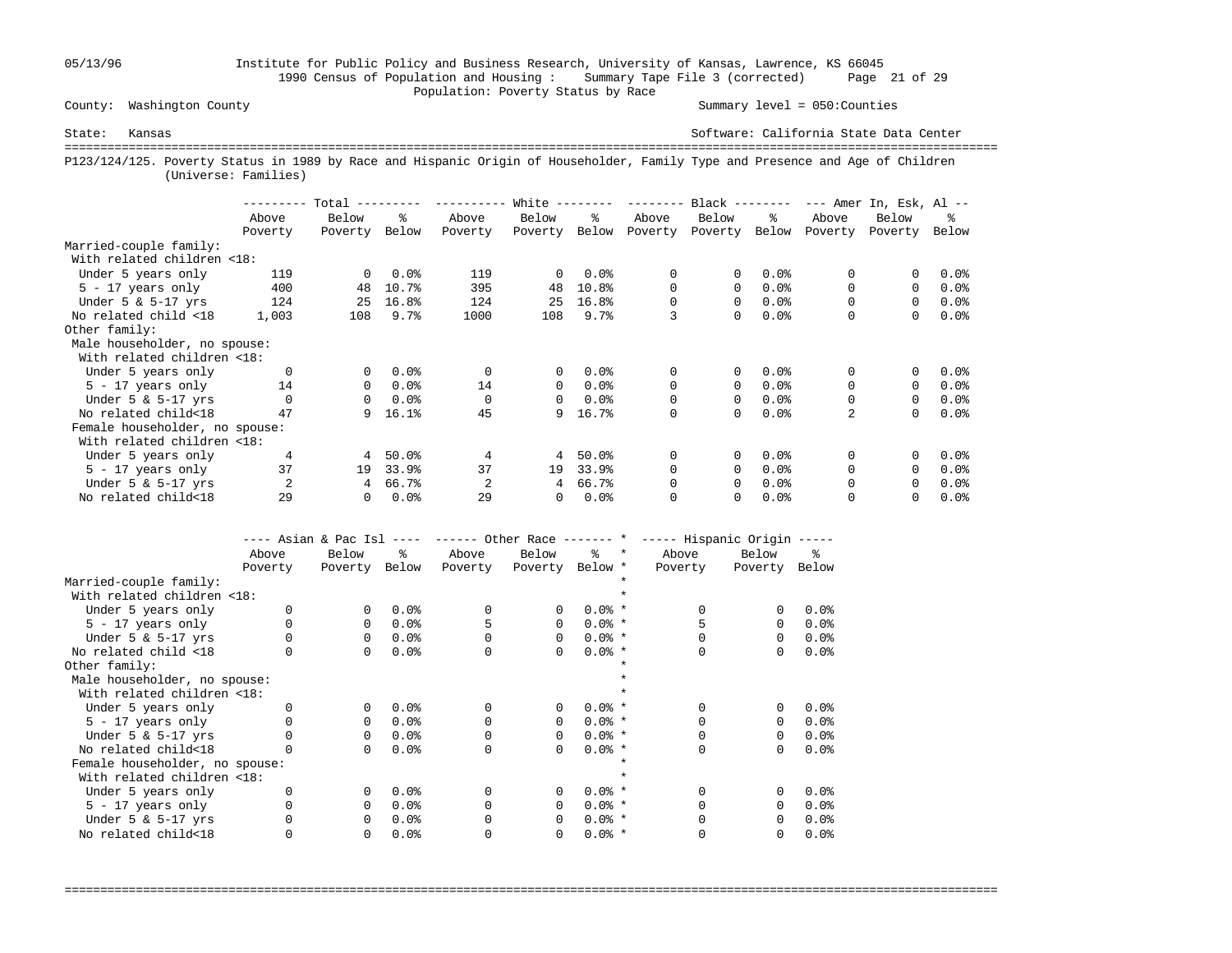05/13/96 Institute for Public Policy and Business Research, University of Kansas, Lawrence, KS 66045 1990 Census of Population and Housing : Summary Tape File 3 (corrected) Page 21 of 29 Population: Poverty Status by Race

County: Washington County Summary level = 050:Counties

State: Kansas Software: California State Data Center =================================================================================================================================== P123/124/125. Poverty Status in 1989 by Race and Hispanic Origin of Householder, Family Type and Presence and Age of Children (Universe: Families)

|                                |          | Total    |       |          | White        |         | --------- | $Black$ -------- |       |          | $---$ Amer In, Esk, Al $---$ |         |
|--------------------------------|----------|----------|-------|----------|--------------|---------|-----------|------------------|-------|----------|------------------------------|---------|
|                                | Above    | Below    | ፠     | Above    | Below        | ዱ       | Above     | Below            | ະ     | Above    | Below                        | ፠       |
|                                | Poverty  | Poverty  | Below | Poverty  | Poverty      | Below   | Poverty   | Poverty          | Below | Poverty  | Poverty                      | Below   |
| Married-couple family:         |          |          |       |          |              |         |           |                  |       |          |                              |         |
| With related children <18:     |          |          |       |          |              |         |           |                  |       |          |                              |         |
| Under 5 years only             | 119      | $\Omega$ | 0.0%  | 119      | $\Omega$     | 0.0%    | 0         | 0                | 0.0%  | 0        |                              | 0.0%    |
| $5 - 17$ years only            | 400      | 48       | 10.7% | 395      | 48           | 10.8%   | 0         | 0                | 0.0%  | $\Omega$ | $\Omega$                     | $0.0$ % |
| Under $5 \& 5-17$ yrs          | 124      | 25       | 16.8% | 124      | 25           | 16.8%   | $\Omega$  | 0                | 0.0%  |          | $\Omega$                     | $0.0$ % |
| No related child <18           | 1,003    | 108      | 9.7%  | 1000     | 108          | 9.7%    | 3         | 0                | 0.0%  | 0        | 0                            | 0.0%    |
| Other family:                  |          |          |       |          |              |         |           |                  |       |          |                              |         |
| Male householder, no spouse:   |          |          |       |          |              |         |           |                  |       |          |                              |         |
| With related children <18:     |          |          |       |          |              |         |           |                  |       |          |                              |         |
| Under 5 years only             | $\Omega$ | 0        | 0.0%  | $\Omega$ | $\mathbf{0}$ | 0.0%    | 0         | 0                | 0.0%  | 0        | 0                            | 0.0%    |
| $5 - 17$ years only            | 14       | 0        | 0.0%  | 14       | $\Omega$     | $0.0$ % | 0         | 0                | 0.0%  | $\Omega$ | $\Omega$                     | $0.0$ % |
| Under $5 \& 5-17$ yrs          | $\Omega$ | 0        | 0.0%  |          | $\Omega$     | $0.0$ % | 0         | 0                | 0.0%  | 0        | $\Omega$                     | $0.0$ % |
| No related child<18            | 47       | 9        | 16.1% | 45       | 9            | 16.7%   | 0         | 0                | 0.0%  | 2        | $\Omega$                     | 0.0%    |
| Female householder, no spouse: |          |          |       |          |              |         |           |                  |       |          |                              |         |
| With related children <18:     |          |          |       |          |              |         |           |                  |       |          |                              |         |
| Under 5 years only             | 4        | 4        | 50.0% | 4        | 4            | 50.0%   | 0         | 0                | 0.0%  | $\Omega$ |                              | 0.0%    |
| $5 - 17$ years only            | 37       | 19       | 33.9% | 37       | 19           | 33.9%   | $\Omega$  | 0                | 0.0%  | $\Omega$ | $\Omega$                     | $0.0$ % |
| Under $5 \& 5-17$ yrs          | 2        | 4        | 66.7% | 2        | 4            | 66.7%   | 0         | 0                | 0.0%  | 0        | $\Omega$                     | 0.0%    |
| No related child<18            | 29       | 0        | 0.0%  | 29       | 0            | 0.0%    | 0         | 0                | 0.0%  |          |                              | $0.0$ % |

|                                | ---- Asian & Pac Isl |          | $- - - - -$ |         |                 |          |         | ------ Other Race ------- * ----- Hispanic Origin ----- |          |       |
|--------------------------------|----------------------|----------|-------------|---------|-----------------|----------|---------|---------------------------------------------------------|----------|-------|
|                                | Above                | Below    | ዱ           | Above   | Below           | °≈       | $\star$ | Above                                                   | Below    | ዱ     |
|                                | Poverty              | Poverty  | Below       | Poverty | Poverty Below * |          |         | Poverty                                                 | Poverty  | Below |
| Married-couple family:         |                      |          |             |         |                 |          |         |                                                         |          |       |
| With related children <18:     |                      |          |             |         |                 |          |         |                                                         |          |       |
| Under 5 years only             |                      | $\Omega$ | 0.0%        |         | 0               | $0.0%$ * |         |                                                         | $\Omega$ | 0.0%  |
| $5 - 17$ years only            |                      | $\Omega$ | 0.0%        |         | 0               | $0.0%$ * |         |                                                         | 0        | 0.0%  |
| Under $5 \& 5-17$ yrs          |                      | $\Omega$ | 0.0%        |         | $\Omega$        | $0.0%$ * |         |                                                         | $\Omega$ | 0.0%  |
| No related child <18           |                      | 0        | 0.0%        |         | 0               | $0.0%$ * |         |                                                         | 0        | 0.0%  |
| Other family:                  |                      |          |             |         |                 |          |         |                                                         |          |       |
| Male householder, no spouse:   |                      |          |             |         |                 |          |         |                                                         |          |       |
| With related children <18:     |                      |          |             |         |                 |          |         |                                                         |          |       |
| Under 5 years only             |                      |          | 0.0%        |         | 0               | $0.0%$ * |         |                                                         | $\Omega$ | 0.0%  |
| $5 - 17$ years only            |                      | $\Omega$ | 0.0%        |         | 0               | $0.0%$ * |         |                                                         | 0        | 0.0%  |
| Under $5 \& 5-17$ yrs          |                      | $\Omega$ | 0.0%        |         | $\Omega$        | $0.0%$ * |         |                                                         | $\Omega$ | 0.0%  |
| No related child<18            |                      | 0        | 0.0%        |         | 0               | $0.0%$ * |         |                                                         | 0        | 0.0%  |
| Female householder, no spouse: |                      |          |             |         |                 |          |         |                                                         |          |       |
| With related children <18:     |                      |          |             |         |                 |          |         |                                                         |          |       |
| Under 5 years only             |                      |          | 0.0%        |         | $\Omega$        | $0.0%$ * |         |                                                         | $\Omega$ | 0.0%  |
| $5 - 17$ years only            |                      | 0        | 0.0%        |         | 0               | $0.0%$ * |         |                                                         | 0        | 0.0%  |
| Under $5 \& 5-17$ yrs          |                      | $\Omega$ | 0.0%        |         | 0               | $0.0%$ * |         |                                                         | $\Omega$ | 0.0%  |
| No related child<18            |                      | 0        | 0.0%        |         | 0               | $0.0%$ * |         |                                                         | 0        | 0.0%  |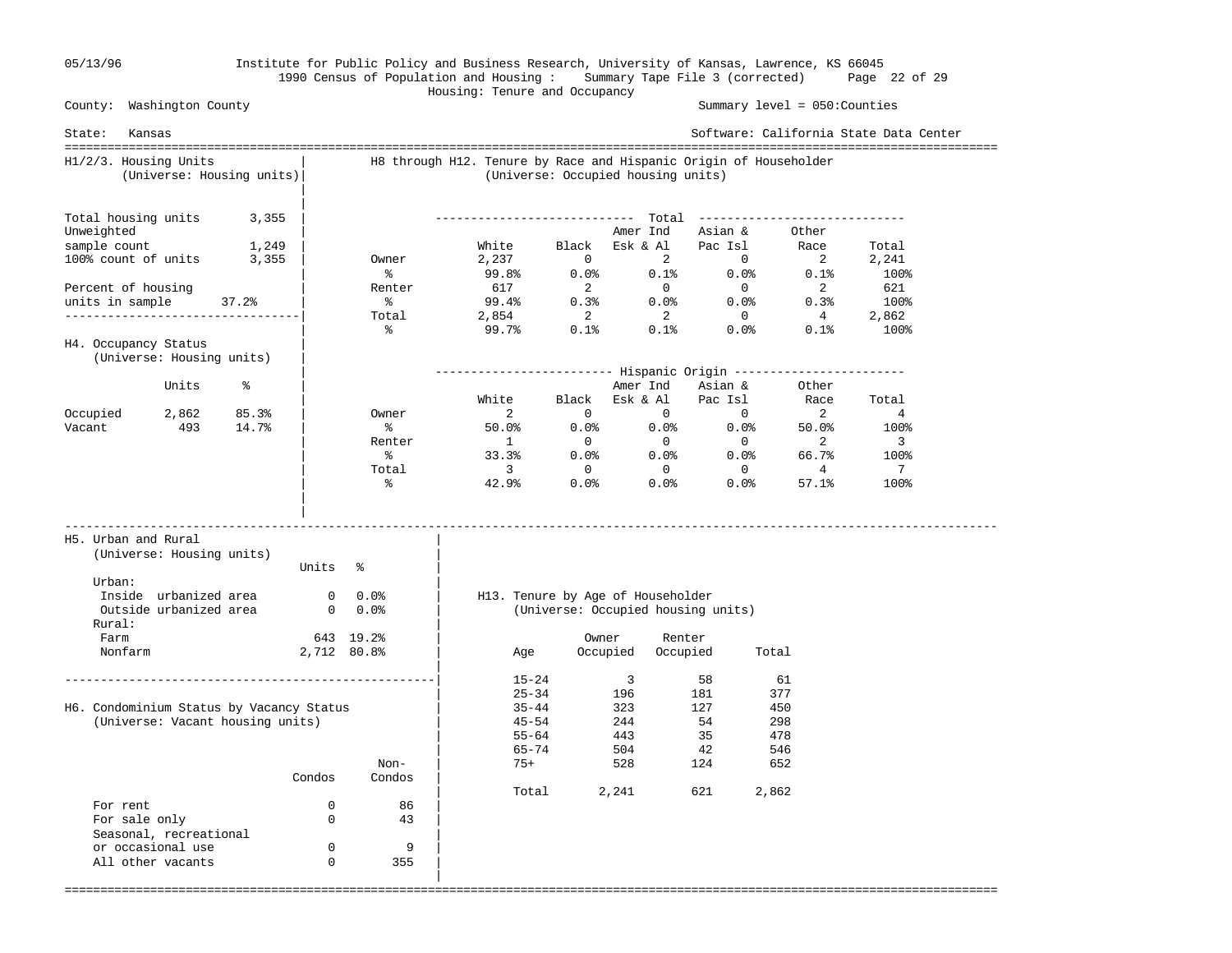|

### 05/13/96 Institute for Public Policy and Business Research, University of Kansas, Lawrence, KS 66045 1990 Census of Population and Housing : Summary Tape File 3 (corrected) Page 22 of 29 Housing: Tenure and Occupancy

 County: Washington County Summary level = 050:Counties State: Kansas Software: California State Data Center =================================================================================================================================== H1/2/3. Housing Units | H8 through H12. Tenure by Race and Hispanic Origin of Householder (Universe: Housing units)| (Universe: Occupied housing units) | Total housing units  $3,355$  | Total housing units 3,355 | ---------------------------- Total ----------------------------- Unweighted | Amer Ind Asian & Other<br>
sample count 1,249 | Mhite Black Esk & Al Pac Isl Race<br>
100% count of units 3,355 | Owner 2,237 0 2 0 2 sample count 1,249 | White Black Esk & Al Pac Isl Race Total 100% count of units 3,355 | Owner 2,237 0 2 0 2 2,241  $\sim$  8 99.8% 0.0% 0.1% 0.0% 0.1% 100% Percent of housing | Renter 617 2 0 0 2 621 units in sample 37.2% | % 99.4% 0.3% 0.0% 0.0% 0.3% 100% ---------------------------------| Total 2,854 2 2 0 4 2,862  $\sim$  8 99.7% 0.1% 0.1% 0.0% 0.1% 100% H4. Occupancy Status (Universe: Housing units) | | ------------------------- Hispanic Origin ------------------------ Units % | Amer Ind Asian & Other | White Black Esk & Al Pac Isl Race Total Occupied 2,862 85.3% | Owner 2 0 0 0 2 4 Vacant 493 14.7% | % 50.0% 0.0% 0.0% 0.0% 50.0% 100% | Renter 1 0 0 0 2 3  $\sim$  8 33.3% 0.0% 0.0% 66.7% 100%  $\qquad \qquad \text{Total} \qquad \qquad 3 \qquad \qquad 0 \qquad \qquad 0 \qquad \qquad 4 \qquad \qquad 7$  $\sim$  8 32.9% 0.0% 0.0% 57.1% 100% | | ----------------------------------------------------------------------------------------------------------------------------------- H5. Urban and Rural | (Universe: Housing units) | Units % Urban:  $\qquad \qquad \blacksquare$  Inside urbanized area 0 0.0% | H13. Tenure by Age of Householder Outside urbanized area 0 0.0% | (Universe: Occupied housing units) Rural: Farm 643 19.2% | Owner Renter Nonfarm 2,712 80.8% | Age Occupied Occupied Total | ----------------------------------------------------| 15-24 3 58 61  $\begin{array}{|c|c|c|c|c|}\n\hline\n\text{25--34} & \text{196} & \text{181} & \text{377}\n\end{array}$ H6. Condominium Status by Vacancy Status | 35-44 323 127 450 (Universe: Vacant housing units)  $\begin{array}{ccc} | & 45-54 & 244 & 54 \\ | & 55-64 & 443 & 35 \end{array}$  478  $|$  55-64 443 35 478  $\begin{array}{|c|c|c|c|c|}\n\hline\n\text{65--74} & \text{504} & \text{42} & \text{546} \\
\hline\n\end{array}$ Non-  $\vert$  75+ 528 124 652 Condos Condos | | Total 2,241 621 2,862 For rent  $0$  86<br>For sale only  $0$  43 For sale only 0 43 | Seasonal, recreational or occasional use 0 9 | All other vacants 0 355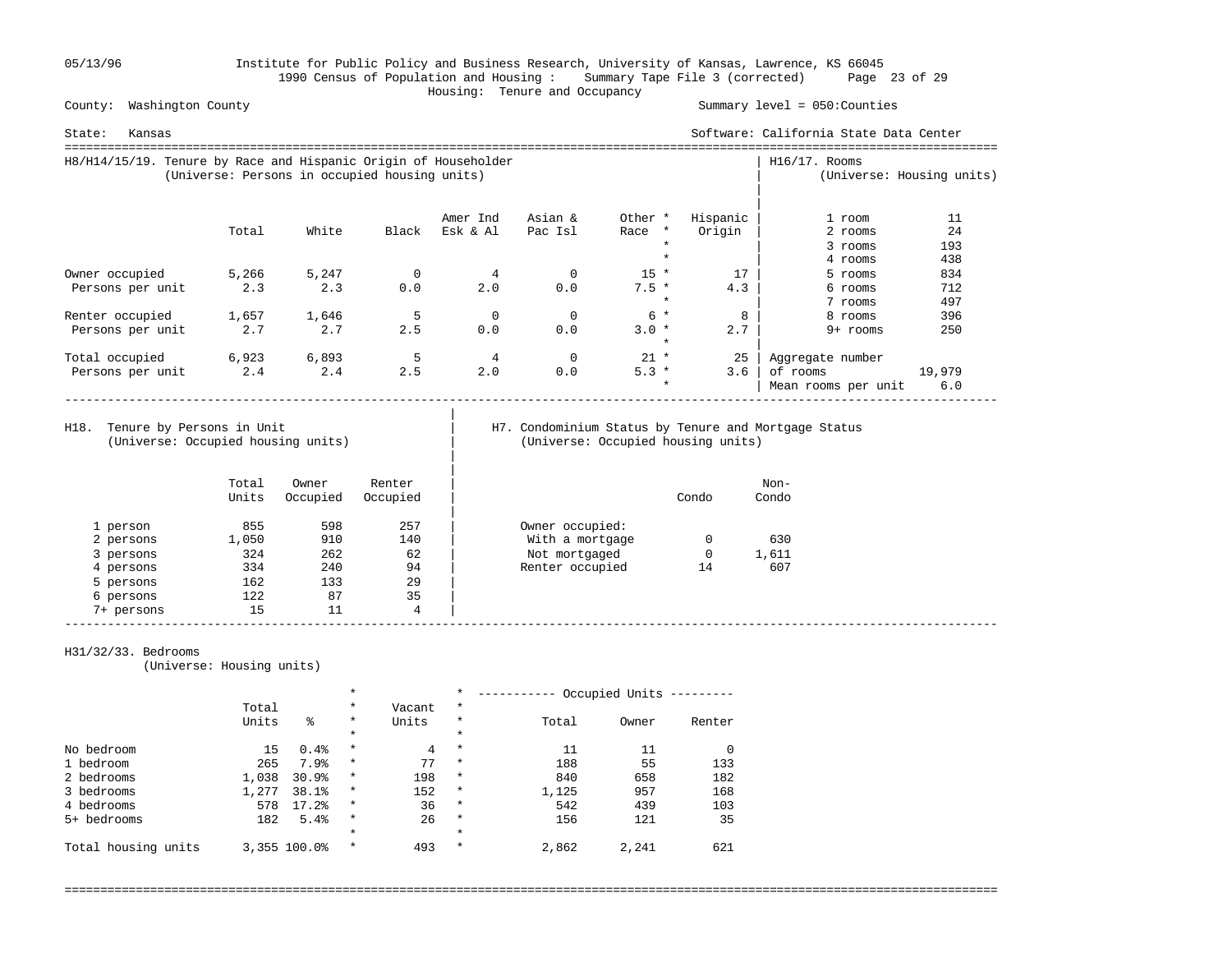05/13/96 Institute for Public Policy and Business Research, University of Kansas, Lawrence, KS 66045 1990 Census of Population and Housing : Summary Tape File 3 (corrected) Page 23 of 29 Housing: Tenure and Occupancy

County: Washington County Summary level = 050:Counties

| Kansas<br>State:                                                |                                               |       |       |          |         |                    |          | Software: California State Data Center |                           |
|-----------------------------------------------------------------|-----------------------------------------------|-------|-------|----------|---------|--------------------|----------|----------------------------------------|---------------------------|
| H8/H14/15/19. Tenure by Race and Hispanic Origin of Householder | (Universe: Persons in occupied housing units) |       |       |          |         |                    |          | $H16/17$ . Rooms                       | (Universe: Housing units) |
|                                                                 |                                               |       |       | Amer Ind | Asian & | Other *            | Hispanic | 1 room                                 | 11                        |
|                                                                 | Total                                         | White | Black | Esk & Al | Pac Isl | Race *             | Origin   | 2 rooms                                | 24                        |
|                                                                 |                                               |       |       |          |         |                    |          | 3 rooms                                | 193                       |
|                                                                 |                                               |       |       |          |         |                    |          | 4 rooms                                | 438                       |
| Owner occupied                                                  | 5,266                                         | 5,247 |       |          | 0       | $15 *$             | 17       | 5 rooms                                | 834                       |
| Persons per unit                                                | 2.3                                           | 2.3   | 0.0   | 2.0      | 0.0     | $7.5 *$            | 4.3      | 6 rooms                                | 712                       |
|                                                                 |                                               |       |       |          |         | $\star$            |          | 7 rooms                                | 497                       |
| Renter occupied                                                 | 1,657                                         | 1,646 |       | $\Omega$ | 0       | $6*$               |          | 8 rooms                                | 396                       |
| Persons per unit                                                | 2.7                                           | 2.7   | 2.5   | 0.0      | 0.0     | $3.0 *$<br>$\star$ | 2.7      | 9+ rooms                               | 250                       |
| Total occupied                                                  | 6,923                                         | 6,893 | 5     | 4        | 0       | $21 *$             | 25       | Aggregate number                       |                           |
| Persons per unit                                                | 2.4                                           | 2.4   | 2.5   | 2.0      | 0.0     | $5.3 *$            | 3.6      | of rooms                               | 19,979                    |
|                                                                 |                                               |       |       |          |         | $\star$            |          | Mean rooms per unit                    | 6.0                       |

(Universe: Occupied housing units) | (Universe: Occupied housing units)

|

|

# H18. Tenure by Persons in Unit | H7. Condominium Status by Tenure and Mortgage Status (Universe: Occupied housing units)

|            | Total<br>Units | Owner<br>Occupied | Renter<br>Occupied |                 | Condo | Non-<br>Condo |  |
|------------|----------------|-------------------|--------------------|-----------------|-------|---------------|--|
| 1 person   | 855            | 598               | 257                | Owner occupied: |       |               |  |
| 2 persons  | 1,050          | 910               | 140                | With a mortgage |       | 630           |  |
| 3 persons  | 324            | 262               | 62                 | Not mortgaged   | 0     | 1,611         |  |
| 4 persons  | 334            | 240               | 94                 | Renter occupied | 14    | 607           |  |
| 5 persons  | 162            | 133               | 29                 |                 |       |               |  |
| 6 persons  | 122            | 87                | 35                 |                 |       |               |  |
| 7+ persons | 15             | 11                | 4                  |                 |       |               |  |

### H31/32/33. Bedrooms

(Universe: Housing units)

|                     |       |              | $\star$ |        | $\star$ |       | Occupied Units |        |
|---------------------|-------|--------------|---------|--------|---------|-------|----------------|--------|
|                     | Total |              | $\star$ | Vacant | $\star$ |       |                |        |
|                     | Units | ిక           | $\star$ | Units  | $\star$ | Total | Owner          | Renter |
|                     |       |              | $\star$ |        | $\star$ |       |                |        |
| No bedroom          | 15    | 0.4%         | $\star$ | 4      | $\star$ | 11    | 11             |        |
| 1 bedroom           | 265   | 7.9%         | $\star$ | 77     | $\star$ | 188   | 55             | 133    |
| 2 bedrooms          | 1,038 | 30.9%        | $\star$ | 198    | $\star$ | 840   | 658            | 182    |
| 3 bedrooms          | 1,277 | 38.1%        | $\star$ | 152    | $\star$ | 1,125 | 957            | 168    |
| 4 bedrooms          | 578   | 17.2%        | $\star$ | 36     | $\star$ | 542   | 439            | 103    |
| 5+ bedrooms         | 182   | 5.4%         | $\star$ | 26     | $\star$ | 156   | 121            | 35     |
|                     |       |              | $\star$ |        | $\star$ |       |                |        |
| Total housing units |       | 3,355 100.0% | $\star$ | 493    | $\star$ | 2,862 | 2,241          | 621    |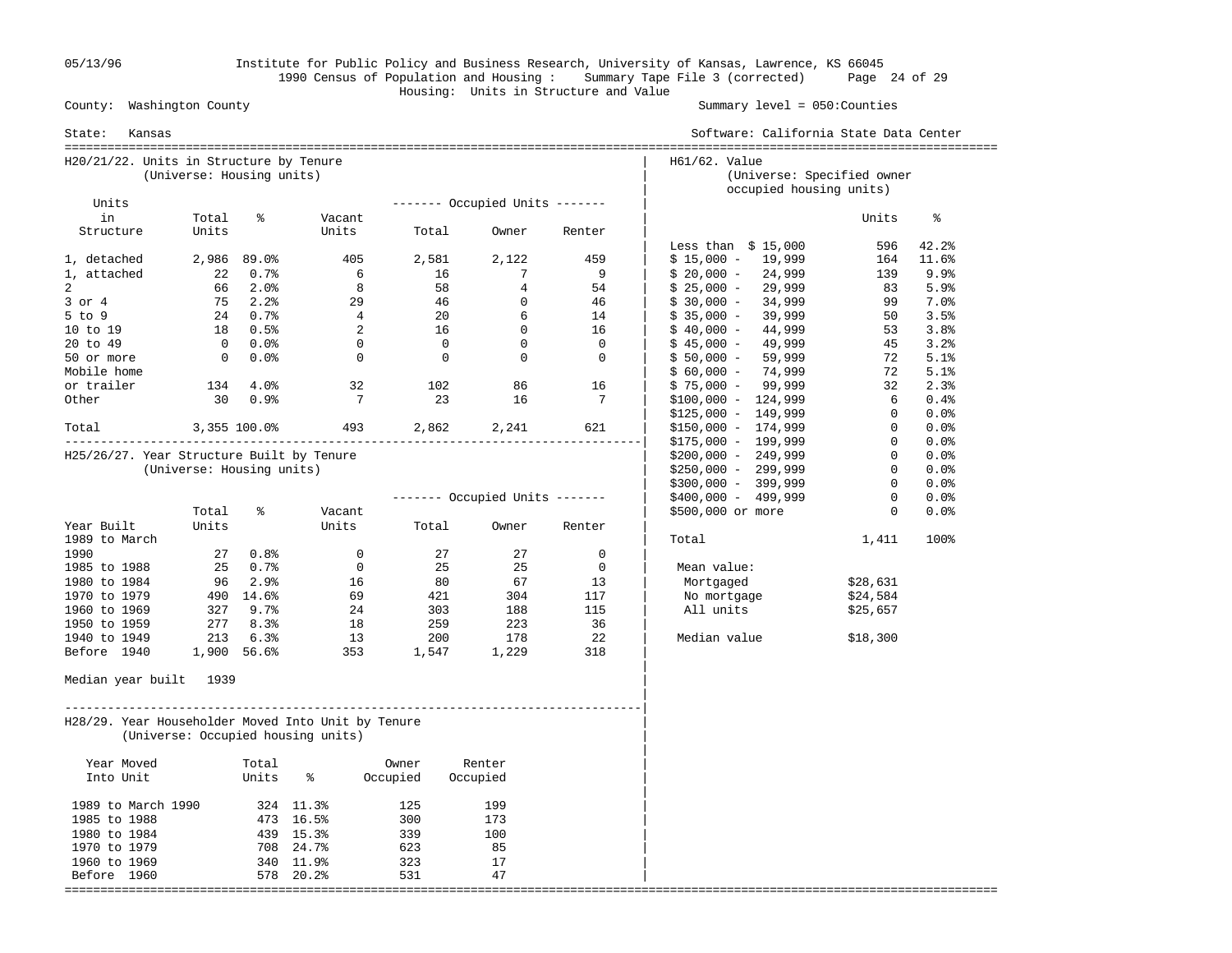05/13/96 Institute for Public Policy and Business Research, University of Kansas, Lawrence, KS 66045 1990 Census of Population and Housing : Summary Tape File 3 (corrected) Page 24 of 29 Housing: Units in Structure and Value

Summary level =  $050$ : Counties

| State:<br>Kansas                                   |                           |             |                                    |                |                                  |                | Software: California State Data Center                                 |                |           |
|----------------------------------------------------|---------------------------|-------------|------------------------------------|----------------|----------------------------------|----------------|------------------------------------------------------------------------|----------------|-----------|
| H20/21/22. Units in Structure by Tenure            | (Universe: Housing units) |             |                                    |                |                                  |                | H61/62. Value<br>(Universe: Specified owner<br>occupied housing units) |                |           |
| Units                                              |                           |             |                                    |                | $------$ Occupied Units $---$    |                |                                                                        |                |           |
| in                                                 | Total                     | ⊱           | Vacant                             |                |                                  |                |                                                                        | Units          | နွ        |
| Structure                                          | Units                     |             | Units                              | Total          | Owner                            | Renter         | Less than $$15,000$                                                    | 596            | 42.2%     |
| 1, detached                                        |                           | 2,986 89.0% | 405                                | 2,581          | 2,122                            | 459            | $$15,000 - 19,999$                                                     | 164            | 11.6%     |
| 1, attached                                        | 22                        | $0.7\%$     | 6                                  | 16             | 7                                | 9              | $$20,000 -$<br>24,999                                                  | 139            | 9.9%      |
| 2                                                  | 66                        | $2.0\%$     | 8                                  |                | 58<br>$\overline{4}$             | 54             | $$25,000 -$<br>29,999                                                  | 83             | 5.9%      |
| $3$ or $4$                                         |                           | 75 2.2%     | 29                                 | 46             | $\overline{0}$                   | 46             | $$30,000 -$<br>34,999                                                  | 99             | $7.0$ $8$ |
| $5$ to $9$                                         |                           | 24 0.7%     | $\overline{4}$                     | 20             | 6                                | 14             | $$35,000 -$<br>39,999                                                  | 50             | 3.5%      |
| 10 to 19                                           | 18                        | 0.5%        | 2                                  | 16             | $\overline{0}$                   | 16             | 44,999<br>$$40,000 -$                                                  | 53             | 3.8%      |
| 20 to 49                                           | $\overline{0}$            | $0.0$ %     | $\mathbf 0$                        |                | $\overline{0}$<br>$\overline{0}$ | $\overline{0}$ | 49,999<br>$$45,000 -$                                                  | 45             | 3.2%      |
| 50 or more                                         | $\mathbf{0}$              | $0.0\%$     | $\overline{0}$                     | $\overline{0}$ | $\overline{0}$                   | $\overline{0}$ | $$50,000 -$<br>59,999                                                  | 72             | 5.1%      |
| Mobile home                                        |                           |             |                                    |                |                                  |                | 74,999<br>$$60,000 -$                                                  | 72             | 5.1%      |
| or trailer                                         | 134                       | 4.0%        | 32                                 | 102            | 86                               | 16             | $$75,000 - 99,999$                                                     | 32             | 2.3%      |
| Other                                              | 30                        | 0.9%        | $\overline{7}$                     |                | 23<br>16                         | 7              | $$100,000 - 124,999$                                                   | 6              | 0.4%      |
|                                                    |                           |             |                                    |                |                                  |                | $$125,000 - 149,999$                                                   | $\mathbf 0$    | 0.0%      |
| Total                                              | $3,355$ 100.0%            |             |                                    | 493 2,862      | 2,241                            | 621            | $$150,000 - 174,999$                                                   | $\overline{0}$ | 0.0%      |
|                                                    |                           |             |                                    |                |                                  |                | $$175,000 - 199,999$                                                   | $\overline{0}$ | 0.0%      |
| H25/26/27. Year Structure Built by Tenure          |                           |             |                                    |                |                                  |                | $$200,000 - 249,999$                                                   | $\overline{0}$ | 0.0%      |
|                                                    | (Universe: Housing units) |             |                                    |                |                                  |                | $$250,000 - 299,999$                                                   | $\mathbf{0}$   | $0.0$ %   |
|                                                    |                           |             |                                    |                |                                  |                | $$300,000 - 399,999$                                                   | $\mathbf{0}$   | 0.0%      |
|                                                    |                           |             |                                    |                | ------- Occupied Units -------   |                | $$400,000 - 499,999$                                                   | $\mathbf{0}$   | 0.0%      |
|                                                    | Total                     | ៖           | Vacant                             |                |                                  |                | \$500,000 or more                                                      | $\mathbf{0}$   | 0.0%      |
| Year Built                                         | Units                     |             | Units                              | Total          | Owner                            | Renter         |                                                                        |                |           |
| 1989 to March                                      |                           |             |                                    |                |                                  |                | Total                                                                  | 1,411          | 100%      |
| 1990                                               |                           | 27 0.8%     | $\mathbf 0$                        | 27             | 27                               | $\mathbf 0$    |                                                                        |                |           |
| 1985 to 1988                                       |                           | 25 0.7%     | $\overline{0}$                     | 25             | 25                               | $\mathbf 0$    | Mean value:                                                            |                |           |
| 1980 to 1984                                       |                           | 96 2.9%     | 16                                 | 80             | 67                               | 13             | Mortgaged                                                              | \$28,631       |           |
| 1970 to 1979                                       |                           | 490 14.6%   | 69                                 | 421            | 304                              | 117            | No mortgage                                                            | \$24,584       |           |
| 1960 to 1969                                       | 327                       | 9.7%        | 24                                 | 303            | 188                              | 115            | All units                                                              | \$25,657       |           |
| 1950 to 1959                                       |                           | 2778.3%     | 18                                 | 259            | 223                              | 36             |                                                                        |                |           |
| 1940 to 1949                                       | 213                       | 6.3%        | 13                                 | 200            | 178                              | -22            | Median value                                                           | \$18,300       |           |
| Before 1940                                        |                           | 1,900 56.6% | 353                                | 1,547          | 1,229                            | 318            |                                                                        |                |           |
| Median year built 1939                             |                           |             |                                    |                |                                  |                |                                                                        |                |           |
| H28/29. Year Householder Moved Into Unit by Tenure |                           |             | (Universe: Occupied housing units) |                |                                  |                |                                                                        |                |           |
| Year Moved                                         |                           | Total       |                                    | Owner          | Renter                           |                |                                                                        |                |           |
| Into Unit                                          |                           | Units       | ိ                                  | Occupied       | Occupied                         |                |                                                                        |                |           |
| 1989 to March 1990                                 |                           |             | 324 11.3%                          | 125            | 199                              |                |                                                                        |                |           |
| 1985 to 1988                                       |                           |             | 473 16.5%                          | 300            | 173                              |                |                                                                        |                |           |
| 1980 to 1984                                       |                           |             | 439 15.3%                          | 339            | 100                              |                |                                                                        |                |           |
| 1970 to 1979                                       |                           |             | 708 24.7%                          | 623            | 85                               |                |                                                                        |                |           |
| 1960 to 1969                                       |                           |             | 340 11.9%                          | 323            | 17                               |                |                                                                        |                |           |
| Before 1960                                        |                           |             | 578 20.2%                          | 531            | 47                               |                |                                                                        |                |           |
|                                                    |                           |             |                                    |                |                                  |                |                                                                        |                |           |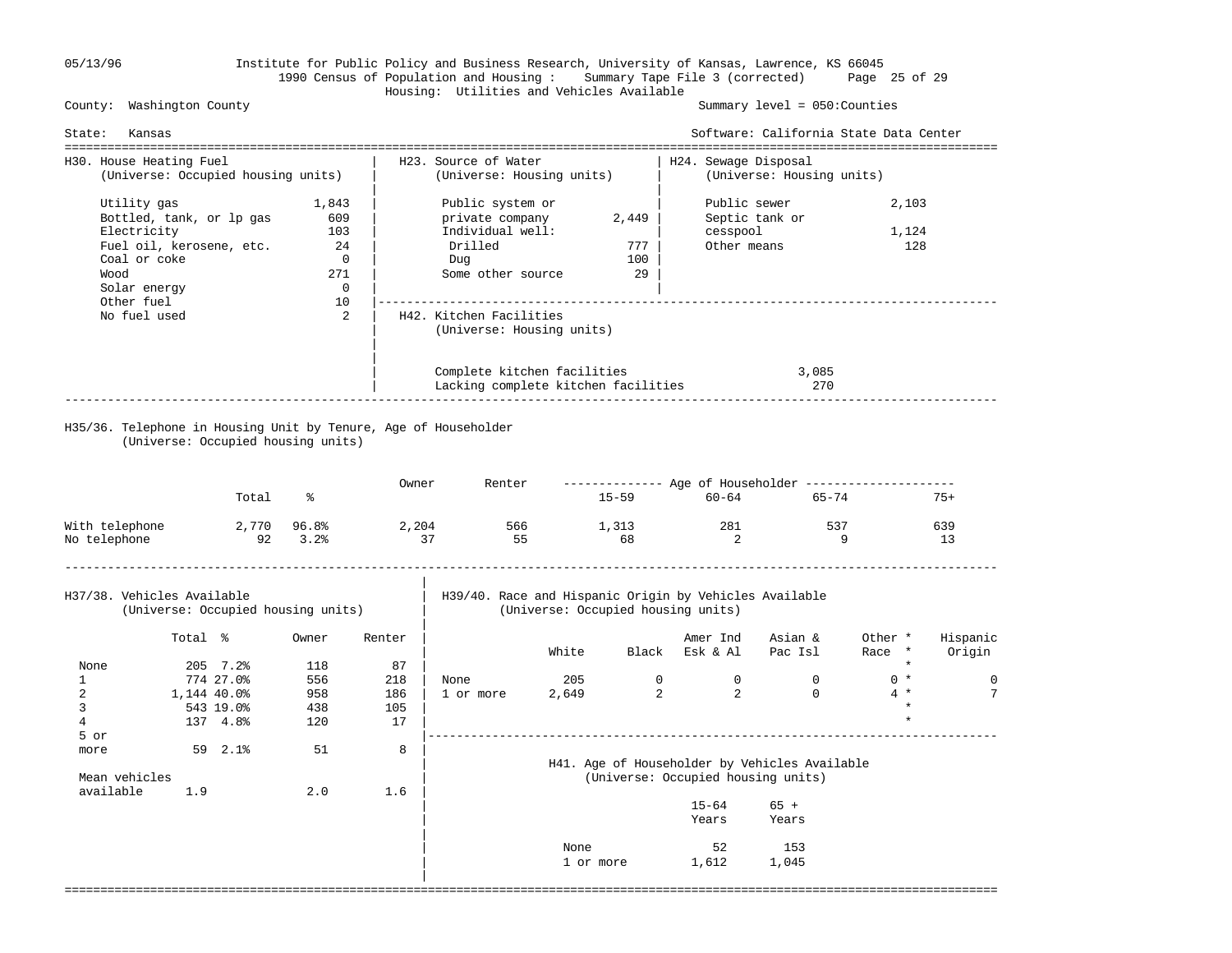# 05/13/96 Institute for Public Policy and Business Research, University of Kansas, Lawrence, KS 66045 1990 Census of Population and Housing : Summary Tape File 3 (corrected) Page 25 of 29 Housing: Utilities and Vehicles Available

Summary level =  $050$ : Counties

| State:                                                        | Kansas                                                                                                                                                                                                                              |                                                                          |                                    |                               |                                                                                                |              |                                  |                                         | Software: California State Data Center<br>================================== |                                      |                    |
|---------------------------------------------------------------|-------------------------------------------------------------------------------------------------------------------------------------------------------------------------------------------------------------------------------------|--------------------------------------------------------------------------|------------------------------------|-------------------------------|------------------------------------------------------------------------------------------------|--------------|----------------------------------|-----------------------------------------|------------------------------------------------------------------------------|--------------------------------------|--------------------|
| H30. House Heating Fuel                                       |                                                                                                                                                                                                                                     | ----------------------------------<br>(Universe: Occupied housing units) |                                    |                               | H23. Source of Water<br>(Universe: Housing units)                                              |              |                                  | H24. Sewage Disposal                    | (Universe: Housing units)                                                    |                                      |                    |
| Wood                                                          | 1,843<br>Utility gas<br>Bottled, tank, or lp gas<br>609<br>Electricity<br>103<br>Fuel oil, kerosene, etc.<br>24<br>Coal or coke<br>$\overline{0}$<br>271<br>Solar energy<br>$\overline{0}$<br>Other fuel<br>10<br>No fuel used<br>2 |                                                                          |                                    |                               | Public system or<br>private company<br>Individual well:<br>Drilled<br>Dug<br>Some other source |              | 2,449<br>777<br>100<br>29        | Public sewer<br>cesspool<br>Other means | Septic tank or                                                               | 2,103<br>1,124<br>128                |                    |
|                                                               |                                                                                                                                                                                                                                     |                                                                          |                                    |                               | H42. Kitchen Facilities<br>(Universe: Housing units)                                           |              |                                  |                                         |                                                                              |                                      |                    |
|                                                               |                                                                                                                                                                                                                                     |                                                                          |                                    |                               | Complete kitchen facilities<br>Lacking complete kitchen facilities                             |              |                                  |                                         | 3,085<br>270                                                                 |                                      |                    |
|                                                               |                                                                                                                                                                                                                                     |                                                                          | (Universe: Occupied housing units) |                               | H35/36. Telephone in Housing Unit by Tenure, Age of Householder                                |              |                                  |                                         |                                                                              |                                      |                    |
|                                                               |                                                                                                                                                                                                                                     | Total                                                                    | ႜ                                  | Owner                         | Renter                                                                                         |              |                                  | 15-59 60-64                             | 65-74                                                                        |                                      | $75+$              |
| With telephone<br>No telephone                                |                                                                                                                                                                                                                                     | 92                                                                       | 2,770 96.8%<br>3.2%                | 2,204                         | 566<br>37<br>55                                                                                |              | 1,313<br>68                      | 281<br>2                                | 537<br>$\overline{9}$                                                        |                                      | 639<br>13          |
| H37/38. Vehicles Available                                    |                                                                                                                                                                                                                                     |                                                                          | (Universe: Occupied housing units) |                               | H39/40. Race and Hispanic Origin by Vehicles Available                                         |              |                                  | (Universe: Occupied housing units)      |                                                                              |                                      |                    |
|                                                               | Total %                                                                                                                                                                                                                             |                                                                          | Owner                              | Renter                        |                                                                                                | White        |                                  | Amer Ind<br>Black Esk & Al              | Asian &<br>Pac Isl                                                           | Other *<br>Race *                    | Hispanic<br>Origin |
| None<br>$\mathbf{1}$<br>$\overline{2}$<br>3<br>$\overline{4}$ | 1,144 40.0%                                                                                                                                                                                                                         | 205 7.2%<br>774 27.0%<br>543 19.0%<br>137 4.8%                           | 118<br>556<br>958<br>438<br>120    | 87<br>218<br>186<br>105<br>17 | None<br>1 or more                                                                              | 205<br>2,649 | $\overline{0}$<br>$\overline{a}$ | $\overline{0}$<br>$\overline{2}$        | $\mathbf 0$<br>$\mathbf 0$                                                   | $\star$<br>$0 *$<br>$4 *$<br>$\star$ | $\mathbf 0$<br>7   |
| 5 or<br>more<br>Mean vehicles<br>available                    | 1.9                                                                                                                                                                                                                                 | $59 \quad 2.1$ <sup>8</sup>                                              | 51<br>2.0                          | 8<br>1.6                      |                                                                                                |              |                                  | (Universe: Occupied housing units)      | H41. Age of Householder by Vehicles Available                                |                                      |                    |
|                                                               |                                                                                                                                                                                                                                     |                                                                          |                                    |                               |                                                                                                |              |                                  | $15 - 64$<br>Years                      | $65 +$<br>Years                                                              |                                      |                    |
|                                                               |                                                                                                                                                                                                                                     |                                                                          |                                    |                               |                                                                                                | None         | 1 or more                        | 52<br>1,612                             | 153<br>1,045                                                                 |                                      |                    |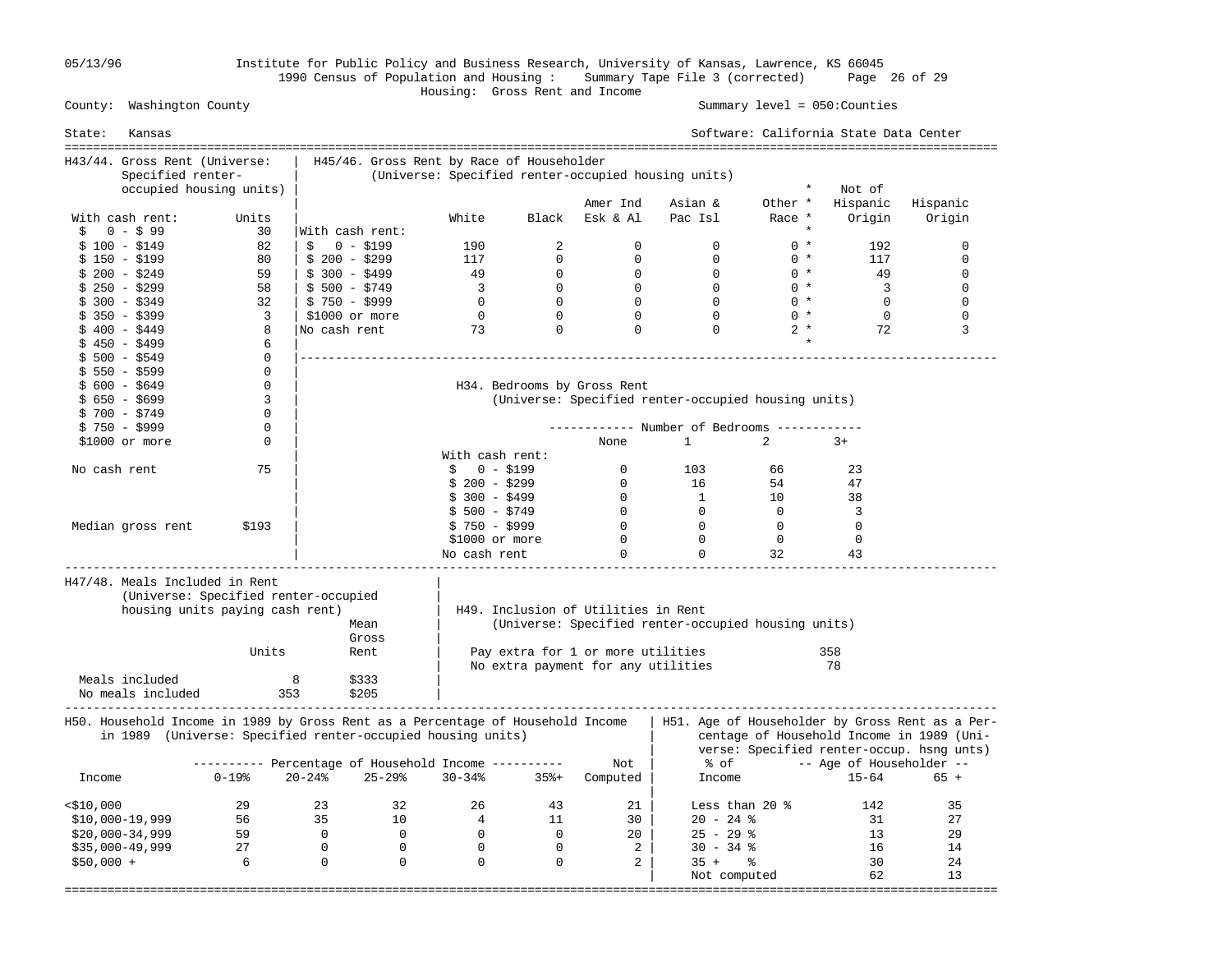05/13/96 Institute for Public Policy and Business Research, University of Kansas, Lawrence, KS 66045 1990 Census of Population and Housing : Summary Tape File 3 (corrected) Page 26 of 29

Summary level =  $050$ : Counties

# Housing: Gross Rent and Income

| State:                                                                          | Kansas                                                                  |              |                 |                                                             |                         |                | =============================       |                                                     |                | Software: California State Data Center<br>============================ |                                                                                                                                           |
|---------------------------------------------------------------------------------|-------------------------------------------------------------------------|--------------|-----------------|-------------------------------------------------------------|-------------------------|----------------|-------------------------------------|-----------------------------------------------------|----------------|------------------------------------------------------------------------|-------------------------------------------------------------------------------------------------------------------------------------------|
| H43/44. Gross Rent (Universe:                                                   |                                                                         |              |                 | H45/46. Gross Rent by Race of Householder                   |                         |                |                                     |                                                     |                |                                                                        |                                                                                                                                           |
|                                                                                 | Specified renter-                                                       |              |                 |                                                             |                         |                |                                     | (Universe: Specified renter-occupied housing units) |                |                                                                        |                                                                                                                                           |
|                                                                                 | occupied housing units)                                                 |              |                 |                                                             |                         |                |                                     |                                                     | $\star$        | Not of                                                                 |                                                                                                                                           |
|                                                                                 |                                                                         |              |                 |                                                             |                         |                | Amer Ind                            | Asian &                                             | Other *        | Hispanic                                                               | Hispanic                                                                                                                                  |
| With cash rent:                                                                 |                                                                         | Units        |                 |                                                             | White                   | Black          | Esk & Al                            | Pac Isl                                             | Race *         | Origin                                                                 | Origin                                                                                                                                    |
| \$<br>$0 - $99$                                                                 |                                                                         | 30           | With cash rent: |                                                             |                         |                |                                     |                                                     |                |                                                                        |                                                                                                                                           |
| $$100 - $149$                                                                   |                                                                         | 82           | Ŝ.              | $0 - $199$                                                  | 190                     | $\overline{2}$ | $\Omega$                            | $\mathbf 0$                                         | $0 *$          | 192                                                                    | $\mathbf 0$                                                                                                                               |
| $$150 - $199$                                                                   |                                                                         | 80           | $$200 - $299$   |                                                             | 117                     | $\Omega$       | $\Omega$                            | $\Omega$                                            | $0 *$          | 117                                                                    | $\Omega$                                                                                                                                  |
| $$200 - $249$                                                                   |                                                                         | 59           | $$300 - $499$   |                                                             | 49                      | $\mathbf 0$    | $\mathbf 0$                         | $\overline{0}$                                      | $0 *$          | 49                                                                     | $\mathbf{0}$                                                                                                                              |
| $$250 - $299$                                                                   |                                                                         | 58           | $$500 - $749$   |                                                             | $\overline{\mathbf{3}}$ | $\overline{0}$ | $\Omega$                            | $\Omega$                                            | $0 *$          | $\overline{\mathbf{3}}$                                                | $\mathbf 0$                                                                                                                               |
| \$ 300 - \$349                                                                  |                                                                         | 32           | $$750 - $999$   |                                                             | $\overline{0}$          | $\overline{0}$ | $\bigcirc$                          | $\Omega$                                            | $0 *$          | $\Omega$                                                               | $\Omega$                                                                                                                                  |
| $$350 - $399$                                                                   |                                                                         | 3            | \$1000 or more  |                                                             | $\mathsf{O}$            | $\mathbf 0$    | $\mathbf 0$                         | $\mathbf 0$                                         | $0 *$          | $\mathbf 0$                                                            | $\mathbf{0}$                                                                                                                              |
| $$400 - $449$                                                                   |                                                                         | 8            | No cash rent    |                                                             | 73                      | $\mathbf 0$    | $\mathbf 0$                         | $\Omega$                                            | $2 *$          | 72                                                                     | 3                                                                                                                                         |
| $$450 - $499$                                                                   |                                                                         | 6            |                 |                                                             |                         |                |                                     |                                                     | $\star$        |                                                                        |                                                                                                                                           |
| $$500 - $549$                                                                   |                                                                         | $\mathbf{0}$ |                 |                                                             |                         |                |                                     |                                                     |                |                                                                        |                                                                                                                                           |
| $$550 - $599$                                                                   |                                                                         | $\mathbf{0}$ |                 |                                                             |                         |                |                                     |                                                     |                |                                                                        |                                                                                                                                           |
| $$600 - $649$                                                                   |                                                                         | $\Omega$     |                 |                                                             |                         |                | H34. Bedrooms by Gross Rent         |                                                     |                |                                                                        |                                                                                                                                           |
| $$650 - $699$                                                                   |                                                                         | 3            |                 |                                                             |                         |                |                                     | (Universe: Specified renter-occupied housing units) |                |                                                                        |                                                                                                                                           |
| $$700 - $749$                                                                   |                                                                         | 0            |                 |                                                             |                         |                |                                     |                                                     |                |                                                                        |                                                                                                                                           |
| $$750 - $999$                                                                   |                                                                         | 0            |                 |                                                             |                         |                |                                     | ----------- Number of Bedrooms -------              |                |                                                                        |                                                                                                                                           |
| $$1000$ or more                                                                 |                                                                         | 0            |                 |                                                             |                         |                | None                                | $\mathbf{1}$                                        | $\overline{2}$ | $3+$                                                                   |                                                                                                                                           |
|                                                                                 |                                                                         |              |                 |                                                             | With cash rent:         |                |                                     |                                                     |                |                                                                        |                                                                                                                                           |
| No cash rent                                                                    |                                                                         | 75           |                 |                                                             | $\mathsf{S}$            | $0 - $199$     | 0                                   | 103                                                 | 66             | 23                                                                     |                                                                                                                                           |
|                                                                                 |                                                                         |              |                 |                                                             | $$200 - $299$           |                | $\mathbf{0}$                        | 16                                                  | 54             | 47                                                                     |                                                                                                                                           |
|                                                                                 |                                                                         |              |                 |                                                             | $$300 - $499$           |                | $\overline{0}$                      | $\mathbf{1}$                                        | 10             | 38                                                                     |                                                                                                                                           |
|                                                                                 |                                                                         |              |                 |                                                             | \$ 500 - \$749          |                | $\bigcirc$                          | $\Omega$                                            | $\Omega$       | 3                                                                      |                                                                                                                                           |
| Median gross rent                                                               |                                                                         | \$193        |                 |                                                             | $$750 - $999$           |                | $\overline{0}$                      | $\overline{0}$                                      | $\overline{0}$ | $\mathbf 0$                                                            |                                                                                                                                           |
|                                                                                 |                                                                         |              |                 |                                                             | \$1000 or more          |                | $\overline{0}$                      | $\overline{0}$                                      | $\overline{0}$ | $\mathbf 0$                                                            |                                                                                                                                           |
|                                                                                 |                                                                         |              |                 |                                                             | No cash rent            |                | $\Omega$                            | $\Omega$                                            | 32             | 43                                                                     |                                                                                                                                           |
| H47/48. Meals Included in Rent                                                  | (Universe: Specified renter-occupied<br>housing units paying cash rent) |              |                 | Mean<br>Gross                                               |                         |                | H49. Inclusion of Utilities in Rent | (Universe: Specified renter-occupied housing units) |                |                                                                        |                                                                                                                                           |
|                                                                                 |                                                                         | Units        |                 | Rent                                                        |                         |                | Pay extra for 1 or more utilities   |                                                     |                | 358                                                                    |                                                                                                                                           |
|                                                                                 |                                                                         |              |                 |                                                             |                         |                | No extra payment for any utilities  |                                                     |                | 78                                                                     |                                                                                                                                           |
| Meals included<br>No meals included                                             |                                                                         |              | 8<br>353        | \$333<br>\$205                                              |                         |                |                                     |                                                     |                |                                                                        |                                                                                                                                           |
| H50. Household Income in 1989 by Gross Rent as a Percentage of Household Income |                                                                         |              |                 | in 1989 (Universe: Specified renter-occupied housing units) |                         |                |                                     |                                                     |                |                                                                        | H51. Age of Householder by Gross Rent as a Per-<br>centage of Household Income in 1989 (Uni-<br>verse: Specified renter-occup. hsng unts) |
|                                                                                 |                                                                         |              |                 | --------- Percentage of Household Income ----------         |                         |                | Not                                 | % of                                                |                | -- Age of Householder --                                               |                                                                                                                                           |
| Income                                                                          |                                                                         | $0 - 19$ %   | $20 - 24%$      | $25 - 29$                                                   | $30 - 34%$              | $35% +$        | Computed                            | Income                                              |                | $15 - 64$                                                              | $65 +$                                                                                                                                    |
| $<$ \$10,000                                                                    |                                                                         | 29           | 23              | 32                                                          | 26                      | 43             | 21                                  | Less than 20 $\textdegree$                          |                | 142                                                                    | 35                                                                                                                                        |
| $$10,000-19,999$                                                                |                                                                         | 56           | 35              | 10                                                          | $4\overline{ }$         | 11             | 30                                  | $20 - 24$ %                                         |                | 31                                                                     | 27                                                                                                                                        |
| $$20,000-34,999$                                                                |                                                                         | 59           | $\overline{0}$  | $\overline{0}$                                              | $\overline{0}$          | $\mathbf{0}$   | 20                                  | $25 - 29$ %                                         |                | 13                                                                     | 29                                                                                                                                        |
| $$35,000-49,999$                                                                |                                                                         | 27           | $\overline{0}$  | $\overline{0}$                                              | $\overline{0}$          | $\Omega$       | 2                                   | $30 - 34$ %                                         |                | 16                                                                     | 14                                                                                                                                        |
| $$50,000 +$                                                                     |                                                                         | 6            | $\overline{0}$  | $\overline{0}$                                              | $\mathbf 0$             | $\mathbf 0$    | 2                                   | $35 +$ $\frac{6}{3}$                                |                | 30                                                                     | 24                                                                                                                                        |
|                                                                                 |                                                                         |              |                 |                                                             |                         |                |                                     | Not computed                                        |                | 62                                                                     | 13                                                                                                                                        |
|                                                                                 |                                                                         |              |                 |                                                             |                         |                |                                     |                                                     |                |                                                                        |                                                                                                                                           |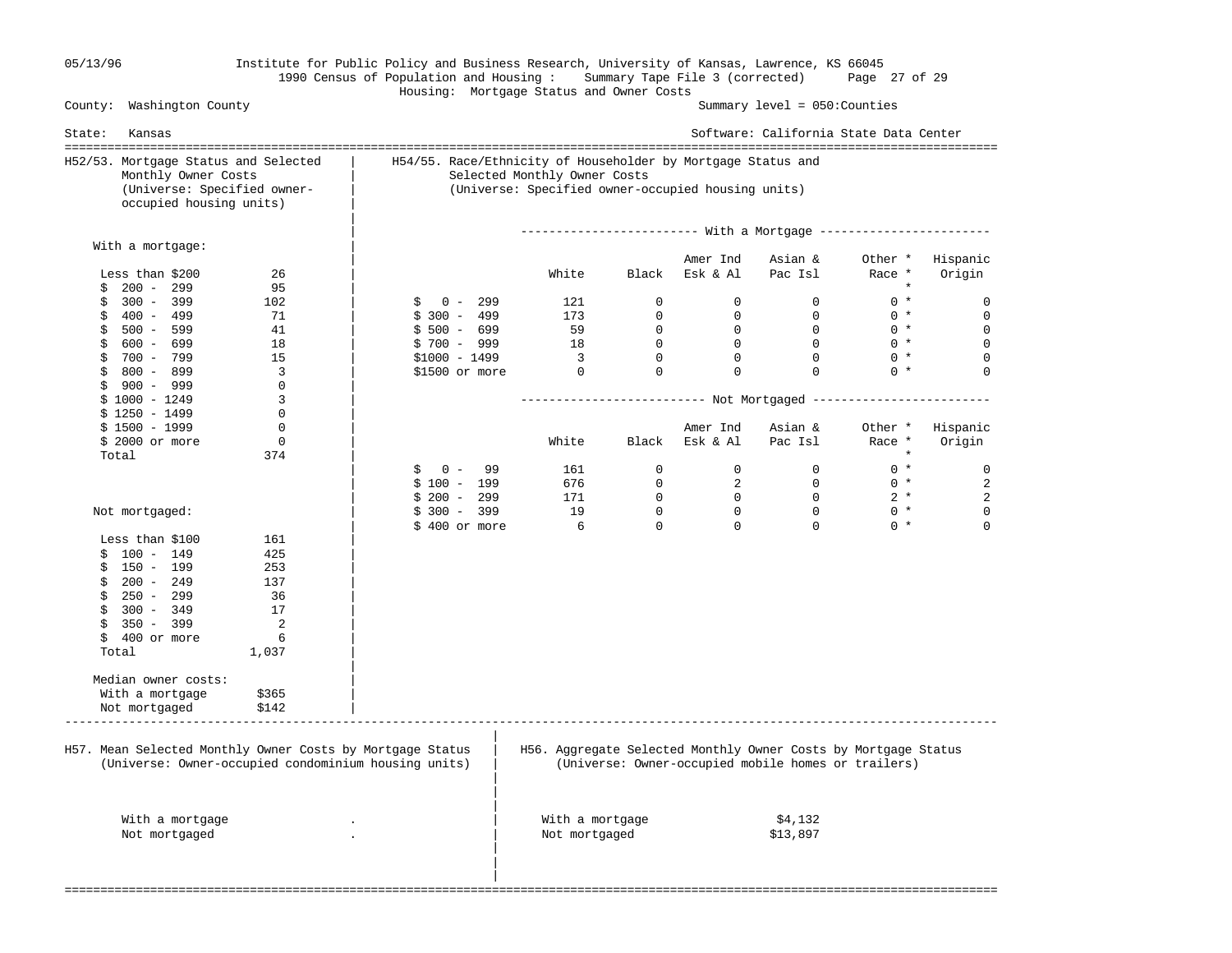# 05/13/96 Institute for Public Policy and Business Research, University of Kansas, Lawrence, KS 66045 1990 Census of Population and Housing : Summary Tape File 3 (corrected) Page 27 of 29 Housing: Mortgage Status and Owner Costs

Summary level =  $050$ : Counties

| State:<br>Kansas                                                                                                                                      |                                                                                                                                                    |                                  |                |                            | Software: California State Data Center                                                                                                       |                   |                    |  |  |
|-------------------------------------------------------------------------------------------------------------------------------------------------------|----------------------------------------------------------------------------------------------------------------------------------------------------|----------------------------------|----------------|----------------------------|----------------------------------------------------------------------------------------------------------------------------------------------|-------------------|--------------------|--|--|
| H52/53. Mortgage Status and Selected<br>Monthly Owner Costs<br>(Universe: Specified owner-<br>occupied housing units)                                 | H54/55. Race/Ethnicity of Householder by Mortgage Status and<br>Selected Monthly Owner Costs<br>(Universe: Specified owner-occupied housing units) |                                  |                |                            |                                                                                                                                              |                   |                    |  |  |
|                                                                                                                                                       |                                                                                                                                                    |                                  |                |                            |                                                                                                                                              |                   |                    |  |  |
| With a mortgage:<br>Less than \$200<br>26                                                                                                             |                                                                                                                                                    | White                            |                | Amer Ind<br>Black Esk & Al | Asian &<br>Pac Isl                                                                                                                           | Other *<br>Race * | Hispanic<br>Origin |  |  |
| $200 - 299$<br>\$<br>95<br>$300 - 399$<br>102<br>\$                                                                                                   | $0 - 299$<br>\$                                                                                                                                    | 121                              | $\Omega$       | $\Omega$                   | $\Omega$                                                                                                                                     | $\star$<br>$0 *$  | 0                  |  |  |
| 71<br>$$400 - 499$                                                                                                                                    | $$300 - 499$                                                                                                                                       | 173                              | $\overline{0}$ | $\mathbf 0$                | $\overline{0}$                                                                                                                               | $0 *$             | $\mathbf{0}$       |  |  |
| $$500 - 599$<br>41                                                                                                                                    | $$500 - 699$                                                                                                                                       | 59                               | $\overline{0}$ | $\overline{0}$             | $\Omega$                                                                                                                                     | $0 *$             | 0                  |  |  |
| $$600 - 699$<br>18                                                                                                                                    | $$700 - 999$                                                                                                                                       | 18                               | $\overline{0}$ | $\overline{0}$             | $\Omega$                                                                                                                                     | $0 *$             | $\mathbf 0$        |  |  |
| \$<br>700 - 799<br>15                                                                                                                                 | $$1000 - 1499$                                                                                                                                     | $\overline{\mathbf{3}}$          | $\Omega$       | $\Omega$                   | $\Omega$                                                                                                                                     | $0 *$             | 0                  |  |  |
| $$800 - 899$<br>$\overline{3}$                                                                                                                        | \$1500 or more                                                                                                                                     | $\overline{0}$                   | $\Omega$       | $\Omega$                   | $\Omega$                                                                                                                                     | $0 *$             | $\Omega$           |  |  |
| $\mathbf 0$<br>$$900 - 999$<br>$$1000 - 1249$<br>3                                                                                                    |                                                                                                                                                    |                                  |                |                            |                                                                                                                                              |                   |                    |  |  |
| $$1250 - 1499$<br>$\Omega$                                                                                                                            |                                                                                                                                                    |                                  |                |                            |                                                                                                                                              |                   |                    |  |  |
| $$1500 - 1999$<br>$\mathbf 0$                                                                                                                         |                                                                                                                                                    |                                  |                | Amer Ind                   | Asian &                                                                                                                                      | Other *           | Hispanic           |  |  |
| $\Omega$<br>\$ 2000 or more<br>374<br>Total                                                                                                           |                                                                                                                                                    | White                            |                | Black Esk & Al             | Pac Isl                                                                                                                                      | Race *            | Origin             |  |  |
|                                                                                                                                                       | \$<br>$0 - 99$                                                                                                                                     | 161                              | $\overline{0}$ | $\mathbf{0}$               | $\overline{0}$                                                                                                                               | $0 *$             | $\mathbf 0$        |  |  |
|                                                                                                                                                       | $$100 - 199$                                                                                                                                       | 676                              | $\overline{0}$ | $\overline{a}$             | $\overline{0}$                                                                                                                               | $0 *$             | 2                  |  |  |
|                                                                                                                                                       | $$200 - 299$                                                                                                                                       | 171                              | $\overline{0}$ | $\overline{0}$             | $\overline{0}$                                                                                                                               | $2 *$             | 2                  |  |  |
| Not mortgaged:                                                                                                                                        | $$300 - 399$                                                                                                                                       | 19                               | $\overline{0}$ | $\mathbf 0$                | $\Omega$                                                                                                                                     | $0 *$             | 0                  |  |  |
|                                                                                                                                                       | \$400 or more                                                                                                                                      | 6                                | $\mathbf 0$    | $\Omega$                   | $\Omega$                                                                                                                                     | $0 *$             | $\Omega$           |  |  |
| Less than \$100<br>161                                                                                                                                |                                                                                                                                                    |                                  |                |                            |                                                                                                                                              |                   |                    |  |  |
| $$100 - 149$<br>425                                                                                                                                   |                                                                                                                                                    |                                  |                |                            |                                                                                                                                              |                   |                    |  |  |
| $$150 - 199$<br>253                                                                                                                                   |                                                                                                                                                    |                                  |                |                            |                                                                                                                                              |                   |                    |  |  |
| $$200 - 249$<br>137                                                                                                                                   |                                                                                                                                                    |                                  |                |                            |                                                                                                                                              |                   |                    |  |  |
| $$250 - 299$<br>36                                                                                                                                    |                                                                                                                                                    |                                  |                |                            |                                                                                                                                              |                   |                    |  |  |
| 17<br>$$300 - 349$                                                                                                                                    |                                                                                                                                                    |                                  |                |                            |                                                                                                                                              |                   |                    |  |  |
| 350 - 399<br>\$<br>2                                                                                                                                  |                                                                                                                                                    |                                  |                |                            |                                                                                                                                              |                   |                    |  |  |
| $$400$ or more<br>6                                                                                                                                   |                                                                                                                                                    |                                  |                |                            |                                                                                                                                              |                   |                    |  |  |
| Total<br>1,037                                                                                                                                        |                                                                                                                                                    |                                  |                |                            |                                                                                                                                              |                   |                    |  |  |
| Median owner costs:                                                                                                                                   |                                                                                                                                                    |                                  |                |                            |                                                                                                                                              |                   |                    |  |  |
| With a mortgage<br>\$365                                                                                                                              |                                                                                                                                                    |                                  |                |                            |                                                                                                                                              |                   |                    |  |  |
| Not mortgaged<br>\$142                                                                                                                                |                                                                                                                                                    |                                  |                |                            |                                                                                                                                              |                   |                    |  |  |
| H57. Mean Selected Monthly Owner Costs by Mortgage Status<br>(Universe: Owner-occupied condominium housing units)<br>With a mortgage<br>Not mortgaged |                                                                                                                                                    | With a mortgage<br>Not mortgaged |                |                            | H56. Aggregate Selected Monthly Owner Costs by Mortgage Status<br>(Universe: Owner-occupied mobile homes or trailers)<br>\$4,132<br>\$13,897 |                   |                    |  |  |
|                                                                                                                                                       |                                                                                                                                                    |                                  |                |                            |                                                                                                                                              |                   |                    |  |  |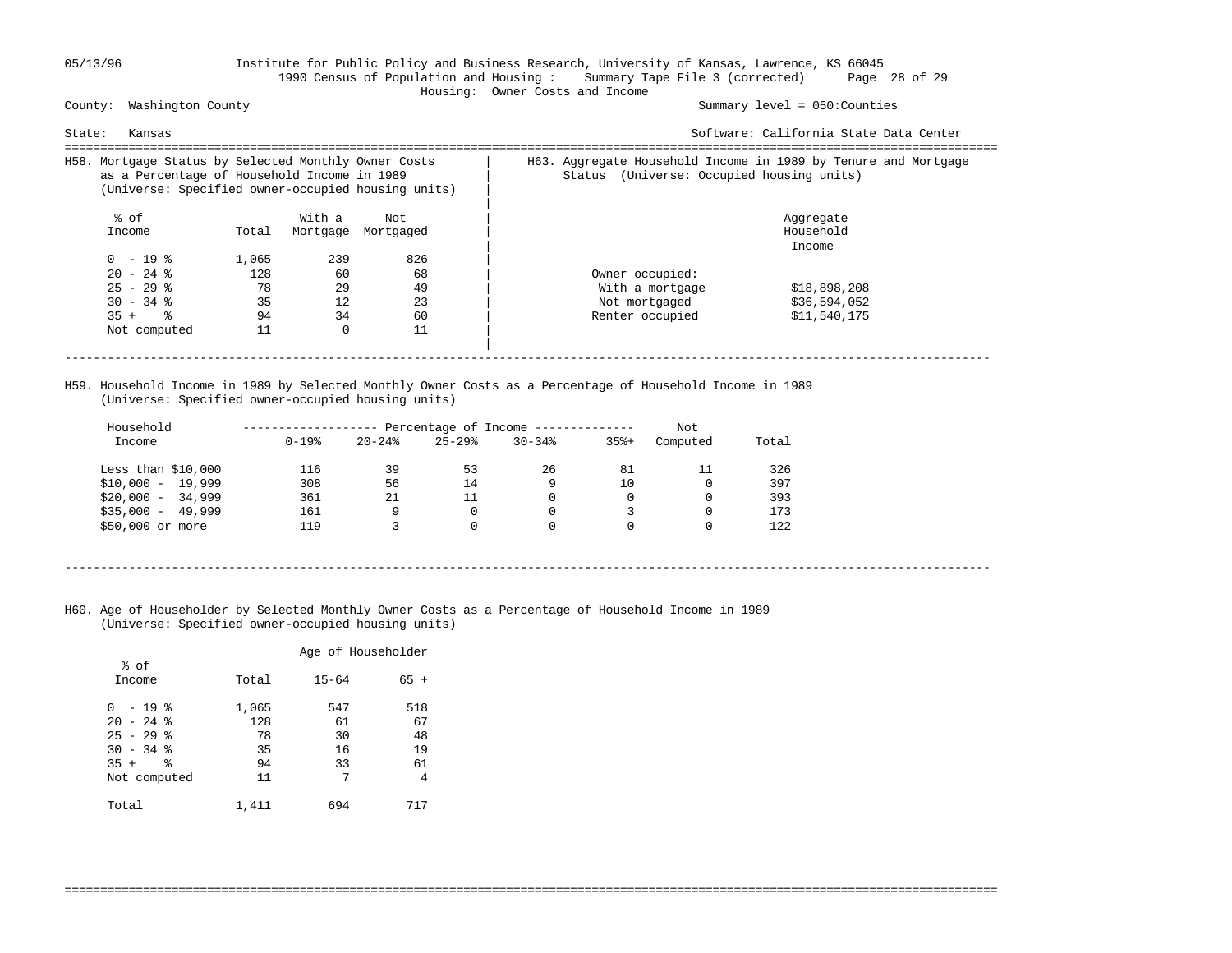### 05/13/96 Institute for Public Policy and Business Research, University of Kansas, Lawrence, KS 66045 1990 Census of Population and Housing : Summary Tape File 3 (corrected) Page 28 of 29 Housing: Owner Costs and Income

County: Washington County Summary level = 050:Counties

| State:<br>Kansas                                                                                                                                          |       |          |           | Software: California State Data Center                                                                         |  |  |  |
|-----------------------------------------------------------------------------------------------------------------------------------------------------------|-------|----------|-----------|----------------------------------------------------------------------------------------------------------------|--|--|--|
| H58. Mortgage Status by Selected Monthly Owner Costs<br>as a Percentage of Household Income in 1989<br>(Universe: Specified owner-occupied housing units) |       |          |           | H63. Aggregate Household Income in 1989 by Tenure and Mortgage<br>(Universe: Occupied housing units)<br>Status |  |  |  |
| % of                                                                                                                                                      |       | With a   | Not       | Aggregate                                                                                                      |  |  |  |
| Income                                                                                                                                                    | Total | Mortgage | Mortgaged | Household                                                                                                      |  |  |  |
|                                                                                                                                                           |       |          |           | Income                                                                                                         |  |  |  |
| $0 - 19$ %                                                                                                                                                | 1,065 | 239      | 826       |                                                                                                                |  |  |  |
| $20 - 24$ %                                                                                                                                               | 128   | 60       | 68        | Owner occupied:                                                                                                |  |  |  |
| $25 - 29$ %                                                                                                                                               | 78    | 29       | 49        | \$18,898,208<br>With a mortgage                                                                                |  |  |  |
| $30 - 34$ %                                                                                                                                               | 35    | 12       | 23        | \$36,594,052<br>Not mortgaged                                                                                  |  |  |  |
| $35 +$ $\frac{6}{3}$                                                                                                                                      | 94    | 34       | 60        | Renter occupied<br>\$11,540,175                                                                                |  |  |  |
| Not computed                                                                                                                                              | 11    | $\Omega$ | 11        |                                                                                                                |  |  |  |
|                                                                                                                                                           |       |          |           |                                                                                                                |  |  |  |
|                                                                                                                                                           |       |          |           |                                                                                                                |  |  |  |

 H59. Household Income in 1989 by Selected Monthly Owner Costs as a Percentage of Household Income in 1989 (Universe: Specified owner-occupied housing units)

| Household           |            |           |           | Percentage of Income ------------- |         | Not      |       |
|---------------------|------------|-----------|-----------|------------------------------------|---------|----------|-------|
| Income              | $0 - 19$ % | $20 - 24$ | $25 - 29$ | $30 - 34$                          | $35% +$ | Computed | Total |
| Less than $$10,000$ | 116        | 39        | 53        | 26                                 | 81      | 11       | 326   |
| $$10,000 - 19,999$  | 308        | 56        | 14        | 9                                  | 10      |          | 397   |
| $$20.000 - 34.999$  | 361        | 21        | 11        |                                    |         |          | 393   |
| $$35,000 - 49,999$  | 161        | 9         | 0         |                                    |         |          | 173   |
| \$50,000 or more    | 119        |           | 0         |                                    |         |          | 122   |

- ----------------------------------------------------------------------------------------------------------------------------------
- H60. Age of Householder by Selected Monthly Owner Costs as a Percentage of Household Income in 1989 (Universe: Specified owner-occupied housing units)

|                                                                     |                          | Age of Householder    |                       |
|---------------------------------------------------------------------|--------------------------|-----------------------|-----------------------|
| % of<br>Income                                                      | Total                    | $15 - 64$             | $65 +$                |
| - 19 %<br><sup>0</sup><br>$20 - 24$ %<br>$25 - 29$ %<br>$30 - 34$ % | 1,065<br>128<br>78<br>35 | 547<br>61<br>30<br>16 | 518<br>67<br>48<br>19 |
| 昙<br>$35 +$<br>Not computed                                         | 94<br>11                 | 33<br>7               | 61<br>4               |
| Total                                                               | 1,411                    | 694                   | 717                   |